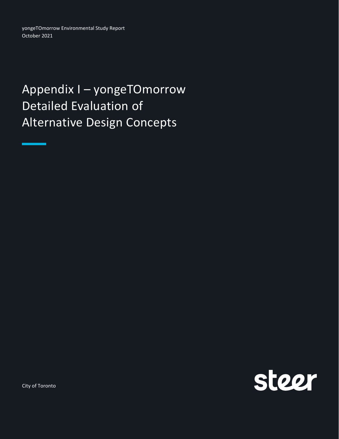yongeTOmorrow Environmental Study Report October 2021

## Appendix I – yongeTOmorrow Detailed Evaluation of Alternative Design Concepts



City of Toronto

سم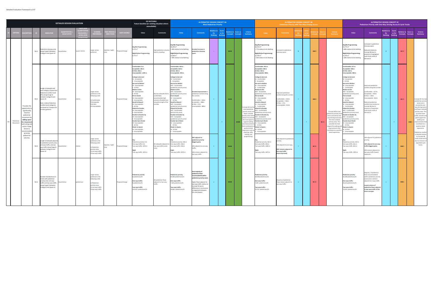|                      |                                                                                                                                                                                     |      |                                                                                                                                                                                                                                                     | <b>DETAILED DESIGN EVALUATION</b> |              |                                                                                                                          |                  |                    | <b>DO NOTHING</b><br>Future baseline (or existing situation where<br>unavailable)                                                                                                                                                                                                                                                                                                                                                                                                                                                                                                                                         |                                                                                                              |                                                                                                                                                                                                                                                                                                                                                                                                                                                                                                                                                                                                                                                                                 | <b>ALTERNATIVE DESIGN CONCEPT 4A</b>                                                                                                                                                                                                      | <b>Most Pedestrian Priority</b> |       |                         |                   |                                                                                                                                                                                                                                                                       |                                                                                                                                                                                                                                                                                                                                                                                                                                                                                                                                                                                                                                                                           | <b>Pedestrian Priority with Two-Way Driving Access</b>                                                                            | <b>ALTERNATIVE DESIGN CONCEPT 4B</b> |                       |              |                                                                                                                                                                                                                                                                   |                                                                                                                                                                                                                                                                                                                                                                                                                                                                                                                                                                                                                    | <b>ALTERNATIVE DESIGN CONCEPT 4C</b><br>Pedestrian Priority with One-Way Driving Access & Cycle Tracks                                                                                                                                                                      |     |       |                         |                       |                                                                                                                                                                                                                                                                                                                                                 |
|----------------------|-------------------------------------------------------------------------------------------------------------------------------------------------------------------------------------|------|-----------------------------------------------------------------------------------------------------------------------------------------------------------------------------------------------------------------------------------------------------|-----------------------------------|--------------|--------------------------------------------------------------------------------------------------------------------------|------------------|--------------------|---------------------------------------------------------------------------------------------------------------------------------------------------------------------------------------------------------------------------------------------------------------------------------------------------------------------------------------------------------------------------------------------------------------------------------------------------------------------------------------------------------------------------------------------------------------------------------------------------------------------------|--------------------------------------------------------------------------------------------------------------|---------------------------------------------------------------------------------------------------------------------------------------------------------------------------------------------------------------------------------------------------------------------------------------------------------------------------------------------------------------------------------------------------------------------------------------------------------------------------------------------------------------------------------------------------------------------------------------------------------------------------------------------------------------------------------|-------------------------------------------------------------------------------------------------------------------------------------------------------------------------------------------------------------------------------------------|---------------------------------|-------|-------------------------|-------------------|-----------------------------------------------------------------------------------------------------------------------------------------------------------------------------------------------------------------------------------------------------------------------|---------------------------------------------------------------------------------------------------------------------------------------------------------------------------------------------------------------------------------------------------------------------------------------------------------------------------------------------------------------------------------------------------------------------------------------------------------------------------------------------------------------------------------------------------------------------------------------------------------------------------------------------------------------------------|-----------------------------------------------------------------------------------------------------------------------------------|--------------------------------------|-----------------------|--------------|-------------------------------------------------------------------------------------------------------------------------------------------------------------------------------------------------------------------------------------------------------------------|--------------------------------------------------------------------------------------------------------------------------------------------------------------------------------------------------------------------------------------------------------------------------------------------------------------------------------------------------------------------------------------------------------------------------------------------------------------------------------------------------------------------------------------------------------------------------------------------------------------------|-----------------------------------------------------------------------------------------------------------------------------------------------------------------------------------------------------------------------------------------------------------------------------|-----|-------|-------------------------|-----------------------|-------------------------------------------------------------------------------------------------------------------------------------------------------------------------------------------------------------------------------------------------------------------------------------------------------------------------------------------------|
|                      |                                                                                                                                                                                     |      | NDICATOR                                                                                                                                                                                                                                            | .<br>DIJAI TIATIVI                |              |                                                                                                                          |                  | <b>DATA SOURCE</b> | Value                                                                                                                                                                                                                                                                                                                                                                                                                                                                                                                                                                                                                     | <b>Comments</b>                                                                                              | Value                                                                                                                                                                                                                                                                                                                                                                                                                                                                                                                                                                                                                                                                           | <b>Comments</b>                                                                                                                                                                                                                           | Do                              | vs Do |                         |                   | Criteria<br><b>Summary</b>                                                                                                                                                                                                                                            | Value                                                                                                                                                                                                                                                                                                                                                                                                                                                                                                                                                                                                                                                                     | Comment                                                                                                                           |                                      |                       |              | Summary                                                                                                                                                                                                                                                           | Value                                                                                                                                                                                                                                                                                                                                                                                                                                                                                                                                                                                                              | <b>Comments</b>                                                                                                                                                                                                                                                             | Do  | vs Do | <b>Concepts Concept</b> |                       | Criteria<br>Summary                                                                                                                                                                                                                                                                                                                             |
|                      |                                                                                                                                                                                     |      | edestrian clearway area<br>M1.1 along Yonge St between<br>College St and Queen St                                                                                                                                                                   | Quantitative                      | quare metres | arger values<br>eferred                                                                                                  | daytime / night- | posed Design       | Day/No Programming:<br>9.375 $m2$<br>Night/Active Programming:<br>9,375 $m2$                                                                                                                                                                                                                                                                                                                                                                                                                                                                                                                                              | High pedestrian volume<br>ead to crowding.                                                                   | ly/No Programming<br>8,205 $m^2$<br>94% relative to Do Nothing<br><b>Night/Active Programming:</b><br>13.060 m <sup>2</sup><br>39% relative to Do Nothing                                                                                                                                                                                                                                                                                                                                                                                                                                                                                                                       | <b>Greatest increase in</b><br>destrian clearway<br>ace.                                                                                                                                                                                  | $\sim$                          |       | $\bullet\bullet\bullet$ |                   |                                                                                                                                                                                                                                                                       | ay/No Programming<br>$6,555 \text{ m}^2$<br>77% relative to Do Nothing<br>Night/Active Programming:<br>12,795 $\text{m}^2$<br>36% relative to Do Nothing                                                                                                                                                                                                                                                                                                                                                                                                                                                                                                                  | creased in pedestrian<br>learway space.                                                                                           | $+$                                  | $\bullet\bullet\circ$ |              |                                                                                                                                                                                                                                                                   | av/No Programming:<br>,775 m <sup>2</sup><br>68% relative to Do Nothing<br>light/Active Programming:<br>1.970 $m2$<br>28% relative to Do Nothing                                                                                                                                                                                                                                                                                                                                                                                                                                                                   | ncreased in pedestrian<br>learway space.<br>educed relative to<br>oncept 4B due to<br>esence of segregated<br>ycle tracks north of<br>errard St.                                                                                                                            | $+$ |       | $\bullet$ 00            |                       |                                                                                                                                                                                                                                                                                                                                                 |
| Pedestria<br>Movemen | Provides the<br>pportunity t<br>significantly<br>improve<br>pedestrian<br>ovement b<br>adding space<br>or movem<br>oth along ar<br>across Yonge<br>Street to<br>ccommoda<br>growing | M1.2 | Length of sidewalk with<br>each category of peak hou<br>edestrian Comfort Level<br>(PCL) along Yonge St<br>etween College St and<br>Queen St.<br>ote: relative Pedestrian<br>Comfort Level categories<br>re based on Transport fo<br>ndon guidance. | Quantitative                      |              | Larger values<br>referred in the<br>ollowing order:<br>Comfortable<br>Acceptable<br>3) At Risk<br>) Unacceptable         |                  | roposed Design     | Comfortable: 0 m<br>Acceptable: 236 m<br>At Risk: 346 m<br>nacceptable: 1,292 m<br><b>College to Gerrard</b><br>W - Acceptable<br>- Unacceptable<br>Gerrard to Walton<br>W - Unacceptable<br>- At Risk<br><b>Walton to Elm</b><br>/ - Unacceptable<br>- At Risk<br>Im to Gould<br>V-Unacceptable<br>- Unacceptable<br><b>Gould to Edward</b><br>V-Unacceptable<br>- At Risk<br><b>Edward to Dundas</b><br>W-Unacceptable<br>- Unacceptable<br><b>Dundas to Dundas Sq</b><br>W-Unacceptable<br>- Unacceptable<br>Dundas Sq to Shuter<br>V-Unacceptable<br>- At Risk<br>Shuter to Queen<br>W-Unacceptable<br>- Unacceptable | rrow sidewalks fail to<br>mfortably<br>ommodate high<br>umes of pedestrians<br>ong the length of the<br>idor | Comfortable: 444 m<br>Acceptable: 624 m<br>At Risk: 403 m<br>nacceptable: 403 m<br>College to Gerrard<br>W - Comfortable<br>- Acceptable<br>Gerrard to Walton<br>W/E - Comfortable<br>bedestrian priority zone)<br><b>Nalton to Elm</b><br>V/E - Acceptable<br>edestrian priority zone)<br>Im to Gould<br>- Unacceptable<br>- At Risk<br><b>Sould to Edward</b><br>//E - Acceptable<br>destrian priority zone)<br>dward to Dundas<br>W/F - Comfortable<br>(ped priority zone)<br><b>Dundas to Dundas Sq</b><br>W/E - Acceptable<br>bedestrian priority zone)<br><b>Dundas Sq to Shuter</b><br>N - Unacceptable<br>- At Risk<br>Shuter to Queen<br>N - At Risk<br>- Unacceptable | Greatest improvement i<br>bedestrian comfort along<br>he corridor.<br>Comfortable: +444m<br>Acceptable: +388m<br>At Risk: + 57m<br>Unacceptable: - 889m                                                                                   |                                 |       | $\bullet\bullet\bullet$ | $\bullet \bullet$ | Concept 4A has th<br>most pedestrian<br>priority zones and<br>fewer curbside<br>ctivity areas which<br>llows it to provide<br>the most space to<br>support walking<br>nd improvement:<br>hat contribute to<br>positive street<br>xperience such a<br>planting, cafés. | Comfortable: 453 m<br>Acceptable: 538 m<br><b>At Risk: 403 m</b><br>nacceptable: 480n<br><b>College to Gerrard:</b><br>N - Comfortable<br>- Acceptable<br><b>Gerrard to Walton</b><br>W - Unacceptable<br>- Comfortable<br><b>Nalton to Elm</b><br>N/E - Acceptable<br>pedestrian priority zone)<br><b>Elm to Gould</b><br>W - Unacceptable<br>- At Risk<br>Sould to Edward<br>- Unacceptable<br>Comfortable<br>Edward to Dundas<br>N/F - Comfortable<br>pedestrian priority zone)<br><b>Dundas to Dundas Sq</b><br>N/E - Acceptable<br>edestrian priority zone)<br>Jundas Sq to Shuter<br>V - Unacceptable<br>- At Risk<br>huter to Queen<br>/ - At Risk<br>Unacceptable | nproved pedestrian<br>omfort along the corrido<br>omfortable: + 453m<br>ceptable: + 302m<br>At Risk: + 57m<br>Inacceptable: -812m |                                      | $\bullet\bullet\circ$ | $\bullet$ 00 | Concept 4B has two<br>edestrian priority zon<br>and is serviced by two<br>way driving access and<br>the most curbside<br>activity areas. This<br>provides the least<br>upport for walking an<br>improvements that<br>ontribute to a positiv<br>street experience. | Comfortable: 217 m<br>cceptable: 538 m<br>t Risk: 639 m<br>nacceptable: 480 m<br>ollege to Gerrard:<br>- Acceptable<br>- At Risk<br>errard to Walton<br>- Unacceptable<br>- Comfortable<br>alton to Elm<br>N/E - Acceptable<br>destrian priority zone)<br>m to Gould<br>- Unacceptable<br>- At Risk<br>uld to Edward<br>- Unacceptable<br>Comfortable<br>dward to Dundas<br>N/E - Comfortable<br>edestrian priority zone)<br><b>Dundas to Dundas Sq</b><br>W/E - Acceptable<br>destrian priority zone)<br><b>Dundas Sq to Shuter</b><br>Unacceptable<br>At Risk<br>huter to Queen<br>V - At Risk<br>- Unacceptable | mproved pedestrian<br>comfort along the corrido<br>omfortable: + 217m<br>Acceptable: +302m<br>4t Risk: + 293m<br>Jnacceptable: -812m<br>educed pedestrian<br>omfort level relative to<br>Concept 4B due to<br>presence of separated<br>cycle tracks north of<br>Gerrard St. |     |       | $\bullet$ 00            | $\bullet\bullet\circ$ | Concept 4C has two<br>pedestrian priority<br>zones and is<br>serviced by one-<br>way driving access<br>and fewer curbside<br>activity areas. This<br>provides lower<br>traffic volumes an<br>good support for<br>walking and<br>nnrovements tha<br>contribute to a<br>positive street<br>experience.<br>edestrian comfor<br>is reduced relative |
|                      | pedestriar<br>volumes.                                                                                                                                                              | M1.3 | ngth of sidewalk adjace<br>pedestrian priority area<br>ne-way traffic; and two-<br>vay traffic along Yonge S<br>between College St and<br>Oueen St                                                                                                  | antitative                        |              | arger values<br>eferred in the<br>llowing order:<br>Pedestrian<br>riority areas<br>) one-way traffic<br>two-way traffic  | -daytime / night | roposed Design     | Pedestrian priority: 0 m<br>ne-way traffic: 0 m<br>wo-way traffic: 1874 m<br>Two-way traffic: 1874 m                                                                                                                                                                                                                                                                                                                                                                                                                                                                                                                      | sidewalks adjacent to<br>vo-way traffic (curbs                                                               | edestrian priority: 596 m<br>ne-way traffic: 348 m<br>wo-way traffic: 930 m<br>Two-way traffic: 1874 m                                                                                                                                                                                                                                                                                                                                                                                                                                                                                                                                                                          | 30% adjacent to<br>destrian priority<br>biggest gain);<br>20% adjacent to one-way<br>affic:<br>50% remains adjacent to<br>wo-way traffic.                                                                                                 |                                 |       | $\bullet\bullet\bullet$ |                   | seating, and<br>programming.                                                                                                                                                                                                                                          | Pedestrian priority: 442 m<br>One-way traffic: 348 m<br>wo-way traffic: 1084 m<br>Two-way traffic: 1874 m                                                                                                                                                                                                                                                                                                                                                                                                                                                                                                                                                                 | 24% adjacent to pedestria<br>ority;<br>9% adjacent to one-way;<br>58% remains adiacent to<br>two-way traffic<br>ast improved).    |                                      | $\bullet$ 00          |              |                                                                                                                                                                                                                                                                   | edestrian priority: 442 m<br>ne-way traffic: 616 m<br>wo-way traffic: 816 m<br>wo-way traffic: 1874 m                                                                                                                                                                                                                                                                                                                                                                                                                                                                                                              | 24% adjacent to pedestria<br>iority:<br>33% adjacent to one-way<br>traffic (biggest gain);<br>4% remains adjacent to<br>two-way traffic (lowest<br>posure).                                                                                                                 | $+$ |       | $\bullet\bullet\circ$   |                       | to Concept 4B<br>north of Gerrard St<br>due to inclusion of<br>separated cycle<br>tracks.                                                                                                                                                                                                                                                       |
|                      |                                                                                                                                                                                     | M1.4 | <b>Jumber of pedestrians in</b><br>locks with nedestrian<br>priority area; one-way<br>traffic and two-way traffic<br>long Yonge St between<br>ollege St and Queen St                                                                                | <i>s</i> antitative               | edestrians   | arger values<br>referred in the<br>ollowing order:<br>Pedestrian<br>iority areas<br>one-way traffic<br>) two-way traffic |                  | roposed Design     | destrian priority:<br>pedestrians/hr<br>One-way traffic:<br>pedestrians/hr<br>Two-way traffic:<br>103,470 pedestrians/hr                                                                                                                                                                                                                                                                                                                                                                                                                                                                                                  | pedestrian flows<br>diacent to two-way<br>affic.                                                             | destrian priority:<br>5,942 pedestrians/hr<br>e-way traffic:<br>,665 pedestrians/hr<br>vo-way traffic:<br>29,863 pedestrians/hr                                                                                                                                                                                                                                                                                                                                                                                                                                                                                                                                                 | Vast majority of<br>destrian flows<br>ommodated within<br>destrian priority zones<br>Higher flows adiacent to<br>vo-way traffic relative to<br>Concept 4C due to<br>differences in local acces<br>arrangements between<br>Elm and Edward. | $+$                             |       | $\bullet\bullet\bullet$ |                   |                                                                                                                                                                                                                                                                       | edestrian priority:<br>12,038 pedestrians/hr<br>One-way traffic:<br>7,665 pedestrians/hr<br>wo-way traffic:<br>53,767 pedestrians/hr                                                                                                                                                                                                                                                                                                                                                                                                                                                                                                                                      | ajority of pedestrian<br>lows remain adjacent to<br>o-way traffic.                                                                | $+$                                  | $\bullet$ 00          |              |                                                                                                                                                                                                                                                                   | destrian priority:<br>42,038 pedestrians/hr<br>ne-way traffic:<br>45,613 pedestrians/hr<br>wo-way traffic:<br>15,819 pedestrians/hr                                                                                                                                                                                                                                                                                                                                                                                                                                                                                | Aajority of pedestrian<br>ows accommodated<br>within pedestrian priori<br>ones and in sections<br>djacent to 1-way traffic.<br>owest volume of<br>edestrian flows adjac<br>to two-way traffic of the<br>hree concepts.                                                      | $+$ |       | $\bullet\bullet\circ$   |                       |                                                                                                                                                                                                                                                                                                                                                 |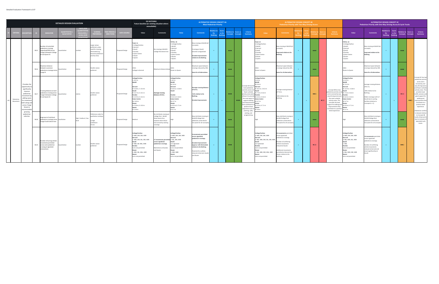|                       |                                                                                                                                                                               |      |                                                                                                                       | <b>DETAILED DESIGN EVALUATION</b>     |                                    |                                                                                                                  |                                 |                   | <b>DO NOTHING</b><br>Future baseline (or existing situation where<br>unavailable)                                                                                                                                               |                                                                                                                                      |                                                                                                                                                                                                         | <b>ALTERNATIVE DESIGN CONCEPT 4A</b>                                                                                                                                                                                 | <b>Most Pedestrian Priority</b>    |                |                         |                              |                                                                                                                                                                                                                                                                        |                                                                                                                                                                                                                                        | <b>Pedestrian Priority with Two-Way Driving Access</b>                                                                                                                                                                   |     | <b>ALTERNATIVE DESIGN CONCEPT 4B</b> |                         |              |                                                                                                                                                                                                                                                                        |                                                                                                                                                                                                                 | <b>ALTERNATIVE DESIGN CONCEPT 4C</b><br>Pedestrian Priority with One-Way Driving Access & Cycle Tracks                                                                       |                                            |                                  |                                              |                       |                                                                                                                                                                                                                                                                                                                             |
|-----------------------|-------------------------------------------------------------------------------------------------------------------------------------------------------------------------------|------|-----------------------------------------------------------------------------------------------------------------------|---------------------------------------|------------------------------------|------------------------------------------------------------------------------------------------------------------|---------------------------------|-------------------|---------------------------------------------------------------------------------------------------------------------------------------------------------------------------------------------------------------------------------|--------------------------------------------------------------------------------------------------------------------------------------|---------------------------------------------------------------------------------------------------------------------------------------------------------------------------------------------------------|----------------------------------------------------------------------------------------------------------------------------------------------------------------------------------------------------------------------|------------------------------------|----------------|-------------------------|------------------------------|------------------------------------------------------------------------------------------------------------------------------------------------------------------------------------------------------------------------------------------------------------------------|----------------------------------------------------------------------------------------------------------------------------------------------------------------------------------------------------------------------------------------|--------------------------------------------------------------------------------------------------------------------------------------------------------------------------------------------------------------------------|-----|--------------------------------------|-------------------------|--------------|------------------------------------------------------------------------------------------------------------------------------------------------------------------------------------------------------------------------------------------------------------------------|-----------------------------------------------------------------------------------------------------------------------------------------------------------------------------------------------------------------|------------------------------------------------------------------------------------------------------------------------------------------------------------------------------|--------------------------------------------|----------------------------------|----------------------------------------------|-----------------------|-----------------------------------------------------------------------------------------------------------------------------------------------------------------------------------------------------------------------------------------------------------------------------------------------------------------------------|
|                       |                                                                                                                                                                               |      | <b>INDICATOR</b>                                                                                                      | <b>UANTITATI</b><br><b>QUALTIATIV</b> | <b><i>AFASUE</i></b><br>LEVELS (FO |                                                                                                                  | <b>IE PER</b><br><b>IRECTIO</b> | <b>ATA SOURCE</b> | Value                                                                                                                                                                                                                           | <b>Comments</b>                                                                                                                      | Value                                                                                                                                                                                                   | <b>Comments</b>                                                                                                                                                                                                      | elative to<br>Do<br><b>Nothing</b> | Score<br>vs Do | lative to               | core vs<br>Concepts Concepts | <b>Criteria</b><br>Summary                                                                                                                                                                                                                                             | Value                                                                                                                                                                                                                                  | <b>Comments</b>                                                                                                                                                                                                          | Do: |                                      |                         |              | Criteria<br>Summary                                                                                                                                                                                                                                                    | Value                                                                                                                                                                                                           | <b>Comments</b>                                                                                                                                                              | Relative to<br><b>Do</b><br><b>Nothing</b> | Score<br>vs Do<br><b>Nothing</b> | <b>Iative</b> to<br><b>Concepts Concepts</b> | ore vs                | Criteria<br>Summary                                                                                                                                                                                                                                                                                                         |
|                       |                                                                                                                                                                               | M1.5 | Number of controlled<br>edestrian crossings<br>(signalised/POX) across<br>Yonge St between College<br>St and Queen St | uantitative                           | <b>umber</b>                       | Larger values<br>referred; unless<br>need for crossing<br>eliminated (e.g.<br>becomes pedestri<br>priority area) |                                 | Proposed Design   | Total: 11<br>1 College/Carlton<br>Gerrard<br>Gould<br>2 Dundas<br>1 Eaton Centre<br>2 Shuter<br>1 Queen                                                                                                                         | crossing at McGill /<br>ollege Park desire line.                                                                                     | TOTAL: 10<br>College/Carlton<br>McGill<br>Gerrard<br>Gould<br>Dundas<br>1 Eaton Centre<br>Shuter<br>Queen                                                                                               | lew crossing at McGill (all<br>ncepts);<br>crossings at Gould<br>ecomes unsignalized.<br><b>Greatest improvement</b><br>elative to Do Nothing.                                                                       |                                    |                | $\bullet\bullet\bullet$ |                              |                                                                                                                                                                                                                                                                        | Total: 12<br>1 College/Carlton<br>1 McGill<br>2 Gerrard<br>2 Gould<br>2 Dundas<br>1 Eaton Centre<br>2 Shuter<br>L Queen                                                                                                                | New crossing at McGill (all<br>oncepts).<br>Improved relative to Do<br>Nothing.                                                                                                                                          |     |                                      | $\bullet\bullet\bullet$ |              |                                                                                                                                                                                                                                                                        | <b>TOTAL: 12</b><br>College/Carlton<br>McGill<br>Gerrard<br>Gould<br>Dundas<br>Eaton Centre<br>Shuter<br>Queen                                                                                                  | New crossing at McGill (all<br>concepts).<br>Improved relative to Do<br>Nothing.                                                                                             | $+$                                        |                                  | $\bullet\bullet\bullet$                      |                       |                                                                                                                                                                                                                                                                                                                             |
|                       |                                                                                                                                                                               | M1.6 | Maximum distance<br>hetween successive<br>edestrian crossings across<br>onge St                                       | Quantitative                          |                                    | Smaller values<br>oreferred                                                                                      |                                 | Proposed Design   | College to Gerrard                                                                                                                                                                                                              | laximum distance betwe                                                                                                               | Shuter to Queen                                                                                                                                                                                         | Maximum space between<br>rossings reduced by 30%.<br>Same for all alternatives.                                                                                                                                      |                                    |                | $\bullet\bullet\bullet$ |                              |                                                                                                                                                                                                                                                                        | Shuter to Queen                                                                                                                                                                                                                        | Maximum space between<br>crossings reduced by 30%<br>Same for all alternatives.                                                                                                                                          |     |                                      | $\bullet\bullet\bullet$ |              |                                                                                                                                                                                                                                                                        | 55m<br>huter to Queen                                                                                                                                                                                           | Maximum space between<br>rossings reduced by 30%<br>Same for all alternatives.                                                                                               | $+$                                        |                                  | $\bullet\bullet\bullet$                      |                       |                                                                                                                                                                                                                                                                                                                             |
| Pedestrian<br>Movemen | Provides the<br>opportunity t<br>significantly<br>improve<br>pedestrian<br>novement b<br>adding space<br>or moveme<br>ooth along an<br>across Yonge<br>Street to<br>accommoda | M1.7 | rossing distances at each<br>bedestrian crossing across<br>Yonge St between College<br>St and Queen St                | Quantitative                          | metres                             | Smaller values<br>preferred                                                                                      |                                 | Proposed Design   | College/Carlton<br>S: 19.5 m<br>McGill<br>Serrard<br>N: 15.8 m; S: 13.4 m<br>N: 13.7 m; S: 13.1 m<br>Dundas<br>N: 12.9 m; S: 13.2 m<br><b>Eaton Centre</b><br>M: 12.8 m<br>Shutor<br>N: 12.8 m; S: 13.0 m<br>Queen<br>N: 13.8 m | <b>Average crossing</b><br>distance of 14 m.                                                                                         | College/Carlton<br>:8.5 m<br>McGill<br>M: 6.6 m<br>Gerrard<br>N: 6.8 m; S: 6.8 m<br>Dundas<br>N: 6.6 m; S: 6.6 m<br><b>Eaton Centre</b><br>M: 6.7 m<br>huter<br>N: 6.9 m; S: 7.1 m<br>Queen<br>N: 6.7 m | verage crossing distance<br>of 6.9 m;<br>-51% relative to Do<br>Nothing.<br>Greatest improvement.                                                                                                                    |                                    | $+$ $-$        | $\bullet\bullet\bullet$ | $-0.0.0$                     | Concept 4A has the<br>most pedestrian<br>priority zones and<br>fewer curbside<br>activity areas whic<br>allows it to provid<br>he most space to<br>support walking<br>and improvemen<br>that contribute to<br>positive street<br>experience such a<br>planting, cafés, | College/Carlton<br>$5:8.5 \; \text{m}$<br>McGill<br>M: 6.6 m<br>Gerrard<br>N: 10.2 m; S: 8.3 m<br>N: 7.4 m; S: 6.6 m<br>lunda<br>N: 6.6 m; S: 6.6 m<br><b>Eaton Centre</b><br>M: 6.7 m<br>$1:6.9 \text{ m}:S:7.1 \text{ m}$<br>1:9.8 m | <b>Average crossing distance</b><br>of 7.6 m;<br>-46% relative to Do<br>Nothing.                                                                                                                                         |     |                                      | $\bullet\bullet\circ$   | $\bullet$ OC | Concept 4B has two<br>pedestrian priority zone<br>and is serviced by two<br>way driving access and<br>the most curbside<br>activity areas. This<br>provides the least<br>support for walking an<br>improvements that<br>contribute to a positive<br>street experience. | ollege/Carlton<br>: 12.3 m<br><b>AcGill</b><br>4:11.6 m<br>errard<br>$1:11.9 \text{ m}; S:6.8 \text{ m}$<br>N: 7.4 m; S: 6.6 m<br>N: 6.6 m; S: 6.6 m<br>aton Centre<br>1:6.7m<br>N: 6.9 m; S: 7.1 m<br>N: 6.7 m | Average crossing distance<br>of 8.1 m;<br>-42% relative to Do<br>Nothing.<br>Wider crossings north of<br>Gould due to cycling<br>facilities (relative to<br>Concepts A + C)  | $+$                                        | $+$                              | $\bullet$ 00                                 | $\bullet\bullet\circ$ | Concept 4C has two<br>pedestrian priority<br>zones and is<br>serviced by one-<br>way driving access<br>and fewer curbside<br>activity areas. This<br>provides lower<br>traffic volumes and<br>good support for<br>walking and<br>mprovements that<br>contribute to a<br>positive street<br>experience.<br>edestrian comfort |
|                       | growing<br>pedestrian<br>volumes.                                                                                                                                             | M1.8 | gnment of mid-block<br>pedestrian crossings across<br>onge St with desire lines                                       | Qualitative                           | high / medium / low                | reference order fo<br>ualitative ranking<br>High<br>!) Medium<br>3) Low                                          |                                 | roposed Design    | Medium                                                                                                                                                                                                                          | lo mid-block crossing at<br>College Park - McGill<br>street desire line,<br>owever other desire<br>nes served by existing<br>ossings | igh                                                                                                                                                                                                     | New mid-block crossing at<br>McGill/College Park<br>ddresses unmet desire<br>ine (same for all concepts)                                                                                                             |                                    |                | $\bullet\bullet\bullet$ |                              | seating, and<br>programming                                                                                                                                                                                                                                            |                                                                                                                                                                                                                                        | New mid-block crossing at<br>McGill/College Park<br>ddresses unmet desire<br>line (same for all concepts).                                                                                                               |     |                                      | $\bullet\bullet\bullet$ |              |                                                                                                                                                                                                                                                                        |                                                                                                                                                                                                                 | New mid-block crossing at<br>McGill/College Park<br>ddresses unmet desire<br>line (same for all concepts                                                                     | $+$                                        |                                  | $\bullet\bullet\bullet$                      |                       | s reduced relative<br>to Concept 4B<br>north of Gerrard St<br>due to inclusion of<br>separated cycle<br>tracks.                                                                                                                                                                                                             |
|                       |                                                                                                                                                                               | M1.9 | Number of turning vehicle<br>ovements permitted<br>across each pedestrian<br>crossing at signalized<br>intersections  | Juantitative                          | number                             | Smaller values<br>preferred                                                                                      |                                 | Proposed Design   | College/Carlton<br>4: NBR, EBR, SBR, WBR<br>Gerrard<br>5: NBR, EBR, SBL, SBR, WBR<br>I: NBR. SBL WBL. WBR<br>turns not permitted<br>Shuter<br>4: NBR, SBL, WBL, WBR<br>turns not permitted                                      | 7 movements permitted<br>cross signalized<br>edestrian crossings.<br>estrictions at Dundas<br>nd Queen                               | College/Carlton<br>1: NBR, EBR, SBR, WBR<br>Gerrard<br>3: SBL, SBR, WBR<br>bluc<br>ot signalized<br>undas<br>urns not permitted<br>huter<br>: NBR, WBR<br>ueen<br>turns not permitted                   | movements permitted<br>across signalized<br>pedestrian crossings.<br>Greatest improvement<br>approx. half eliminated)<br>elative to Do Nothing.<br>Potential for conflicts<br>educed at Gerrard, Gould,<br>nd Shuter |                                    |                | $\bullet\bullet\bullet$ |                              |                                                                                                                                                                                                                                                                        | College/Carlton<br>4: NBR, EBR, SBR, WBR<br>Gerrard<br>S: NBL, NBR, EBR, SBL, SBR, WBR<br>uld<br>not signalized<br>Dundas<br>turns not permitted<br>Shuter<br>: NBL, NBR, EBR, WBL, WBR<br>turns not permitted                         | 15 movements permitted<br>across signalized<br>pedestrian crossings.<br>umber of conflicting<br>ehicle movements<br>educed at Gould.<br>dditional movements<br>mitted at Gerrard and<br>huter relative to Do<br>lothing. |     |                                      | $\bullet$ 00            |              |                                                                                                                                                                                                                                                                        | College/Carlton<br>: NBR, EBR, SBR, WBR<br>Serrard<br>: NBL, NBR, SBL, WBR<br>WBL<br>Jundas<br>urns not permitted<br>huter<br>: NBL, NBR, EBR, WBR<br>turns not permitted                                       | 3 movements permitted<br>cross signalized<br>edestrian crossings.<br>Number of conflicting<br>vehicle movements<br>educed at Gerrard and<br>most significantly) at<br>iould. | $+$ $ \,$                                  |                                  | $\bullet\bullet\circ$                        |                       |                                                                                                                                                                                                                                                                                                                             |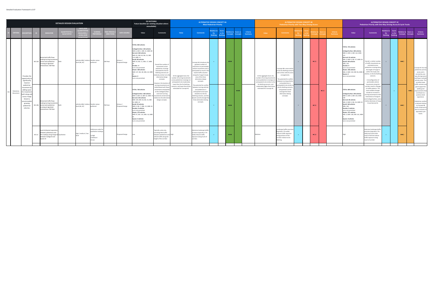|                       |                                                                                                                                                                                 |        |                                                                                                                                                                                                                                           | <b>DETAILED DESIGN EVALUATION</b>        |                                                                                  |                                                                                   |                                      |                                               | <b>DO NOTHING</b><br>Future baseline (or existing situation where<br>unavailable)                                                                                                                                                                                                                                                                                                                                                                                                                                                                     |                                                                                                                                                                                                                                                                                                                                                                                                                    |                                                                                                                                                                                                                      | <b>ALTERNATIVE DESIGN CONCEPT 4A</b>                                                                                                                                                                                                                                                                                                                                                                                                                                                        | <b>Most Pedestrian Priority</b>          |       |                                                    |                     |                     |                                                                                                                                                                                                                            | <b>ALTERNATIVE DESIGN CONCEPT 4B</b><br><b>Pedestrian Priority with Two-Way Driving Access</b>                                                                                                                                                                                                                             |  |                              |                            |                                                                                                                                                                                                                                                                                                                                                                                                                                                                                                  | <b>ALTERNATIVE DESIGN CONCEPT 4C</b><br>Pedestrian Priority with One-Way Driving Access & Cycle Tracks                                                                                                                                                                                                                                                                                                                                                                                              |                                     |                                 |                                                |                     |                                                                                                                                                                                                                                                                                                                          |
|-----------------------|---------------------------------------------------------------------------------------------------------------------------------------------------------------------------------|--------|-------------------------------------------------------------------------------------------------------------------------------------------------------------------------------------------------------------------------------------------|------------------------------------------|----------------------------------------------------------------------------------|-----------------------------------------------------------------------------------|--------------------------------------|-----------------------------------------------|-------------------------------------------------------------------------------------------------------------------------------------------------------------------------------------------------------------------------------------------------------------------------------------------------------------------------------------------------------------------------------------------------------------------------------------------------------------------------------------------------------------------------------------------------------|--------------------------------------------------------------------------------------------------------------------------------------------------------------------------------------------------------------------------------------------------------------------------------------------------------------------------------------------------------------------------------------------------------------------|----------------------------------------------------------------------------------------------------------------------------------------------------------------------------------------------------------------------|---------------------------------------------------------------------------------------------------------------------------------------------------------------------------------------------------------------------------------------------------------------------------------------------------------------------------------------------------------------------------------------------------------------------------------------------------------------------------------------------|------------------------------------------|-------|----------------------------------------------------|---------------------|---------------------|----------------------------------------------------------------------------------------------------------------------------------------------------------------------------------------------------------------------------|----------------------------------------------------------------------------------------------------------------------------------------------------------------------------------------------------------------------------------------------------------------------------------------------------------------------------|--|------------------------------|----------------------------|--------------------------------------------------------------------------------------------------------------------------------------------------------------------------------------------------------------------------------------------------------------------------------------------------------------------------------------------------------------------------------------------------------------------------------------------------------------------------------------------------|-----------------------------------------------------------------------------------------------------------------------------------------------------------------------------------------------------------------------------------------------------------------------------------------------------------------------------------------------------------------------------------------------------------------------------------------------------------------------------------------------------|-------------------------------------|---------------------------------|------------------------------------------------|---------------------|--------------------------------------------------------------------------------------------------------------------------------------------------------------------------------------------------------------------------------------------------------------------------------------------------------------------------|
|                       |                                                                                                                                                                                 |        | <b>NDICATO</b>                                                                                                                                                                                                                            | <b>OUANTITATIVE</b><br><b>QUALTIATIV</b> | <b>UNITS (FOR</b><br><b>UANTITAT</b><br><b>LEVELS (FO)</b><br><b>TIALITAT</b>    | <b>SCORING</b><br>REFERENCE                                                       | <b>ME PERIOD</b><br><b>DIRECTION</b> | <b>ATA SOURCE</b>                             | Value                                                                                                                                                                                                                                                                                                                                                                                                                                                                                                                                                 | Comments                                                                                                                                                                                                                                                                                                                                                                                                           | Value                                                                                                                                                                                                                | <b>Comments</b>                                                                                                                                                                                                                                                                                                                                                                                                                                                                             | elative to Score<br>Do<br><b>Nothing</b> | vs Do | elative to<br>oncepts                              | Score vs<br>oncepts | Criteria<br>Summary | Value                                                                                                                                                                                                                      | Commen                                                                                                                                                                                                                                                                                                                     |  |                              | <b>Criteria</b><br>Summarv | Value                                                                                                                                                                                                                                                                                                                                                                                                                                                                                            | <b>Comments</b>                                                                                                                                                                                                                                                                                                                                                                                                                                                                                     | Relative to<br>Do<br><b>Nothing</b> | Score<br>vs Do<br><b>Nothin</b> | elative to<br>Concepts                         | onre vs<br>Concepts | Criteria<br>Summary                                                                                                                                                                                                                                                                                                      |
| Pedestriar<br>Movemen | Provides the<br>opportunity t<br>significantly<br>improve<br>pedestriar<br>novement b<br>adding space<br>for movemen<br>oth along ar<br>across Yonge<br>Street to<br>ccommodati |        | <b>Motorized traffic flows</b><br>aking turning movemen<br>M1.10a across each pedestrian<br>ossing at signalized<br>intersections: AM Peak<br>lotorized traffic flows                                                                     |                                          | vehicles (4B) / relative Smaller values<br>level (4A, 4C)                        | oreferred                                                                         | AM Peak                              | \imsun /<br>roposed Design                    | <b>TOTAL: 802 vehicles</b><br>College/Carlton: 120 vehicles<br>NBR: 6, EBR: 2, SBR: 32, WBR: 80<br>Gerrard: 302 vehicles<br>NBR: 45, EBR: 64, SBL: 53, SBR:<br>119. WBR: 21<br>Gould: 80 vehicles<br>VBR: 24, SBL: 11, WBL: 17, WBR:<br>Dundas: 0<br>turns not permitted<br>Shuter: 300 vehicles<br>NBR: 147, SBL: 48, WBL: 63, WBF<br>Queen: 0<br>turns not permitted<br><b>TOTAL: 760 vehicles</b><br>College/Carlton: 160 vehicles<br>NBR: 9, EBR: 14, SBR: 62, WBR: 7<br>Gerrard: 235 vehicles<br>NBR: 109, EBR: 44, SBL: 33, SBR:<br>39, WBR: 10 | Overall the number of<br>movements across<br>pedestrian crossings<br>estimated for the Do<br>Nothing scenario are<br>latively similar to to th<br>alternative design<br>concepts.<br>owever, the location o<br>turning movements are<br>redistributed with fewer<br>movements anticipated<br>at the College/Carlton<br>and more turning<br>novements at Gerrard S<br>elative to the alternativ<br>design concepts. | At the aggregate level, the<br>umber of turning movement<br>across pedestrian crossings are<br>anticipated to be moderately<br>lower than the Do Nothing<br>enario, and lower than tho:<br>estimated for Concept 4C. | Concept 4A introduces the<br>greatest number of<br>restrictions to permissible<br>vehicle movements and is<br>anticipated to result in the<br>lowest traffic volumes<br>along the Yonge St study<br>area of the three<br>alternative design<br>concepts.<br>he potential for conflict<br>tween turning vehicles<br>and pedestrians is<br>anticipated to be lower<br>relatative to the Do<br>Nothing scenario, and the<br>owest overall amongst the<br>three alternative desing<br>concepts. | $+$                                      |       | $\bullet\bullet\bullet$                            | $\bullet$           |                     | At the aggregate level, the<br>number of turning movements<br>across pedestrian crossings are<br>anticipated to be similar to the<br>Do Nothing scenario, and<br>moderately higher than those<br>estimated for Concept 4C. | Concept 4B is most similar<br>to the Do Nothing scenario<br>with similar vehicle acces<br>arrangements.<br>he potential for conflict<br>etween turning vehicles<br>and pedestrians is<br>ticipated to be similar<br>he Do Nothing scenario<br>and greatest overall<br>amongst the three<br>alternative desing<br>concepts. |  | $\bullet$ 00                 |                            | <b>TOTAL: 725 vehicles</b><br>College/Carlton: 284 vehicles<br>NBR: 0, EBR: 0, SBR: 163, WBR:<br>Gerrard: 91 vehicles<br>NBL: 0, NBR: 0, SBL: 47, WBR: 44<br>Gould: 104 vehicles<br><b>WBL: 104</b><br>Dundas: 0<br>turns not permitted<br>Shuter: 246 vehicles<br>NBL: 0, NBR: 150, EBR: 96, WBR<br>Queen: 0<br>turns not permitted<br><b>TOTAL: 809 vehicles</b><br>College/Carlton: 293 vehicles<br>NBR: 0, EBR: 0, SBR: 103, WBR:<br>Gerrard: 85 vehicles<br>NBL: 0, NBR: 0, SBL: 36, WBR: 4 | Overall, a similar number<br>of traffic movements are<br>estimated across<br>pedestrian crossing along<br>the length of Yonge St<br>within the study area<br>elative, to the Do Nothin<br>scenario.<br>A reconfiguration of<br>permissible vehicle<br>movements along the<br>corridor result in change:<br>to traffic patterns. The<br>most notable changes<br>include an increase in<br>rning movements at the<br>intersection of Yonge St<br>and College/Carlton, and<br>elative decrease at Yong | $=$                                 |                                 | $\bullet\bullet\circ$                          | $^{\bullet}$        | oncept 4C has two<br>edestrian priority<br>zones and is<br>serviced by one-<br>way driving access<br>and fewer curbside<br>activity areas. Thi<br>provides lower<br>traffic volumes and<br>good support for<br>walking and<br>nprovements that<br>contribute to a<br>positive street<br>experience.<br>edestrian comfort |
|                       | growing<br>pedestrian<br>volumes.                                                                                                                                               | M1.10b | aking turning movement<br>ross each pedestrian<br>ssing at signalized<br>tersections: PM Peak<br>evel of physical separatio<br>tween pedestrians and<br>M1.11 the roadway along Yonge St Qualitative<br>between College St and<br>ueen St | oth                                      | vehicles (4B) / relative Smaller values<br>level (4A, 4C)<br>high / medium / low | referred<br>Preference order fo<br>ualitative ranking<br>High<br>Medium<br>l) Low | PM Peak                              | Aimsun /<br>roposed Design<br>Proposed Design | Gould: 93 vehicles<br>NBR: 9, SBL: 7, WBL: 33, WBR: 44<br>Dundas: 0 vehicles<br>turns not permitted<br>Shuter: 272 vehicles<br>NBR: 97, SBL: 114, WBL: 16, WBR<br>Queen: 0 vehicles<br>turns not permitted                                                                                                                                                                                                                                                                                                                                            | Typically curbs only,<br>providing little buffer<br>between pedestrians and High<br>vehicle traffic along the<br>length of the corridor.                                                                                                                                                                                                                                                                           |                                                                                                                                                                                                                      | Extensive landscape buffe<br>provision (typically 2.7m<br>wide) reduces traffic<br>exposure along much of<br>corridor.                                                                                                                                                                                                                                                                                                                                                                      |                                          |       | $\bullet\bullet\bullet$<br>$\bullet\bullet\bullet$ |                     |                     | Medium                                                                                                                                                                                                                     | Landscape buffer provisio<br>(typically 2.7m wide)<br>reduces traffic exposure<br>along portions of the<br>corridor relative to Do<br>lothing.                                                                                                                                                                             |  | $\bullet$ 00<br>$\bullet$ 00 |                            | Gould: 160 vehicles<br>WBL: 160<br><b>Dundas: 0 vehicles</b><br>turns not permitted<br>Shuter: 271 vehicles<br>NBL: 0, NBR: 128, EBR: 141, WBR<br>Queen: 0 vehicles<br>turns not permitted                                                                                                                                                                                                                                                                                                       | St and Gerrard St.<br>xtensive landscape buffe<br>provision (typically 2.7m<br>vide) and cycle tracks<br>north of Gerrard reduce<br>raffic exposure along<br>nuch of corridor                                                                                                                                                                                                                                                                                                                       | $=$                                 |                                 | $\bullet\bullet\circ$<br>$\bullet\bullet\circ$ |                     | s reduced relative<br>to Concept 4B<br>north of Gerrard St<br>due to inclusion of<br>separated cycle<br>tracks.                                                                                                                                                                                                          |
|                       |                                                                                                                                                                                 |        |                                                                                                                                                                                                                                           |                                          |                                                                                  |                                                                                   |                                      |                                               |                                                                                                                                                                                                                                                                                                                                                                                                                                                                                                                                                       |                                                                                                                                                                                                                                                                                                                                                                                                                    |                                                                                                                                                                                                                      |                                                                                                                                                                                                                                                                                                                                                                                                                                                                                             |                                          |       |                                                    |                     |                     |                                                                                                                                                                                                                            |                                                                                                                                                                                                                                                                                                                            |  |                              |                            |                                                                                                                                                                                                                                                                                                                                                                                                                                                                                                  |                                                                                                                                                                                                                                                                                                                                                                                                                                                                                                     |                                     |                                 |                                                |                     |                                                                                                                                                                                                                                                                                                                          |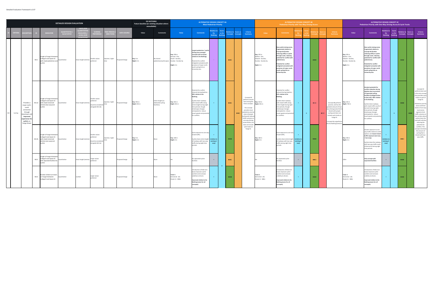|         |                                                                                                                                           |      |                                                                                                                         | <b>DETAILED DESIGN EVALUATION</b> |                        |                                                                      |                          |                    | <b>DO NOTHING</b><br>Future baseline (or existing situation where<br>unavailable) |                                                            |                                                               | <b>ALTERNATIVE DESIGN CONCEPT 4A</b>                                                                                                                                                                                                                                                                  | <b>Most Pedestrian Priority</b>            |                        |                                                |                                                                                                                                                                                                                                                                 |                                                                                     | <b>ALTERNATIVE DESIGN CONCEPT 4B</b><br>Pedestrian Priority with Two-Way Driving Access                                                                                                                                                                                                                         |                                     |     |                              |                                                                                                                                                                                                                                                         |                                                                                     | <b>ALTERNATIVE DESIGN CONCEPT 4C</b><br>Pedestrian Priority with One-Way Driving Access & Cycle Tracks                                                                                                                                                                                                                                                                                                   |                                   |                        |                              |                         |                                                                                                                                                                                                                                                                                                                                           |
|---------|-------------------------------------------------------------------------------------------------------------------------------------------|------|-------------------------------------------------------------------------------------------------------------------------|-----------------------------------|------------------------|----------------------------------------------------------------------|--------------------------|--------------------|-----------------------------------------------------------------------------------|------------------------------------------------------------|---------------------------------------------------------------|-------------------------------------------------------------------------------------------------------------------------------------------------------------------------------------------------------------------------------------------------------------------------------------------------------|--------------------------------------------|------------------------|------------------------------------------------|-----------------------------------------------------------------------------------------------------------------------------------------------------------------------------------------------------------------------------------------------------------------|-------------------------------------------------------------------------------------|-----------------------------------------------------------------------------------------------------------------------------------------------------------------------------------------------------------------------------------------------------------------------------------------------------------------|-------------------------------------|-----|------------------------------|---------------------------------------------------------------------------------------------------------------------------------------------------------------------------------------------------------------------------------------------------------|-------------------------------------------------------------------------------------|----------------------------------------------------------------------------------------------------------------------------------------------------------------------------------------------------------------------------------------------------------------------------------------------------------------------------------------------------------------------------------------------------------|-----------------------------------|------------------------|------------------------------|-------------------------|-------------------------------------------------------------------------------------------------------------------------------------------------------------------------------------------------------------------------------------------------------------------------------------------------------------------------------------------|
|         |                                                                                                                                           |      | <b>INDICATOR</b>                                                                                                        | .                                 | <b>EVELS</b>           |                                                                      |                          | <b>DATA SOURCE</b> | Value                                                                             | <b>Comments</b>                                            | Value                                                         | <b>Comments</b>                                                                                                                                                                                                                                                                                       | lative to<br>Do<br><b>Nothing</b>          | vs Do<br><b>Nothin</b> | elative to<br>core vs<br>oncepts<br>oncepts    | Criteria<br><b>Summary</b>                                                                                                                                                                                                                                      | Value                                                                               | <b>Comments</b>                                                                                                                                                                                                                                                                                                 |                                     |     |                              | Criteria                                                                                                                                                                                                                                                | Value                                                                               | <b>Comments</b>                                                                                                                                                                                                                                                                                                                                                                                          | elative t<br>Do<br><b>Nothing</b> | vs Do<br><b>Nothin</b> | elative t<br><b>Concepts</b> | Concen                  | Criteria<br>Summary                                                                                                                                                                                                                                                                                                                       |
|         |                                                                                                                                           | M2.1 | Length of Yonge St betwee<br>College St and Queen St<br>with mixed pedestrians and Quantitative<br>cyclists             |                                   | linear length (metres) | Smaller values<br>preferred                                          | daytime / night-<br>time | roposed Design     | Day: 0 m<br>Night: 0 m                                                            | No shared<br>pedestrian/cyclist space.  Dundas - Dundas Sq | Day: 290 m<br>Serrard - Elm;<br>iould - Dundas;<br>Vight: 0 m | Largest pedestrian / cyclist<br>mixing zone amongst<br>concepts (all increased<br>relative to Do Nothing).<br>Potential for conflict<br>mitigated somewhat with<br>provision of major north-<br>south cycling link on<br>University Ave.                                                              |                                            |                        | $\bullet\bullet\circ$                          |                                                                                                                                                                                                                                                                 | Day: 205 m<br>Walton - Elm;<br>Edward - Dundas;<br>Dundas - Dundas Sq<br>Night: 0 m | New cyclist mixing zones,<br>fragmented relative to<br>Concept 4A (further<br>reducing utility as cyclist<br>through route, reducing<br>otential for conflict with<br>edestrians).<br>otential for conflict<br>mitigated somewhat with<br>provision of major north-<br>south cycling link on<br>Jniversity Ave. |                                     |     | $\bullet\bullet\bullet$      |                                                                                                                                                                                                                                                         | Day: 205 m<br>Walton - Elm;<br>Edward - Dundas;<br>Dundas - Dundas Sq<br>Night: 0 m | New cyclist mixing zones,<br>fragmented relative to<br><b>Concept 4A (further</b><br>reducing utility as cyclist<br>through route, reducing<br>potential for conflict with<br>pedestrians).<br>Potential for conflict<br>mitigated somewhat with<br>provision of major north-<br>south cycling link on<br><b>Jniversity Ave.</b>                                                                         |                                   |                        | $\bullet\bullet\bullet\quad$ |                         |                                                                                                                                                                                                                                                                                                                                           |
| Cycling | Provides a<br>major north-<br>south<br>connection<br>through<br>wntown a<br>improved<br>xperience f<br>cyclists on<br><b>Yonge Street</b> |      | Length of Yonge St betwee<br>ollege St and Queen St<br>M2.2a with mixed motorised<br>vehicles (two-way) and<br>yclists: | Quantitative                      | linear length (metres) | Smaller values<br>referred<br>(must be considere<br>alongside M2.2b) | daytime / night-         | roposed Design     | Day: 935 m<br>Night: 935 m                                                        | intire length (no<br>dedicated cycling<br>acilities).      | <b>Day:</b> 465 m<br>Night: 935 m                             | Potential for conflict<br>reduced during daytime;<br>50% relative to Do<br><b>Nothing</b><br>Cyclists share roadway<br>with mixed traffic along<br>entire length during night<br>time periods, though<br>streetscape changes<br>anticipated to reduce<br>travel speeds and potentia<br>for conflicts. |                                            |                        | $\bullet\bullet\circ$<br>$\bullet\bullet\circ$ | Concept 4A<br>performs second<br>best among the Day: 550 m<br>three concepts.<br>This concept<br>provides more<br>pedestrian priori<br>areas of people<br>cycling and reduce<br>traffic volumes or<br>one-way driving<br>access blocks, but<br>does not include | Night: 935 m                                                                        | Potential for conflict<br>reduced during daytime;<br>41% relative to Do<br>Nothing<br>Cyclists share roadway<br>with mixed traffic along<br>entire length during night<br>time periods, though<br>treetscape changes<br>nticipated to reduce<br>travel speeds and potential<br>or conflicts.                    | $+$                                 | $+$ | $\bullet$ 00<br>$\bullet$ oc | Concept 4B performs Day: 165 m<br>poorest, and has the<br>greatest amount of two<br>way driving access that i<br>shared with people<br>cycling and does not<br>include cycle tracks or<br>Yonge St.<br>Concept 4b outperform<br>the Do Nothing Scenario |                                                                                     | <b>Greatest potential for</b><br>conflict reduction during<br>daytime due to provision<br>of separated cycling<br>facilities (College/Carlton<br>to Gerrard); -82% relative<br>to Do Nothing.<br>Cyclists share roadway<br>with mixed traffic south of<br>Gerrard St during night<br>time periods, though<br>streetscape changes<br>inticipated to reduce<br>ravel speeds and potentia<br>for conflicts. | $+$                               | $+$ $\,$               | $\bullet\bullet\bullet$ .    | $\bullet\bullet\bullet$ | Concept 4C<br>performs best and<br>is the only concept<br>that provides cycle<br>tracks on part of<br>Yonge St.<br>Pedestrian priority<br>areas and three<br>blocks of one-way<br>local-access<br>segments limit<br>traffic volumes on<br>the corridor where<br>cyclists share the<br>oad with vehicles,<br>reducing the<br>potential for |
|         |                                                                                                                                           |      | Length of Yonge St betwee<br>ollege St and Queen St<br>M2.2b with mixed motorised<br>vehicles (one-way) and<br>yclists  | Quantitative                      | linear length (metres) | Smaller values<br>eferred<br>(must be conside<br>alongside M2.2a)    | daytime / night-         | roposed Design     | Day: 0 m<br>Night: 0 m                                                            | one                                                        | Day: 180 m<br>Night: 0 m                                      | Some exposure to one-way<br>mixed traffic;<br>Cyclists share entire length<br>of roadway with two-way<br>traffic during night time<br>periods.                                                                                                                                                        | <b>Irelative to</b><br>existing 2-<br>way) |                        | $\bullet\bullet\bullet$                        | cycle tracks on<br>Yonge St.                                                                                                                                                                                                                                    | Day: 180 m<br>Night: 0 m                                                            | Some exposure to one-way<br>mixed traffic;<br>Cyclists share entire length<br>of roadway with two-way<br>traffic during night time<br>periods.                                                                                                                                                                  | (relative to<br>existing 2-<br>way) |     | $\bullet\bullet\bullet$ .    |                                                                                                                                                                                                                                                         | Day: 330 m<br>Night: 0 m                                                            | Greater exposure to one-<br>way traffic relative to othe<br>options, but <b>lowest mixe</b><br>traffic exposure (one-way<br>two-way).<br>Cyclists share the roadway<br>with two-way traffic south<br>of Gerrard St during night<br>time periods.                                                                                                                                                         | relative t<br>existing 2<br>way)  |                        | $\bullet\bullet\circ$        |                         | conflicts. This<br>oncept minimizes<br>the amount of<br>cycling that is<br>shared with two-<br>way traffic.                                                                                                                                                                                                                               |
|         |                                                                                                                                           | M2.3 | ingth of Yonge St betwee<br>College St and Queen St<br>rith separated facilities for<br>clists                          | Quantitative                      | linear length (metres) | Larger values<br>preferred                                           |                          | roposed Design     |                                                                                   | one                                                        |                                                               | No separated cyclist<br>facilities                                                                                                                                                                                                                                                                    | $\equiv$                                   |                        | $\bullet\bullet\circ$                          |                                                                                                                                                                                                                                                                 |                                                                                     | No separated cyclist<br>facilities                                                                                                                                                                                                                                                                              | $\equiv$                            |     | $\bullet\bullet\circ$        |                                                                                                                                                                                                                                                         |                                                                                     | Only concept with<br>separated facilities                                                                                                                                                                                                                                                                                                                                                                | $\sim$                            |                        | $\bullet\bullet\bullet$      |                         |                                                                                                                                                                                                                                                                                                                                           |
|         |                                                                                                                                           |      | Number of bike turn boxe:<br>M2.4 on Yonge St between<br>College St and Queen St                                        | Quantitative                      | number                 | Larger values<br>preferred                                           |                          | roposed Design     |                                                                                   | one                                                        | Total: 5<br>Gerrard (4 - all)<br>Shuter (1 - WBL)             | troduction of bike turn<br>boxes improves cyclist<br>comfort and increases<br>visibility to drivers.<br>Improved relative to Do<br>Nothing (same for all<br>oncepts).                                                                                                                                 |                                            | $+$                    | $\bullet\bullet\bullet$                        |                                                                                                                                                                                                                                                                 | Total: 5<br>Gerrard (4 - all)<br>Shuter (1 - WBL)                                   | roduction of bike turn<br>oxes improves cyclist<br>comfort and increases<br>sibility to drivers.<br>Improved relative to Do<br>Nothing (same for all<br>ncepts).                                                                                                                                                |                                     |     | $\bullet\bullet\bullet$      |                                                                                                                                                                                                                                                         | Total: 5<br>Gerrard (4 - all)<br>Shuter (1 - WBL)                                   | troduction of bike turn<br>oxes improves cyclist<br>comfort and increases<br>isibility to drivers.<br>Improved relative to Do<br>Nothing (same for all<br>oncepts).                                                                                                                                                                                                                                      | $+$                               |                        | $\bullet\bullet\bullet\quad$ |                         |                                                                                                                                                                                                                                                                                                                                           |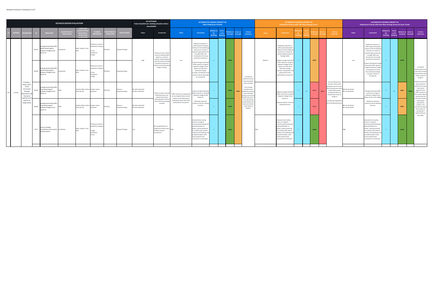|                                                                                                      |       |                                                                                                | <b>DETAILED DESIGN EVALUATION</b>        |                                                                       |                                                                             |                                    |                          | <b>DO NOTHING</b><br>Future baseline (or existing situation where<br>unavailable) |                                                                                                       |                                                                                                | <b>ALTERNATIVE DESIGN CONCEPT 4A</b>                                                                                                                                                                                                                                           | <b>Most Pedestrian Priority</b>    |                                         |                                                             |                                                                                                                                        |        | Pedestrian Priority with Two-Way Driving Access                                                                                                                                                                                                                              | <b>ALTERNATIVE DESIGN CONCEPT 4B</b> |       |                         |           |                                                                                                                                                                   |                                          | <b>ALTERNATIVE DESIGN CONCEPT 4C</b><br>Pedestrian Priority with One-Way Driving Access & Cycle Tracks                                                                                                                                                                 |                                                    |                         |                               |                           |                                                                                                                                                                 |
|------------------------------------------------------------------------------------------------------|-------|------------------------------------------------------------------------------------------------|------------------------------------------|-----------------------------------------------------------------------|-----------------------------------------------------------------------------|------------------------------------|--------------------------|-----------------------------------------------------------------------------------|-------------------------------------------------------------------------------------------------------|------------------------------------------------------------------------------------------------|--------------------------------------------------------------------------------------------------------------------------------------------------------------------------------------------------------------------------------------------------------------------------------|------------------------------------|-----------------------------------------|-------------------------------------------------------------|----------------------------------------------------------------------------------------------------------------------------------------|--------|------------------------------------------------------------------------------------------------------------------------------------------------------------------------------------------------------------------------------------------------------------------------------|--------------------------------------|-------|-------------------------|-----------|-------------------------------------------------------------------------------------------------------------------------------------------------------------------|------------------------------------------|------------------------------------------------------------------------------------------------------------------------------------------------------------------------------------------------------------------------------------------------------------------------|----------------------------------------------------|-------------------------|-------------------------------|---------------------------|-----------------------------------------------------------------------------------------------------------------------------------------------------------------|
|                                                                                                      |       | <b>VDICATOR</b>                                                                                | <b>OUANTITATIVE</b><br><b>QUALTIATIV</b> | JNITS (FO<br><b>QUANTITAT</b><br><b>MEASURE</b><br><b>LEVELS (FOI</b> | SCORIN<br>EFERENCE                                                          | <b>ME PERIC</b><br><b>IRECTION</b> | <b>DATA SOUR</b>         | Value                                                                             | <b>Comments</b>                                                                                       | Value                                                                                          | <b>Comments</b>                                                                                                                                                                                                                                                                | elative to<br>Do<br><b>Nothing</b> | <b>Score</b><br>vs Do<br><b>Nothing</b> | elative to<br>core vs<br><b>Concepts</b><br><b>Concepts</b> | Criteria<br>Summary                                                                                                                    | Value  | Comment                                                                                                                                                                                                                                                                      | Do.                                  | rs Do |                         |           | Criteria<br><b>Summary</b>                                                                                                                                        | Value                                    | <b>Comments</b>                                                                                                                                                                                                                                                        | Relative to Score<br>Do <b>D</b><br><b>Nothing</b> | vs Do<br><b>Nothing</b> | elative to<br><b>Concepts</b> | nre vs<br><b>Concepts</b> | Criteria<br>Summary                                                                                                                                             |
|                                                                                                      | M2.5a | Average (motorized) traffi<br>speed along Yonge St<br>between College St and<br>Queen St       | Qualitative                              | high / medium / low                                                   | Preference order for<br>qualitative rankings:<br>Low<br>) Medium<br>High    | AM Peak                            | roposed Design           | High                                                                              | Vehicles on the corridor<br>nove at relatively high<br>speed as a result of<br>ehicle-oriented desigr | Low                                                                                            | Moderate reduction in<br>traffic speed anticipated<br>relative to the Do Nothing<br>Scenario as a result of<br>reduced opportunities for<br>through traffic and<br>introduction of turning<br>movement restrictions.                                                           |                                    |                                         | $\bullet\bullet\bullet$                                     |                                                                                                                                        | Medium | Moderate reduction in<br>traffic speed anticipated<br>relative to the Do Nothing<br>Scenario as a result of<br>reduced opportunities for<br>through traffic.<br>lighest average motorize                                                                                     |                                      |       | $\bullet\bullet\circ$   |           |                                                                                                                                                                   | Low                                      | Moderate reduction in<br>traffic speed anticipated<br>relative to the Do Nothin<br>Scenario as a result of<br>educed opportunities fo<br>through traffic and<br>introduction of turning<br>movement restrictions.                                                      | $+$                                                |                         | $\bullet\bullet\bullet$       |                           |                                                                                                                                                                 |
| Provides a                                                                                           | M2.5b | Average (motorized) traffic<br>speed along Yonge St<br>between College St and<br>Queen St      | lualitative                              | high / medium / low                                                   | Preference order for<br>ualitative rankings:<br>Low<br>2) Medium<br>3) High | M Peak                             | Proposed Design          |                                                                                   | rith few vehicle turnin<br>novement restrictions<br>lative to the alternativ<br>design concepts.      |                                                                                                | owest average motorized<br>traffic speed on Yonge St<br>between College St and<br>Queen St of the three<br>alternative design<br>concepts, anticipates to be<br>similar to those estimated<br>for Concept 4C.                                                                  |                                    |                                         |                                                             | Concept 4A<br>performs second<br>best among th                                                                                         |        | traffic speed on Yonge St<br>between College St and<br>Queen St of the three<br>alternative design<br>oncepts, anticipated to b<br>greater than those<br>estimated for Concept 4C                                                                                            |                                      |       |                         |           | Concept 4B performs                                                                                                                                               |                                          | owest anticipated average<br>notorized traffic speed o<br>onge St between College<br>St and Queen St of the<br>three alternative design<br>concepts, similar to<br>Concept 4A.                                                                                         |                                                    |                         |                               |                           | Concept 4C<br>performs best and<br>is the only concept<br>that provides cycle<br>tracks on part of<br>Yonge St.<br>Pedestrian priority                          |
| major north-<br>south<br>connection<br>through<br>Cycling<br>lowntown an<br>improved<br>experience f | M2.6a | <b>Werage (motorized) traffic</b><br>flow along Yonge St<br>between College St and<br>Queen St |                                          | vehicles (4B) / relative Smaller values<br>level (4A, 4C)             | preferred                                                                   | AM Peak                            | /imsun<br>roposed Design | NB: 587 vehicles/hr<br>SB: 481 vehicles/hr                                        | raffic volumes in the Do<br>Nothing scenario are<br>greater than those<br>nticipated for all thre     | Traffic volumes are expected to<br>be most significantly reduced<br>relative to Do Nothing and | Lowest average motorized<br>affic volumes on Yonge S<br>between College St and<br>Queen St.                                                                                                                                                                                    |                                    |                                         | $\bullet\bullet\bullet$<br>$\bullet \bullet \circ$          | three concepts.<br>This concept<br>provides more<br>pedestrian priority<br>areas of people<br>cycling and reduce<br>traffic volumes or |        | Highest average motorize<br>traffic volumes on Yonge S<br>between College St and<br>Queen St.                                                                                                                                                                                |                                      |       | $\bullet$ 00            | $\bullet$ | poorest, and has the<br>greatest amount of two<br>way driving access that i<br>shared with people<br>cycling and does not<br>include cycle tracks or<br>Yonge St. | NB: 68 vehicles/hr<br>5B: 31 vehicles/hr | Average motorized traffic<br>volumes on Yonge St<br>between College St and<br>Queen St sits in the middle                                                                                                                                                              | $+$                                                | $+$                     | $\bullet\bullet\circ$         | $-0.00$                   | areas and three<br>blocks of one-way<br>local-access<br>segments limit<br>traffic volumes on<br>the corridor where<br>cyclists share the<br>road with vehicles, |
| cyclists on<br>Yonge Street.                                                                         | M2.6b | Average (motorized) traffic<br>flow along Yonge St<br>etween College St and<br>Queen St        |                                          | vehicles (4B) / relative Smaller values<br>level (4A, 4C)             | preferred                                                                   | PM Peak                            | imsun/<br>roposed Design | NB: 422 vehicles/hr<br>SB: 232 vehicles/hr                                        | of the alternative desig<br>concepts.                                                                 | noderately lower than those<br>estimated for Concept 4C.                                       | Moderate reduction<br>lative to the Do nothing<br>Scenario.                                                                                                                                                                                                                    |                                    |                                         | $\bullet\bullet\bullet$                                     | one-way driving<br>access blocks, bu<br>does not include<br>cycle tracks on<br>Yonge St.                                               |        | Reduced relative to the D<br>Nothing Scenario.                                                                                                                                                                                                                               |                                      |       | $\bullet$ 00            |           | Concept 4b outperforn<br>the Do Nothing Scenari                                                                                                                   | NB: 53 vehicles/hr<br>5B: 40 vehicles/hr | Moderate reduction<br>relative to the Do Nothin<br>Scenario.                                                                                                                                                                                                           | $+$                                                |                         | $\bullet\bullet\circ$         |                           | reducing the<br>potential for<br>conflicts. This<br>oncept minimizes<br>the amount of<br>cycling that is<br>shared with two-<br>way traffic.                    |
|                                                                                                      |       | Level of strategic<br>M2.7 contribution to the overall Qualitative<br>cycling network          |                                          | high / medium / low                                                   | Preference order for<br>qualitative rankings<br>High<br>2) Medium<br>3) Low |                                    | Proposed Design          |                                                                                   | o cycling facilities on<br>onge St for local access /<br>oader network<br>nnections.                  |                                                                                                | Improved local cycling<br>access on Yonge St,<br>connects with existing and<br>planned facilities on<br>Shuter, reduces potential<br>for conflicts with vehicles<br>relative to Do Nothing, and<br>provides broader north-<br>south network-level<br>connection on University. |                                    |                                         | $-0.00$                                                     |                                                                                                                                        |        | Improved local cycling<br>access on Yonge St,<br>connects with existing and<br>planned facilities on<br>shuter, reduces potential<br>for conflicts with vehicles<br>relative to Do Nothing, an<br>provides broader north-<br>outh network-level<br>connection on University. |                                      |       | $\bullet\bullet\bullet$ |           |                                                                                                                                                                   |                                          | mproved local cycling<br>ccess on Yonge St,<br>onnects with existing and<br>lanned facilities on<br>huter, reduces potential<br>for conflicts with vehicles<br>relative to Do Nothing, an<br>provides broader north-<br>outh network-level<br>onnection on University. | $+$                                                |                         | $\bullet\bullet\bullet$       |                           |                                                                                                                                                                 |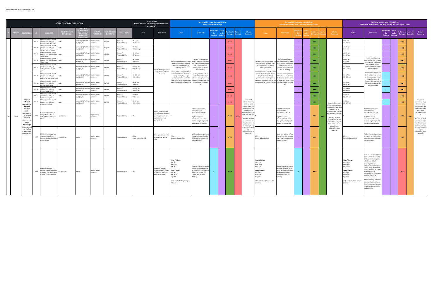|         |                                                                                                                   |       |                                                                                                           | <b>DETAILED DESIGN EVALUATION</b>      |                                         |                             |                  |                             | <b>DO NOTHING</b><br>Future baseline (or existing situation where<br>unavailable) |                                                                                                                  |                                                                                                                                                                   | <b>ALTERNATIVE DESIGN CONCEPT 4A</b>                                                                                                                                     | <b>Most Pedestrian Priority</b> |                        |                                                 |                                                                                                                                                                                            |                                                                                                                                                                 | <b>Pedestrian Priority with Two-Way Driving Access</b>                                                                                                                   | <b>ALTERNATIVE DESIGN CONCEPT 4B</b> |                         |                         |                                                                                                                                                                                                                    |                                                                                                                                                            | <b>ALTERNATIVE DESIGN CONCEPT 4C</b><br>Pedestrian Priority with One-Way Driving Access & Cycle Tracks                                                                                                                                                                                                                                                                                                                         |                               |                         |                       |                       |                                                                                                                                                                         |
|---------|-------------------------------------------------------------------------------------------------------------------|-------|-----------------------------------------------------------------------------------------------------------|----------------------------------------|-----------------------------------------|-----------------------------|------------------|-----------------------------|-----------------------------------------------------------------------------------|------------------------------------------------------------------------------------------------------------------|-------------------------------------------------------------------------------------------------------------------------------------------------------------------|--------------------------------------------------------------------------------------------------------------------------------------------------------------------------|---------------------------------|------------------------|-------------------------------------------------|--------------------------------------------------------------------------------------------------------------------------------------------------------------------------------------------|-----------------------------------------------------------------------------------------------------------------------------------------------------------------|--------------------------------------------------------------------------------------------------------------------------------------------------------------------------|--------------------------------------|-------------------------|-------------------------|--------------------------------------------------------------------------------------------------------------------------------------------------------------------------------------------------------------------|------------------------------------------------------------------------------------------------------------------------------------------------------------|--------------------------------------------------------------------------------------------------------------------------------------------------------------------------------------------------------------------------------------------------------------------------------------------------------------------------------------------------------------------------------------------------------------------------------|-------------------------------|-------------------------|-----------------------|-----------------------|-------------------------------------------------------------------------------------------------------------------------------------------------------------------------|
|         |                                                                                                                   |       | <b>INDICATOR</b>                                                                                          | <b>UANTITATIV</b><br><b>QUALTIATIV</b> | <b>MEASURE</b>                          |                             | <b>ME PERIOI</b> | <b>DATA SOURCE</b>          | Value                                                                             | <b>Comments</b>                                                                                                  | Value                                                                                                                                                             | <b>Comments</b>                                                                                                                                                          | Do <b>D</b><br><b>Nothing</b>   | vs Do<br><b>Nothin</b> | ative to<br>core vs<br><b>Concepts Concepts</b> | Criteria<br>Summary                                                                                                                                                                        | Value                                                                                                                                                           | <b>Comments</b>                                                                                                                                                          | Do                                   |                         |                         | Criteria<br>Summary                                                                                                                                                                                                | Value                                                                                                                                                      | <b>Comments</b>                                                                                                                                                                                                                                                                                                                                                                                                                | Do <b>D</b><br><b>Nothing</b> | vs Do<br><b>Nothing</b> | <b>Concepts</b>       | <b>Concepts</b>       | Criteria<br>Summary                                                                                                                                                     |
|         |                                                                                                                   | M3.1a | ange in surface transit<br>rney time delay on<br>ersity Ave: AM peal                                      |                                        | econds (4B) / relativ<br>evel (4A, 4C)  | maller values<br>eferred    | 3/SB             | msun /<br>roposed Design    | NB+3 sec<br>SB +129 sec                                                           |                                                                                                                  |                                                                                                                                                                   |                                                                                                                                                                          |                                 |                        | $\bullet$ 00                                    |                                                                                                                                                                                            |                                                                                                                                                                 |                                                                                                                                                                          |                                      | $\bullet\bullet\bullet$ |                         |                                                                                                                                                                                                                    | NB+5 sec<br>SB +361 sec                                                                                                                                    |                                                                                                                                                                                                                                                                                                                                                                                                                                |                               |                         | $\bullet\bullet\circ$ |                       |                                                                                                                                                                         |
|         |                                                                                                                   | M3.1b | hange in surface transit<br>ourney time delay on<br><b>Prsity Ave: PM Peal</b>                            |                                        | conds (4B) / relat<br>evel (4A, 4C)     | Smaller values<br>referred  | R / SR           | imsun /<br>roposed Design   | NB-3 sec<br>SB no change                                                          |                                                                                                                  |                                                                                                                                                                   |                                                                                                                                                                          |                                 |                        | $\bullet$ 00                                    |                                                                                                                                                                                            |                                                                                                                                                                 |                                                                                                                                                                          |                                      | $\bullet\bullet\bullet$ |                         |                                                                                                                                                                                                                    | NB+30 sec<br>SB+7 sec                                                                                                                                      |                                                                                                                                                                                                                                                                                                                                                                                                                                |                               |                         | $\bullet\bullet\circ$ |                       |                                                                                                                                                                         |
|         |                                                                                                                   | M3.2a | ange in surface transit<br>journey time delay on Bay<br>St: AM neak                                       |                                        | seconds (4B) / relati<br>level (4A, 4C) | Smaller values<br>referred  | B/SB             | Aimsun /<br>roposed Design  | <b>NB +10 sec</b><br>$SB + 13 sec$                                                |                                                                                                                  |                                                                                                                                                                   |                                                                                                                                                                          |                                 |                        | $\bullet$ 00                                    |                                                                                                                                                                                            |                                                                                                                                                                 |                                                                                                                                                                          |                                      | $\bullet\bullet\bullet$ |                         |                                                                                                                                                                                                                    | NB+23 sec<br>SB +117 sec                                                                                                                                   |                                                                                                                                                                                                                                                                                                                                                                                                                                |                               |                         | $\bullet\bullet\circ$ |                       |                                                                                                                                                                         |
|         |                                                                                                                   | M3.2b | Change in surface transit<br>urney time delay on Bay<br>: PM Peak                                         |                                        | conds (4B) / rela<br>evel (4A, 4C)      | maller values<br>eferred    | 3 / SP           | msun/<br>roposed Design     | NB +53 sec<br>$SB + 16 sec$                                                       |                                                                                                                  | Surface transit journey times are time impacts vary by route<br>anticipated to be longer than but in general more routes                                          | Surface transit journey                                                                                                                                                  |                                 |                        | $\bullet$ 00                                    |                                                                                                                                                                                            | Surface transit journey times are time impacts vary by rout<br>anticipated to be longer than                                                                    | Surface transit journey<br>out in general more route                                                                                                                     |                                      | $\bullet\bullet\bullet$ |                         |                                                                                                                                                                                                                    | NB+59 sec<br>SB+52 sec                                                                                                                                     | Surface transit journey<br>time impacts vary by rout<br>but in general more route                                                                                                                                                                                                                                                                                                                                              |                               |                         | $\bullet\bullet\circ$ |                       |                                                                                                                                                                         |
|         |                                                                                                                   | M3.3a | hange in surface transit<br>urnev time delav on<br>ollege/Carlton St: AM                                  |                                        | econds (4B) / relati<br>evel (4A, 4C)   | Smaller values<br>referred  | B / WB           | Aimsun /<br>Proposed Design | EB +147 sec<br>WB + 219 sec                                                       | The Do Nothing Scenario                                                                                          | those estimated for the Do<br>Nothing Scenario.                                                                                                                   | will have increases in<br>ourney times relative to<br>the Do Nothing.                                                                                                    |                                 |                        | $\bullet$ 00                                    |                                                                                                                                                                                            | those estimated for the Do<br>Nothing Scenario.                                                                                                                 | will have increases in<br>burney times relative to<br>the Do Nothing.                                                                                                    |                                      | $\bullet\bullet\bullet$ |                         |                                                                                                                                                                                                                    | EB +141 sec<br>WB + 273 sec                                                                                                                                | will have increases in<br>journey times relative to<br>the Do Nothing.                                                                                                                                                                                                                                                                                                                                                         |                               |                         | $\bullet\bullet\circ$ |                       |                                                                                                                                                                         |
|         |                                                                                                                   | M3.3b | hange in surface transit<br>ourney time delay on<br>ollege/Carlton St: PM Pe                              |                                        | conds (4B) / relati<br>evel (4A, 4C)    | Smaller values<br>oreferred | B / WB           | Aimsun /<br>roposed Design  | <b>FR+288 sec</b><br>WB +280 sec                                                  | outperforms all three<br>concepts.                                                                               | ourney times are expected to be<br>similar for all three alternative<br>design concepts, though<br>performance of Concept 4A is                                   | Journey time impacts are<br>likely to be similar across<br>I three concepts, but ma                                                                                      |                                 |                        | $\bullet$ 00                                    |                                                                                                                                                                                            | Journey times are expected to be<br>similar for all three alternative<br>design concepts, though<br>performance of Concept 4B is                                | ourney time impacts are<br>ikely to be similar across<br>Il three concepts, but ma                                                                                       |                                      | $\bullet\bullet\bullet$ |                         |                                                                                                                                                                                                                    | EB +127 sec<br><b>WB+286 sec</b>                                                                                                                           | lourney time impacts are<br>likely to be similar acros<br>all three concepts, thoug<br>the performance of                                                                                                                                                                                                                                                                                                                      |                               |                         | $\bullet\bullet\circ$ |                       |                                                                                                                                                                         |
|         |                                                                                                                   |       | hange in surface transit<br>M3.4a journey time delay on<br>das St: AM peak                                |                                        | conds (4B) / relat<br>evel (4A, 4C)     | Smaller values<br>referred  | B/WB             | Aimsun /<br>Pronosed Design | EB+57 sec<br>WB-6 sec                                                             |                                                                                                                  | expected to be marginally worse be marginally worse in thi:<br>than Concept 4C and Concept 4B. concept than in Concept                                            | 4C.                                                                                                                                                                      |                                 |                        | $\bullet$ 00                                    |                                                                                                                                                                                            | expected to be marginally better be marginally better in this<br>than Concept 4C and Concept 4A. concept than in Concept                                        | AC                                                                                                                                                                       |                                      | $\bullet\bullet\bullet$ |                         |                                                                                                                                                                                                                    | EB+40 sec<br>WB-43 sec                                                                                                                                     | Concept 4C is expected to<br>fall between Concept 4A<br>and Concept 4B.                                                                                                                                                                                                                                                                                                                                                        |                               |                         | $\bullet\bullet\circ$ |                       |                                                                                                                                                                         |
|         |                                                                                                                   | M3.4b | ange in surface transit<br>journey time delay on<br>Jundas St: PM Peak                                    |                                        | seconds (4B) / rela<br>evel (4A, 4C)    | Smaller values<br>referred  | B/WB             | imsun /<br>roposed Design   | EB +183 sec<br>$WB + 24 sec$                                                      |                                                                                                                  |                                                                                                                                                                   |                                                                                                                                                                          |                                 |                        | $\bullet$ 00                                    |                                                                                                                                                                                            |                                                                                                                                                                 |                                                                                                                                                                          |                                      | $\bullet\bullet\bullet$ |                         |                                                                                                                                                                                                                    | EB +184 sec<br>WB +66 sec                                                                                                                                  |                                                                                                                                                                                                                                                                                                                                                                                                                                |                               |                         | $\bullet\bullet\circ$ |                       |                                                                                                                                                                         |
|         |                                                                                                                   | M3.5a | hange in surface transit<br>mey time delay on<br>een St: AM neak                                          |                                        | econds (4B) / rela<br>evel (4A, 4C)     | maller values<br>eferred    | / WB             | imsun /<br>roposed Design   | EB+4 sec<br>WB+1 sec                                                              |                                                                                                                  |                                                                                                                                                                   |                                                                                                                                                                          |                                 |                        | $\bullet$ 00                                    |                                                                                                                                                                                            |                                                                                                                                                                 |                                                                                                                                                                          |                                      | $\bullet\bullet\bullet$ |                         |                                                                                                                                                                                                                    | EB-33 sec<br>WB +108 sec                                                                                                                                   |                                                                                                                                                                                                                                                                                                                                                                                                                                |                               |                         | $\bullet\bullet\circ$ |                       |                                                                                                                                                                         |
|         | Supports<br>efficient<br>operation o                                                                              | M3.5b | hange in surface transit<br>ourney time delay on<br>een St: PM Peak                                       |                                        | conds (4B) / relativ<br>evel (4A, 4C)   | Smaller values<br>preferred | EB / WB          | msun /<br>Proposed Design   | EB-60 sec<br>WB +239 sec                                                          |                                                                                                                  |                                                                                                                                                                   |                                                                                                                                                                          |                                 |                        | $\bullet$ 00                                    | Concept 4A<br>increases journey<br>times on some                                                                                                                                           |                                                                                                                                                                 |                                                                                                                                                                          |                                      | $\bullet\bullet\bullet$ |                         | Concept 4B increases<br>journey times on some                                                                                                                                                                      | EB-33 sec<br><b>WB+175 sec</b>                                                                                                                             |                                                                                                                                                                                                                                                                                                                                                                                                                                |                               |                         | $\bullet\bullet\circ$ |                       | Concept 4C<br>ncreases journey<br>times on some                                                                                                                         |
| Transit | bus and<br>streetcar<br>routes<br>identified b<br>TTC to meet<br>ridership<br>demand and<br>allows<br>streetscape | M3.6  | imber of bus stops on<br>Yonge Street between<br>ollege Street and Queen                                  | Quantitative                           | <b>umber</b>                            | Larger values<br>referred   |                  | Proposed Design             |                                                                                   | several closely spaced<br>ous stops along length o<br>orridor provide local<br>cess daytime bus<br>ervice (97B). |                                                                                                                                                                   | Daytime local service<br>discontinued in<br>consultation with TTC.<br>Night bus service<br>naintained with wider<br>stop spacing to align with<br>ubway station spacing. |                                 |                        | $\bullet\bullet\circ$<br>$\bullet$ 00           | transit routes, and<br>these impacts may<br>be marginally<br>greater than for the<br>other two concept<br>Notably, all three<br>concepts include<br>the elimination of<br>davtime local bu |                                                                                                                                                                 | Daytime local service<br>iscontinued in<br>consultation with TTC.<br>Night bus service<br>naintained with wider<br>stop spacing to align with<br>subway station spacing. |                                      | $\bullet\bullet\circ$   | $\bullet\bullet\bullet$ | transit routes, and thes<br>impacts may be<br>marginally less than for<br>the other two concepts.<br>Notably, all three<br>concepts include the<br>elimination of daytime<br>local bus service on<br>Yonge St from |                                                                                                                                                            | Daytime local service<br>discontinued in<br>consultation with TTC.<br>Night bus service<br>maintained with wider<br>stop spacing to align with<br>subway station spacing.                                                                                                                                                                                                                                                      |                               |                         | $\bullet\bullet\circ$ | $\bullet\bullet\circ$ | ransit routes, and<br>these impacts are<br>likely to fall<br>between 4A and<br>4B.<br>votably, all three<br>concepts include<br>the elimination of<br>daytime local bus |
|         | improveme<br>s to surface<br>transit stops<br>and transfers.                                                      | M3.7  | Maximum spacing of bus<br>stops on Yonge Street<br>tween College Street and<br>een Street                 | Quantitative                           |                                         | maller values<br>preferred  |                  | Proposed Design             | 280 m<br>Shuter to Dundas (NB)                                                    | tops spaced closely for<br>davtime local service                                                                 | 55 m<br>Queen to Dundas (NB)                                                                                                                                      | Wider stop spacing reflects<br>change in service function<br>(night bus is equivalent to<br>bway service).                                                               |                                 |                        | $\bullet\bullet\circ$                           | service on Yonge S<br>from<br>College/Carlton to<br>Queen St.                                                                                                                              | Queen to Dundas (NB)                                                                                                                                            | Wider stop spacing reflect:<br>change in service function<br>(night bus is equivalent to<br>bway service).                                                               |                                      | $\bullet\bullet\circ$   |                         | College/Carlton to<br>Queen St.                                                                                                                                                                                    | Queen to Dundas (NB)                                                                                                                                       | Wider stop spacing reflect<br>change in service function<br>(night bus is equivalent to<br>ubway service).                                                                                                                                                                                                                                                                                                                     |                               |                         | $\bullet\bullet\circ$ |                       | service on Yonge St<br>from<br>ollege/Carlton to<br>Queen St.                                                                                                           |
|         |                                                                                                                   | M3.8  | Change in distance<br>between Yonge Street bus<br>stops and east-west transit<br>ops at each intersection | Juantitative                           | netres                                  | Smaller values<br>preferred |                  | Proposed Design             | N/A                                                                               | onge bus stops are<br>ocated adjacent to each<br>ntersection with east-<br>west transit routes.                  | Yonge / College:<br>Net: -3 m<br>$Max: +2 m$<br>$wg: -1 m$<br>Yonge / Queen:<br>Net: -3 m<br>$Max: +1m$<br>Avg: -1 m<br>elative to Do Nothing transfer<br>stances | linimal change in transfer<br>istances hetween Yonge<br>St bus service and streetcal<br>ervice on College and<br>Queen relative to Do<br>othing.                         |                                 |                        | $\bullet\bullet\bullet$ .                       |                                                                                                                                                                                            | ronge / College:<br>Vet: -3 m<br>$Max: +2 m$<br>Avg: $-1$ m<br>Yonge / Queer<br>Net: 0 m<br>Max: +1m<br>Avg: 0 m<br>relative to Do Nothing transfer<br>istances | Minimal change in transfe<br>listances between Yonge<br>St bus service and streetca<br>service on College and<br>queen relative to Do<br>othing                          |                                      | $\bullet\bullet\circ$   |                         |                                                                                                                                                                                                                    | Yonge / College:<br>Net: +52 m<br>ax: +26 m<br>vg: +13 m<br>Yonge / Queer<br>m F-: Ne<br>Aax: +1 m<br>Avg: -1 m<br>elative to Do Nothing transfer<br>ances | ncreased transfer distand<br>(max +26m between 320<br>NB bus stop on Yonge to<br>306 EB and 306 WB<br>streetcar stops on<br>College/Carlton) betwee<br>onge St bus service and<br>streetcar service on College<br>to accommodate<br>separated cycling facilities<br>north of Gerrard St.<br>Ainimal change in transfer<br>distances between Yonge<br>St bus service and streetc<br>service on Queen relative<br>to Do Nothing. |                               |                         | $\bullet$ 00          |                       |                                                                                                                                                                         |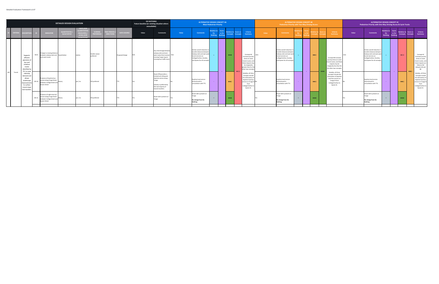|                |         |                                                                                                                 |       |                                                                                                           | <b>DETAILED DESIGN EVALUATION</b>        |                                                                                       |                                   |                                       |                    | <b>DO NOTHING</b><br>Future baseline (or existing situation where<br>unavailable) |                                                                                                                                                           |       | <b>ALTERNATIVE DESIGN CONCEPT 4A</b>                                                                                                                                       | <b>Most Pedestrian Priority</b>    |                                 |                                         |                    |                                                                                                                                                        |       | <b>ALTERNATIVE DESIGN CONCEPT 4B</b><br><b>Pedestrian Priority with Two-Way Driving Access</b>                                                                             |          |                          |                         |                                                                                                                                                      |       | <b>ALTERNATIVE DESIGN CONCEPT 4C</b><br>Pedestrian Priority with One-Way Driving Access & Cycle Tracks                                                                  |                                                     |                                  |                                  |                 |                                                                                                                                                     |
|----------------|---------|-----------------------------------------------------------------------------------------------------------------|-------|-----------------------------------------------------------------------------------------------------------|------------------------------------------|---------------------------------------------------------------------------------------|-----------------------------------|---------------------------------------|--------------------|-----------------------------------------------------------------------------------|-----------------------------------------------------------------------------------------------------------------------------------------------------------|-------|----------------------------------------------------------------------------------------------------------------------------------------------------------------------------|------------------------------------|---------------------------------|-----------------------------------------|--------------------|--------------------------------------------------------------------------------------------------------------------------------------------------------|-------|----------------------------------------------------------------------------------------------------------------------------------------------------------------------------|----------|--------------------------|-------------------------|------------------------------------------------------------------------------------------------------------------------------------------------------|-------|-------------------------------------------------------------------------------------------------------------------------------------------------------------------------|-----------------------------------------------------|----------------------------------|----------------------------------|-----------------|-----------------------------------------------------------------------------------------------------------------------------------------------------|
|                |         | <b>CRITERIA DESCRIPTION</b>                                                                                     |       | <b>INDICATOR</b>                                                                                          | <b>QUANTITATIVE</b><br><b>QUALTIATIV</b> | UNITS (FOR<br><b>UANTITATI</b><br><b>AFASURES</b><br>LEVELS (FO<br><b>OUALITATIVE</b> | <b>SCORING</b><br><b>EFFRENCE</b> | <b>ME PERIOD</b><br><b>DIRECTION:</b> | <b>DATA SOURCE</b> | Value                                                                             | <b>Comments</b>                                                                                                                                           | Value | <b>Comments</b>                                                                                                                                                            | elative to<br>Do<br><b>Nothing</b> | Scor<br>vs Do<br><b>Mothing</b> | elative to<br>oncepts C                 | core vs<br>oncepts | <b>Criteria</b><br><b>Summary</b>                                                                                                                      | Value | <b>Comments</b>                                                                                                                                                            |          |                          |                         | Criteria<br>Summary                                                                                                                                  | Value | <b>Comments</b>                                                                                                                                                         | <b>Relative to</b><br>Do <b>D</b><br><b>Nothing</b> | Score<br>vs Do<br><b>Inthins</b> | Relative to Score vs<br>Concepts | <b>Concepts</b> | Criteria<br>Summary                                                                                                                                 |
|                |         | Supports<br>efficient<br>operation of<br>bus and<br>streetcar<br>routes<br>identified by<br>TTC to mee          | M3.9  | Change in crossing distance<br>between subway exits and Quantitative<br>ast-west routes                   |                                          | metres                                                                                | Smaller values<br>oreferred       |                                       | Proposed Design    |                                                                                   | Any interchange betweer<br>subway exits and east-<br>west routes that involves -35m<br>crossing Yonge require<br>crossing four traffic lanes.             |       | Similar overall reduction in<br>transfer distances betweer<br>Subway exits and east-west<br>transit services on<br>College/Carlton, Dundas,<br>and Queen for all concepts. |                                    |                                 | $\bullet\bullet\bullet$<br>$\bullet$ OC |                    | Concept 4A<br>increases journey<br>times on some<br>transit routes, ar<br>these impacts ma<br>be marginally<br>greater than for th<br>other two concep | 32m   | Similar overall reduction in<br>transfer distances between<br>Subway exits and east-west<br>transit services on<br>College/Carlton, Dundas,<br>and Queen for all concepts. |          |                          | $\bullet\bullet\circ$   | <br>Concept 4B increases<br>journey times on some<br>transit routes, and thes<br>impacts may be<br>marginally less than fo<br>the other two concepts | 21m   | Similar overall reduction i<br>transfer distances betwee<br>Subway exits and east-west<br>transit services on<br>College/Carlton, Dundas,<br>and Queen for all concepts |                                                     | <b>Contract</b>                  | $\bullet$ 00                     | $^{\bullet}$    | Concept 4C<br>increases journey<br>times on some<br>ransit routes, and<br>these impacts are<br>likely to fall<br>between 4A and<br>4B.              |
| M <sub>3</sub> | Transit | ridership<br>demand and<br>allows<br>streetscape<br>improvement<br>to surface<br>transit stops<br>and transfers |       | Presence of daytime bus<br>M3.10 service along Yonge Street<br>between College Street and<br>Queen Street | Binary                                   | yes / no                                                                              | <b>YES</b> preferred              |                                       |                    |                                                                                   | Route 97B provides a<br>limited and infrequent<br>daytime service along<br>onge.<br>Subway is preferred by<br>the vast majority of<br>transit travellers. |       | Daytime local service<br>discontinued in<br>consultation with TTC.                                                                                                         |                                    | <b>Contract Contract</b>        | $\bullet\bullet\circ$                   |                    | Notably, all thre<br>concepts include<br>the elimination o<br>daytime local bu:<br>service on Yonge S<br>from<br>College/Carlton<br>Queen St.          |       | Daytime local service<br>discontinued in<br>consultation with TTC.                                                                                                         |          | <b>Contract Contract</b> | $\bullet\bullet\circ$   | Notably, all three<br>concepts include the<br>elimination of daytime<br>local bus service on<br>Yonge St from<br>College/Carlton to<br>Queen St.     |       | Daytime local service<br>discontinued in<br>consultation with TTC                                                                                                       |                                                     |                                  | $\bullet\bullet\circ$            |                 | Notably, all three<br>concepts include<br>the elimination of<br>daytime local bus<br>service on Yonge St<br>from<br>College/Carlton to<br>Queen St. |
|                |         |                                                                                                                 | M3.11 | Presence of night-time bus<br>service along Yonge Street<br>between College Street and<br>Queen Street    | Binary                                   | yes / no                                                                              | <b>YES</b> preferred              |                                       |                    |                                                                                   | Route 320 is present or<br>ronge.                                                                                                                         |       | Route 320 is present or<br>No change from Do<br>Nothing.                                                                                                                   |                                    |                                 | $\bullet\bullet\bullet$                 |                    |                                                                                                                                                        |       | Route 320 is present on<br>Yonge.<br>No change from Do<br>Nothing.                                                                                                         | $\equiv$ |                          | $\bullet\bullet\bullet$ |                                                                                                                                                      |       | Route 320 is present on<br>Yonge.<br>No change from Do<br>Nothing.                                                                                                      | $=$                                                 |                                  | $\bullet\bullet\bullet$          |                 |                                                                                                                                                     |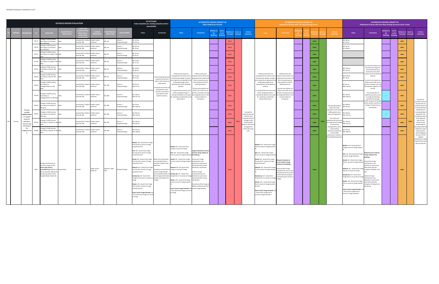|         |                                                    |                                     |                                                                                                                                                                                                  | <b>DETAILED DESIGN EVALUATION</b> |                                                                                                                             |                                                       |                         |                                                          | <b>DO NOTHING</b><br>Future baseline (or existing situation where<br>unavailable)                                                                                                                                                                                                                                                                                                                                                                                                                                                                                                                                          |                                                                                                                                                                                                                   |                                                                                                                                                                                                                                                                                                                                                                                                                                                                                                                                                                       | <b>ALTERNATIVE DESIGN CONCEPT 4A</b>                                                                                                                                                                                                                                              | <b>Most Pedestrian Priority</b> |       |                                              |        |                                                                       |                                                                                                                                                                                                                                                                                                                                                                                                                                                                                                                                                   | <b>Pedestrian Priority with Two-Way Driving Access</b>                                                                                                                                                                       | <b>ALTERNATIVE DESIGN CONCEPT 4B</b> |                                                                               |                         |                                                                                                                |                                                                                                                                                                                                                                                                                                                                                                                                                                                                                                            | <b>ALTERNATIVE DESIGN CONCEPT 4C</b><br>Pedestrian Priority with One-Way Driving Access & Cycle Tracks                                                                                                                                                                                         |                     |                         |                                                                         |                  |                                                                                      |
|---------|----------------------------------------------------|-------------------------------------|--------------------------------------------------------------------------------------------------------------------------------------------------------------------------------------------------|-----------------------------------|-----------------------------------------------------------------------------------------------------------------------------|-------------------------------------------------------|-------------------------|----------------------------------------------------------|----------------------------------------------------------------------------------------------------------------------------------------------------------------------------------------------------------------------------------------------------------------------------------------------------------------------------------------------------------------------------------------------------------------------------------------------------------------------------------------------------------------------------------------------------------------------------------------------------------------------------|-------------------------------------------------------------------------------------------------------------------------------------------------------------------------------------------------------------------|-----------------------------------------------------------------------------------------------------------------------------------------------------------------------------------------------------------------------------------------------------------------------------------------------------------------------------------------------------------------------------------------------------------------------------------------------------------------------------------------------------------------------------------------------------------------------|-----------------------------------------------------------------------------------------------------------------------------------------------------------------------------------------------------------------------------------------------------------------------------------|---------------------------------|-------|----------------------------------------------|--------|-----------------------------------------------------------------------|---------------------------------------------------------------------------------------------------------------------------------------------------------------------------------------------------------------------------------------------------------------------------------------------------------------------------------------------------------------------------------------------------------------------------------------------------------------------------------------------------------------------------------------------------|------------------------------------------------------------------------------------------------------------------------------------------------------------------------------------------------------------------------------|--------------------------------------|-------------------------------------------------------------------------------|-------------------------|----------------------------------------------------------------------------------------------------------------|------------------------------------------------------------------------------------------------------------------------------------------------------------------------------------------------------------------------------------------------------------------------------------------------------------------------------------------------------------------------------------------------------------------------------------------------------------------------------------------------------------|------------------------------------------------------------------------------------------------------------------------------------------------------------------------------------------------------------------------------------------------------------------------------------------------|---------------------|-------------------------|-------------------------------------------------------------------------|------------------|--------------------------------------------------------------------------------------|
|         |                                                    |                                     |                                                                                                                                                                                                  |                                   |                                                                                                                             |                                                       |                         |                                                          | Value                                                                                                                                                                                                                                                                                                                                                                                                                                                                                                                                                                                                                      | <b>Comments</b>                                                                                                                                                                                                   | Value                                                                                                                                                                                                                                                                                                                                                                                                                                                                                                                                                                 | <b>Comments</b>                                                                                                                                                                                                                                                                   | Do<br>othing                    | vs Do |                                              | ore vs | Criteria<br><b>Summary</b>                                            | Value                                                                                                                                                                                                                                                                                                                                                                                                                                                                                                                                             | Commer                                                                                                                                                                                                                       |                                      |                                                                               |                         | Criteria<br>Summary                                                                                            | Value                                                                                                                                                                                                                                                                                                                                                                                                                                                                                                      | <b>Comments</b>                                                                                                                                                                                                                                                                                | Do<br><b>Nothin</b> | vs Do<br><b>Inthing</b> | tive t<br>oncepts                                                       | core vs          | Criteria<br>Summary                                                                  |
|         |                                                    | M4.1a<br>M4.1 <sub>b</sub><br>M4.2a | hange in traffic journe.<br>time delay on University<br>hange in traffic journey<br>me delay on University<br><b>PM</b> Peak<br>hange in traffic journey                                         |                                   | seconds (4C) / relative Smaller values<br>level (4A, 4B)<br>seconds (4C) / rela<br>level (4A, 4B)<br>econds (4C) / relative | eferred<br>Smaller values<br>eferred<br>maller values | NB/SB<br>VB/SB<br>NB/SB | isun /<br>posed Design<br>msun /<br>posed Design<br>sum/ | NB +10 sec<br>SB +23 sec<br>NB +01 sec<br>SB +29 sec<br>NB-23 sec                                                                                                                                                                                                                                                                                                                                                                                                                                                                                                                                                          |                                                                                                                                                                                                                   |                                                                                                                                                                                                                                                                                                                                                                                                                                                                                                                                                                       |                                                                                                                                                                                                                                                                                   |                                 |       | $\bullet$ 00<br>$\bullet$ 00<br>$\bullet$ 00 |        |                                                                       |                                                                                                                                                                                                                                                                                                                                                                                                                                                                                                                                                   |                                                                                                                                                                                                                              |                                      | $\bullet\bullet\bullet$<br>$\bullet\bullet\bullet$<br>$\bullet\bullet\bullet$ |                         |                                                                                                                | NB+40 sec<br><b>SB +70 sec</b><br><b>NB+16</b> sec<br>5B+108 sec                                                                                                                                                                                                                                                                                                                                                                                                                                           |                                                                                                                                                                                                                                                                                                |                     |                         | $\bullet\bullet\circ$<br>$\bullet\bullet\circ$<br>$\bullet\bullet\circ$ |                  |                                                                                      |
|         |                                                    | M4.2h                               | time delay on Yonge St: AM Both<br>ange in traffic journey<br>time delay on Yonge St: PM                                                                                                         |                                   | evel (4A, 4B)<br>econds (4C) / relative<br>level (4A, 4B)                                                                   | eferred<br>Smaller values<br>eferred                  | VB / SB                 | posed Design<br>sum/<br>posed Design                     | $-01$ sec<br>NB +19 sec<br>$SB + 17 sec$                                                                                                                                                                                                                                                                                                                                                                                                                                                                                                                                                                                   |                                                                                                                                                                                                                   |                                                                                                                                                                                                                                                                                                                                                                                                                                                                                                                                                                       |                                                                                                                                                                                                                                                                                   |                                 |       | $\bullet$ 00                                 |        |                                                                       |                                                                                                                                                                                                                                                                                                                                                                                                                                                                                                                                                   |                                                                                                                                                                                                                              |                                      | $\bullet\bullet\bullet$                                                       |                         |                                                                                                                |                                                                                                                                                                                                                                                                                                                                                                                                                                                                                                            |                                                                                                                                                                                                                                                                                                |                     |                         | $\bullet\bullet\circ$                                                   |                  |                                                                                      |
|         |                                                    | M4.3a                               | ange in traffic journey<br>time delay on Bay St: AM                                                                                                                                              |                                   | econds (4C) / relati<br>level (4A, 4B)                                                                                      | maller values<br>eferred                              | NB/SB                   | ici in 7<br>posed Design                                 | NR +54 sec<br>SB +38 sec                                                                                                                                                                                                                                                                                                                                                                                                                                                                                                                                                                                                   |                                                                                                                                                                                                                   | Traffic iourney times are                                                                                                                                                                                                                                                                                                                                                                                                                                                                                                                                             |                                                                                                                                                                                                                                                                                   |                                 |       | $\bullet$ 00                                 |        |                                                                       | Traffic journey times are                                                                                                                                                                                                                                                                                                                                                                                                                                                                                                                         |                                                                                                                                                                                                                              |                                      | $\bullet\bullet\bullet$                                                       |                         |                                                                                                                | JB +120 sec<br>B+131 sec                                                                                                                                                                                                                                                                                                                                                                                                                                                                                   | burney time impacts var<br>by street, but in genera<br>more streets will have<br>increased ourney times                                                                                                                                                                                        |                     |                         | $\bullet\bullet\circ$                                                   |                  |                                                                                      |
|         |                                                    | M4.3b                               | hange in traffic journey<br>time delay on Bay St: PM<br>hange in traffic journey                                                                                                                 |                                   | conds (4C) / relative<br>evel (4A, 4B)                                                                                      | Smaller values<br>referred                            | NB/SB                   | oposed Design                                            | VB +75 sec<br>$B + 27$ sec                                                                                                                                                                                                                                                                                                                                                                                                                                                                                                                                                                                                 | The Do Nothing Scenaric<br>outperforms all three<br>options with respect to                                                                                                                                       | anticipated to be similar across impacts vary by street, but<br>all alternative design concepts, in general more streets will<br>nd in general are expected to be<br>moderately longer (more                                                                                                                                                                                                                                                                                                                                                                          | Traffic journey time<br>have increased journey<br>times relative to the Do                                                                                                                                                                                                        |                                 |       | $\bullet$ 00                                 |        |                                                                       | anticipated to be similar across<br>all alternative design concepts, in general more streets wil<br>nd in general are expected to be<br>moderately longer (more                                                                                                                                                                                                                                                                                                                                                                                   | Traffic journey time<br>impacts vary by street, but<br>have increased journey<br>times relative to the Do                                                                                                                    |                                      | $\bullet\bullet\bullet$                                                       |                         |                                                                                                                | <b>B+118 sec</b><br>$B + 70$ sec                                                                                                                                                                                                                                                                                                                                                                                                                                                                           | elative to the Do Nothir<br>scenario.<br>irney time impacts ar<br>likely to be similar across                                                                                                                                                                                                  |                     |                         | $\bullet\bullet\circ$                                                   |                  |                                                                                      |
|         |                                                    | M4.4a                               | me delav on<br>ollege/Carlton St: AM                                                                                                                                                             |                                   | econds (4C) / relative Smaller values<br>level (4A, 4B)                                                                     | eferred                                               | EB / WB                 | msun /<br>oposed Design                                  | $EB + 41 sec$<br>WB +97 sec                                                                                                                                                                                                                                                                                                                                                                                                                                                                                                                                                                                                | traffic delays.<br>reased travel times a<br>anticipated on most<br>corridors in the future                                                                                                                        | delaved) than the Do Nothing<br>scenario.<br>s expected that journey times                                                                                                                                                                                                                                                                                                                                                                                                                                                                                            | Nothing scenario.<br>ourney time impacts are<br>likely to be similar across                                                                                                                                                                                                       |                                 |       | $\bullet$ 00                                 |        |                                                                       | delayed) than the Do Nothing<br>scenario.<br>is expected that journey times                                                                                                                                                                                                                                                                                                                                                                                                                                                                       | Nothing scenario.<br>urney time impacts are<br>likely to be similar acros                                                                                                                                                    |                                      | $\bullet\bullet\bullet$                                                       |                         |                                                                                                                | $B + 41$ sec<br>/B +119 sec                                                                                                                                                                                                                                                                                                                                                                                                                                                                                | all three concepts, but ma<br>all between impacts in 4<br>and 4B.                                                                                                                                                                                                                              |                     |                         | $\bullet\bullet\circ$                                                   |                  |                                                                                      |
|         |                                                    | M4.4b                               | hange in traffic journey<br>time delay on<br>llege/Carlton St: PM Pe                                                                                                                             |                                   | econds (4C) / relative<br>level (4A, 4B)                                                                                    | Smaller values<br>preferred                           | EB / WB                 | nsun/<br>roposed Design                                  | EB+120 sec<br>WB +157 sec                                                                                                                                                                                                                                                                                                                                                                                                                                                                                                                                                                                                  | case relative to the<br>baseline scenario.                                                                                                                                                                        | will be marginally longer in<br>Concept 4A relative to Concept be marginally worse in this<br>resulting in moderately worse<br>performance.                                                                                                                                                                                                                                                                                                                                                                                                                           | three concepts, but ma<br>concept relative to<br>Concept 4C.                                                                                                                                                                                                                      |                                 |       | $\bullet$ 00                                 |        |                                                                       | will be marginally faster in<br>Concept 4B relative to Concept be marginally better in thi<br>4C, resulting in moderately<br>better performance.                                                                                                                                                                                                                                                                                                                                                                                                  | Il three concepts, but ma<br>concept relative to<br>Concept 4C.                                                                                                                                                              |                                      | $\bullet\bullet\bullet$                                                       |                         |                                                                                                                | B+120 sec<br>WB +106 sec                                                                                                                                                                                                                                                                                                                                                                                                                                                                                   | The introduction of<br>pedestrian priority zone:<br>on Yonge St eliminates<br>potential for through<br>raffic along the full length                                                                                                                                                            |                     |                         | $\bullet\bullet\circ$                                                   |                  | Concept 4C<br>provides a level of                                                    |
|         | Provides                                           | M4.5a                               | ange in traffic journey<br>time delay on Dundas St:<br>1 peak                                                                                                                                    |                                   | econds (4C) / relati<br>level (4A, 4B)                                                                                      | Smaller values<br>eferred                             | R / WR                  | sinh/<br>posed Design                                    | EB+79 sec<br>WB +106 sec                                                                                                                                                                                                                                                                                                                                                                                                                                                                                                                                                                                                   |                                                                                                                                                                                                                   |                                                                                                                                                                                                                                                                                                                                                                                                                                                                                                                                                                       |                                                                                                                                                                                                                                                                                   |                                 |       | $\bullet$ 00                                 |        |                                                                       |                                                                                                                                                                                                                                                                                                                                                                                                                                                                                                                                                   |                                                                                                                                                                                                                              |                                      | $\bullet\bullet\bullet$                                                       |                         | Concept 4B perform<br>best and is least<br>mpactful to the exist                                               | B+108 sec<br>VB +63 sec                                                                                                                                                                                                                                                                                                                                                                                                                                                                                    | of the corridor, and thus<br>hange in travel time car<br>be reported.                                                                                                                                                                                                                          |                     |                         | $\bullet\bullet\circ$                                                   |                  | impacts that sits<br>between those of<br>Concept 4A (most<br>impactful) and          |
|         | suitable<br>vehicle acce<br>to support<br>business | M4.5b                               | ange in traffic journey<br>ime delay on Dundas St:<br>1 neak                                                                                                                                     |                                   | econds (4C) / relative<br>level (4A, 4B)                                                                                    | maller values<br>eferred                              | 3 / WB                  | ici in 7<br>oposed Design                                | FR +254 sec<br>VB +156 sec                                                                                                                                                                                                                                                                                                                                                                                                                                                                                                                                                                                                 |                                                                                                                                                                                                                   |                                                                                                                                                                                                                                                                                                                                                                                                                                                                                                                                                                       |                                                                                                                                                                                                                                                                                   |                                 |       | $\bullet$ 00                                 |        | Concept 4A<br>performs poores<br>with the most<br>mpactful level o    |                                                                                                                                                                                                                                                                                                                                                                                                                                                                                                                                                   |                                                                                                                                                                                                                              |                                      | $\bullet\bullet\bullet$                                                       |                         | traffic patterns and<br>access arrangements.<br>The creation of                                                | <b>B+254 sec</b><br>WB +156 sec                                                                                                                                                                                                                                                                                                                                                                                                                                                                            |                                                                                                                                                                                                                                                                                                |                     |                         | $\bullet\bullet\circ$                                                   |                  | Concept 4B (least<br>impactful). This<br>oncept provides<br>more balanced            |
| Driving | operation,<br>ourism an<br>servicing o<br>the      | MA 6                                | ange in traffic journey<br>me delay on Queen St: AM Both<br>hange in traffic journey                                                                                                             |                                   | econds (4C) / relati<br>level (4A, 4B)                                                                                      | Smaller values<br>eferred                             | B/WB                    | oposed Design                                            | $+124$ sec<br><b>WB +85 sec</b>                                                                                                                                                                                                                                                                                                                                                                                                                                                                                                                                                                                            |                                                                                                                                                                                                                   |                                                                                                                                                                                                                                                                                                                                                                                                                                                                                                                                                                       |                                                                                                                                                                                                                                                                                   |                                 |       | $\bullet$ 00                                 |        | changes to the<br>existing traffic<br>tterns and acce<br>arrangements |                                                                                                                                                                                                                                                                                                                                                                                                                                                                                                                                                   |                                                                                                                                                                                                                              |                                      | $-0.00$                                                                       | $\bullet\bullet\bullet$ | destrian priority are<br>Yonge St and chang<br>to local access<br>arrangements and o                           | B +134 sec<br><b>WB+131 sec</b>                                                                                                                                                                                                                                                                                                                                                                                                                                                                            |                                                                                                                                                                                                                                                                                                |                     |                         | $\bullet\bullet\circ$                                                   | $\bullet\bullet$ | level of local<br>vehicle access<br>along Yonge St,<br>roviding moderate             |
|         | <b>reighbourhoo</b><br>d.                          | M4.6h                               | time delay on Queen St: PM Both                                                                                                                                                                  |                                   | seconds (4C) / relative Smaller values<br>level (4A, 4B)                                                                    | preferred                                             | EB/WB                   | msun /<br>roposed Design                                 | EB +123 sec<br>WB +168 sec                                                                                                                                                                                                                                                                                                                                                                                                                                                                                                                                                                                                 |                                                                                                                                                                                                                   |                                                                                                                                                                                                                                                                                                                                                                                                                                                                                                                                                                       |                                                                                                                                                                                                                                                                                   |                                 |       | $\bullet$ 00                                 |        | within the stud<br>area.                                              |                                                                                                                                                                                                                                                                                                                                                                                                                                                                                                                                                   |                                                                                                                                                                                                                              |                                      | $\bullet\bullet\bullet$                                                       |                         | street parking<br>restrictions reduce the<br>overall traffic<br>performance relative<br>the Do Nothing Scenari | EB +127 sec<br>WB +285 sec                                                                                                                                                                                                                                                                                                                                                                                                                                                                                 |                                                                                                                                                                                                                                                                                                |                     |                         | $\bullet\bullet\circ$                                                   |                  | pedestrian realm<br>improvements<br>while mitigating<br>the worst of the<br>negative |
|         |                                                    | M4.7                                | <b>Number of directions to</b><br>and from Yonge St each<br>nor side street is<br>ccessible from (Walton St,<br>Elm St. Gould St. Edward S<br>undas Sq, Eaton Centre<br>onge Parkade, Shuter St) | Quantitative                      | number                                                                                                                      | Larger values<br>preferred                            | daytime / night-        | roposed Design                                           | Walton: 4/4 - Access from Yong<br>from N and S; access to Yonge<br>owards N and S<br>Elm: 4/4 - Access from Yonge<br>from N and S; access to Yonge<br>wards N and S<br>Gould: 4/4 - Access from Yonge<br>from N and S; access to Yonge<br>owards N and S<br>dward: 4/4 - Access from Yonge<br>from N and S; access to Yonge<br>owards N and S<br>Dundas Sq: 2/4 - Access from<br>Yonge from N and S; no access to Sq (only accessible from<br>onge<br>Shuter: 4/4 - Access from Yonge<br>rom N and S; access to Yonge<br>owards N and S<br>Eaton Centre Yonge Parkade: 0/4<br>- No access from Yonge; no acces<br>to Yonge | Most minor side streets<br>are accessible both to<br>nd from Yonge in both<br>rections.<br><b>Exceptions are the Eaton</b><br>Centre Yonge Parkade<br>ot accessible either to<br>from Yonge) and Dundas<br>onge). | Walton: 0/4 - No access from<br>onge; no access to Yonge<br>Elm: 2/4 - Access from Yonge<br>rom S; access to Yonge towards S Do Nothing.<br>Gould: 2/4 - Access from Yonge Access from Yonge<br>om N; access to Yonge towards<br>ward: 0/4 - No access from<br>onge; no access to Yonge<br>ndas Sq: 1/4 - Access from<br>onge from S; no access to Yonge direction at some minor<br>uter: 2/4 - Access from Yonge and Shuter).<br>om S; access to Yonge toward<br>Eaton Centre Yonge Parkade: 0/4 Centre Yonge Parkade.<br>No access from Yonge; no access<br>o Yonge | Largest reduction in acces<br>to/from Yonge relative to<br>intained in one<br>rection at most minor<br>de streets (Elm. Gould.<br>undas Sq, and Shuter).<br>cess to Yonge<br>intained from one<br>side streets (Elm. Gould.<br>o access to/from Yonge a<br>alton, Edward and Eato |                                 |       | $\bullet$ 00                                 |        |                                                                       | Walton: 2/4 - Access from Yonge<br>from N: access to Yonge towards<br>Elm: 2/4 - Access from Yonge<br>om S; access to Yonge towards<br>Sould: 4/4 - Access from Yonge<br>rom N and S; access to Yonge<br>owards N and S<br>Edward: 2/4 - Access from Yonge<br>rom N; access to Yonge towards<br>Jundas Sq: 1/4 - Access from<br>onge from S; no access to Yonge<br>Shuter: 3/4 - Access from Yonge<br>rom S; access to Yonge towards<br>$\sqrt{3}$ and S<br>aton Centre Yonge Parkade: 2<br>Access from Yonge from S;<br>ccess to Yonge towards S | <b>Marginal reduction in</b><br>ccess to/from Yonge<br>elative to Do Nothing<br>Access to/from Yonge<br>intained in one or mor<br>ections at all minor side<br>eets with the exceptior<br>f Dundas Sq (no access to<br>nge). |                                      | $\bullet\bullet\bullet$                                                       |                         |                                                                                                                | Walton: 1/4 - No access from<br>onge; access to Yonge towards<br>Im: 1/4 - No access from Yonge<br>ccess to Yonge towards S<br><b>Sould: 2/4 - Access from Yonge</b><br>rom N ; access to Yonge toward<br>Edward: 1/4 - Access from Yonge<br>from N; no access to Yonge<br>Jundas Sq: 1/4 - Access from<br>Yonge from S; no access to Yonge<br>Shuter: 2/4 - Access from Yonge<br>from S; access to Yonge towards<br>aton Centre Yonge Parkade: 2<br>Access from Yonge from S:<br>ccess to Yonge towards S | educed access to/from<br>onge relative to Do<br>cess from Yonge<br>ntained in one<br>irection at most mino<br>side streets with the<br>exception of Walton and<br><b>Access to Yonge</b><br>atained in one<br>rection at most mino<br>de streets with the<br>ception of Edward and<br>ndas Sq. |                     |                         | $\bullet\bullet\circ$                                                   |                  | redistributive traffic<br>mpacts associated<br>with Concept 4A.                      |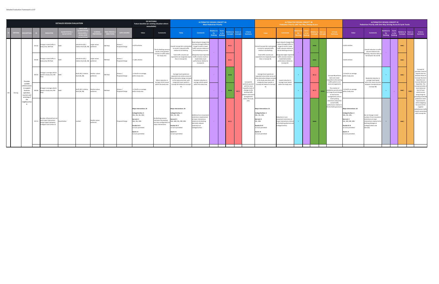|         |                                                                                                  |       |                                                                                                           | <b>DETAILED DESIGN EVALUATION</b>         |                                                        |                              |                                      |                             | <b>DO NOTHING</b><br>Future baseline (or existing situation where<br>unavailable)                                                                                                 |                                                                                                   |                                                                                                                                                                                   | <b>ALTERNATIVE DESIGN CONCEPT 4A</b>                                                                                                                                  | <b>Most Pedestrian Priority</b>                    |       |                              |                            |                                                                                                                                     |                                                                                                                                                                  | <b>ALTERNATIVE DESIGN CONCEPT 4B</b><br>Pedestrian Priority with Two-Way Driving Access                                          |               |                                         |                                                                                                                                           |                                                                                                                                                                                   | <b>ALTERNATIVE DESIGN CONCEPT 4C</b><br>Pedestrian Priority with One-Way Driving Access & Cycle Tracks                                                              |                                                    |                         |                        |                            |                                                                                                                                                          |
|---------|--------------------------------------------------------------------------------------------------|-------|-----------------------------------------------------------------------------------------------------------|-------------------------------------------|--------------------------------------------------------|------------------------------|--------------------------------------|-----------------------------|-----------------------------------------------------------------------------------------------------------------------------------------------------------------------------------|---------------------------------------------------------------------------------------------------|-----------------------------------------------------------------------------------------------------------------------------------------------------------------------------------|-----------------------------------------------------------------------------------------------------------------------------------------------------------------------|----------------------------------------------------|-------|------------------------------|----------------------------|-------------------------------------------------------------------------------------------------------------------------------------|------------------------------------------------------------------------------------------------------------------------------------------------------------------|----------------------------------------------------------------------------------------------------------------------------------|---------------|-----------------------------------------|-------------------------------------------------------------------------------------------------------------------------------------------|-----------------------------------------------------------------------------------------------------------------------------------------------------------------------------------|---------------------------------------------------------------------------------------------------------------------------------------------------------------------|----------------------------------------------------|-------------------------|------------------------|----------------------------|----------------------------------------------------------------------------------------------------------------------------------------------------------|
|         |                                                                                                  |       | <b>NDICATO</b>                                                                                            | <b>OUANTITATIVE</b><br><b>QUALTIATIVE</b> | <b>UANTITA</b><br><b>MEASUR</b><br><b>LEVELS (FOF</b>  | <b>SCORING</b><br>REFERENCE  | <b>ME PERIOI</b><br><b>DIRECTION</b> | <b>DATA SOURCE</b>          | Value                                                                                                                                                                             | <b>Comments</b>                                                                                   | Value                                                                                                                                                                             | <b>Comments</b>                                                                                                                                                       | elative to Score<br>Do <b>b</b><br>Nothing Nothing | vs Do | lative to<br>oncepts         | Score vs<br><b>oncepts</b> | Criteria<br>Summary                                                                                                                 | Value                                                                                                                                                            | Comment                                                                                                                          |               |                                         | Criteria<br>Summary                                                                                                                       | Value                                                                                                                                                                             | <b>Comments</b>                                                                                                                                                     | Relative to Score<br>Do <b>D</b><br><b>Nothing</b> | vs Do<br><b>Nothing</b> | elative to<br>Concepts | core vs<br><b>Concepts</b> | Criteria<br>Summary                                                                                                                                      |
|         |                                                                                                  | M4.8a | Change in total traffic in<br>study area; AM Peak                                                         |                                           | vehicle-km (4C) /<br>relative level (4A, 4B) preferred | Larger values                | AM Peak                              | imsun /<br>roposed Design   | +4,974 vehicles                                                                                                                                                                   | The Do Nothing scenario<br>results in the greatest                                                | Overall Concept 4A is anticipated Yonge St result in lower<br>to result in reduced traffic<br>relative to Do Nothing.                                                             | Road network changes that<br>minimze through traffic or<br>traffic volumes relative to<br>the Do Nothing scenario.                                                    |                                                    |       | $\bullet$ 00                 |                            |                                                                                                                                     | Dverall Concept 4A is anticipated Yonge St result in lower<br>to result in reduced traffic<br>relative to Do Nothing.                                            | Road network changes that<br>reduce through traffic on<br>traffic volumes relative to<br>the Do Nothing scenario.                |               | $\bullet\bullet\bullet$                 |                                                                                                                                           | +4,452 vehicles                                                                                                                                                                   | Overall reduction in traffi<br>volume relative to Do                                                                                                                |                                                    |                         | $\bullet\bullet\circ$  |                            |                                                                                                                                                          |
|         |                                                                                                  |       | $MA.8b$ Change in total traffic in<br>study area; PM Peak                                                 |                                           | vehicle-km (4C) /<br>relative level (4A, 4B) preferred | Larger values                | PM Peak                              | Aimsun /<br>Proposed Design | +5,181 vehicles                                                                                                                                                                   | ncrease in traffic withir<br>the study area.                                                      | Total traffic volumes are<br>pected to be marginally lov<br>than in Concept 4C.                                                                                                   | Marginally lower expected<br>traffic volumes results in<br>modertately lower<br>performance relative to<br>Concept 4C.                                                |                                                    |       | $\bullet$ 00                 |                            |                                                                                                                                     | Total traffic volumes are<br>expected to be marginally lower<br>than in Concept 4C.                                                                              | Marginally higher expected<br>traffic volumes results in<br>modertately better<br>performance relative to<br>Concept 4C.         |               | $\bullet\bullet\bullet$                 |                                                                                                                                           | +4,632 vehicles                                                                                                                                                                   | lothing, reduction likely t<br>fall between 4A and 4B.                                                                                                              |                                                    |                         | $\bullet\bullet\circ$  |                            |                                                                                                                                                          |
|         | Provides                                                                                         |       | Change in average vehicle<br>M4.9a speed in study area; AM                                                | Both                                      | km/h (4C) / relative<br>level (4A, 4B)                 | Positive values<br>preferred | AM Peak                              | Aimsun /<br>roposed Design  | 1.0 km/hr on average<br>within study area                                                                                                                                         | Minor reduction in                                                                                | Average travel speeds are<br>expected to be similar across all<br>hree alternative design concepts<br>at the study area level, with                                               | Greatest reduction in                                                                                                                                                 |                                                    |       | $\bullet\bullet\bullet$      |                            | Concept 4A                                                                                                                          | Average travel speeds are<br>expected to be similar across all<br>hree alternative design concepts<br>at the study area level, with                              | Lowest reduction in                                                                                                              |               | $\bullet$ 00                            | Concept 4B performs<br>best and is least<br>impactful to the existing<br>traffic patterns and                                             | -1.6 km/hr on average<br>within study area                                                                                                                                        | Moderate reduction in<br>average travel speed                                                                                                                       | $+$                                                |                         | $\bullet\bullet\circ$  |                            | Concept 4C<br>rovides a level of<br>impacts that sits<br>between those of<br>oncept 4A (most<br>impactful) and<br>Concept 4B (least                      |
| Driving | suitable<br>vehicle acces:<br>to support<br>business<br>operation.<br>tourism and<br>servicing o | M4 9h | hange in average vehicle<br>speed in study area; PM                                                       | Both                                      | km/h (4C) / relative<br>level (4A, 4B)                 | Positive values<br>preferred | PM Peak                              | Aimsun /<br>roposed Design  | -1.2 km/hr on average<br>within study area                                                                                                                                        | average vehicle speed<br>within the study area.                                                   | marginally lower speeds in<br>Concept 4A relative to Concep<br>AC                                                                                                                 | average vehicle speed<br>within the study area.                                                                                                                       |                                                    |       | $\bullet\bullet\bullet\quad$ | $\bullet$ 00               | performs poorest<br>with the most<br>impactful level of<br>changes to the<br>existing traffic<br>patterns and acces<br>arrangements | marginally lower speeds in<br>oncept 4A relative to Concept<br>AC                                                                                                | average travel speed<br>within the study area.                                                                                   | $\rightarrow$ | $\bullet$ 00<br>$\bullet\bullet\bullet$ | access arrangements.<br>The creation of<br>pedestrian priority areas<br>on Yonge St and change<br>to local access<br>arrangements and on- | -1.6 km/hr on average<br>within study area                                                                                                                                        | vithin the study area (sit<br>between Concept 4A and<br>Concept 4B)                                                                                                 | $\pm$ .                                            |                         | $\bullet\bullet\circ$  | $\bullet\bullet\circ$      | impactful). This<br>concept provides a<br>more balanced<br>level of local<br>vehicle access<br>along Yonge St,<br>roviding moderate                      |
|         | the<br>neighbourho<br>h                                                                          | M4.10 | Number of banned turns at<br>ach major intersection<br>long Yonge St between<br>College St and Carlton St | luantitative                              | number                                                 | Smaller values<br>preferred  |                                      | Proposed Design             | <b>Major Intersections: 23</b><br>College/Carlton: 4<br>NBL, EBL, SBL, WBL<br>Gerrard: 3<br>NBL, EBL, WBL<br>Dundas St: 8<br>no turns permitted<br>Queen: 8<br>no turns permitted | Do Nothing scenario<br>naintains the existing<br>turn ban configuration a<br>major intersections. | <b>Major Intersections: 24</b><br>College/Carlton: 3<br>NBL, EBL, WBL<br>rrard: 5<br>3L, NBR, EBL, EBR, WBL<br>undas St: 8<br>o turns permitted<br>Queen: 8<br>no turns permitted | Additional turn movement<br>restrictions implemented<br>at major intersections<br>relative to Do Nothing<br>(Gerrard); reduced<br>restrictions at<br>College/Carlton. |                                                    |       | $\bullet$ 00                 |                            | within the study<br>area.                                                                                                           | Major Intersections: 21<br>College/Carlton: 3<br>NBL, EBL, WBL<br>Gerrard: 2<br>EBL, WBL<br>Dundas St: 8<br>no turns permitted<br>Queen: 8<br>no turns permitted | Reduction in turn<br>novement restrictions at<br>major intersections relative<br>to Do Nothing (Gerrard and<br>College/Carlton). |               | $\bullet\bullet\bullet$                 | street parking<br>restrictions reduce the<br>overall traffic<br>performance relative to<br>the Do Nothing Scenario.                       | <b>Major Intersections: 23</b><br>College/Carlton: 3<br>NBL, EBL, WBL<br>Gerrard: 4<br>EBL, EBR, SBR, WBL<br>Dundas St: 8<br>no turns permitted<br>Queen: 8<br>no turns permitted | No net change in total<br>number of turn movemen<br>estrictions at major<br>intersections relative to Do<br>Nothing (changes at<br>College/Carlton and<br>Gerrard). | $\mathbf{r}$                                       |                         | $\bullet\bullet\circ$  |                            | bedestrian realm<br>improvements<br>while mitigating<br>the worst of the<br>negative<br>redistributive traffic<br>impacts associated<br>with Concept 4A. |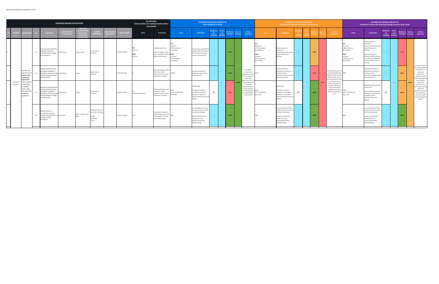|                          |                                                                                                    |      |                                                                                                                                                         | <b>DETAILED DESIGN EVALUATION</b>         |                                                                                                |                                                                          |                                             |                    | <b>DO NOTHING</b><br>Future baseline (or existing situation where<br>unavailable) |                                                                                                          |                                                                                                             | <b>ALTERNATIVE DESIGN CONCEPT 4A</b>                                                                                                                                      | <b>Most Pedestrian Priority</b>                   |       |                         |                                          |                                                                                                                                       |                                                                                                                  | <b>ALTERNATIVE DESIGN CONCEPT 4B</b><br>Pedestrian Priority with Two-Way Driving Access                                                                                   |     |     |                         |           |                                                                                                                                                       |                                                                                                                 | <b>ALTERNATIVE DESIGN CONCEPT 4C</b><br>Pedestrian Priority with One-Way Driving Access & Cycle Tracks                                                                                                                       |                                                   |                           |                         |                      |                                                                                                                                                                   |
|--------------------------|----------------------------------------------------------------------------------------------------|------|---------------------------------------------------------------------------------------------------------------------------------------------------------|-------------------------------------------|------------------------------------------------------------------------------------------------|--------------------------------------------------------------------------|---------------------------------------------|--------------------|-----------------------------------------------------------------------------------|----------------------------------------------------------------------------------------------------------|-------------------------------------------------------------------------------------------------------------|---------------------------------------------------------------------------------------------------------------------------------------------------------------------------|---------------------------------------------------|-------|-------------------------|------------------------------------------|---------------------------------------------------------------------------------------------------------------------------------------|------------------------------------------------------------------------------------------------------------------|---------------------------------------------------------------------------------------------------------------------------------------------------------------------------|-----|-----|-------------------------|-----------|-------------------------------------------------------------------------------------------------------------------------------------------------------|-----------------------------------------------------------------------------------------------------------------|------------------------------------------------------------------------------------------------------------------------------------------------------------------------------------------------------------------------------|---------------------------------------------------|---------------------------|-------------------------|----------------------|-------------------------------------------------------------------------------------------------------------------------------------------------------------------|
| <b>CRITER</b>            | <b>ESCRIPTI</b>                                                                                    |      | <b>INDICATOR</b>                                                                                                                                        | <b>QUANTITATIVE</b><br><b>QUALTIATIVE</b> | <b>UNITS (FOR</b><br><b>QUANTITATI</b><br><b>MEASURES</b><br>LEVELS (FO<br><b>ΟΙΙΑΙΙΤΑΤΙ</b> Μ | scorinc<br><b>EFERENCE</b>                                               | <b><i>AE PERIO</i></b><br><b>DIRECTIONS</b> | <b>DATA SOURCE</b> | Value                                                                             | Comments                                                                                                 | Value                                                                                                       | <b>Comments</b>                                                                                                                                                           | elative to Score<br>Do <b>D</b><br><b>Nothing</b> | vs Do |                         | elative to Score vs<br>Concepts Concepts | <b>Criteria</b><br><b>Summary</b>                                                                                                     | Value                                                                                                            | Comment                                                                                                                                                                   |     |     |                         |           | Criteria<br>Summary                                                                                                                                   | Value                                                                                                           | <b>Comments</b>                                                                                                                                                                                                              | <b>Relative to</b><br><b>Do</b><br><b>Nothing</b> | Score<br>vs Do<br>Nothing | elative to<br>Concepts  | Score vs<br>Concepts | <b>Criteria</b><br>Summary                                                                                                                                        |
|                          |                                                                                                    | L1.1 | Area of street available for<br>destrian activity on<br>onge St between College<br>st and Queen St                                                      | uantitative                               | square metres                                                                                  | Larger values<br>preferred                                               |                                             | roposed Design     | 9.375 m<br>$9,375 \text{ m}^2$                                                    | dewalk space only.<br>No flex / programmable<br>space available outside of Night<br>pedestrian clearway. | $18,205 \text{ m}^2$<br>94% relative to<br>o Nothing<br>$6.240 \text{ m}^2$<br>73% relative to<br>o Nothing | Greatest gain of pedestrian<br>opportunity/street activity<br>and programming space<br>relative to Do Nothing.                                                            |                                                   |       | $\bullet\bullet\bullet$ |                                          |                                                                                                                                       | 16,555 $m2$<br>+77% relative to<br>Do Nothing<br>Night<br>$15,050 \text{ m}^2$<br>+61% relative to<br>Do Nothing | Moderate gain of<br>pedestrian<br>opportunity/street activit<br>space relative to Do<br>Nothing.                                                                          |     |     | $\bullet\bullet\circ$   |           |                                                                                                                                                       | 5,775 $m2$<br>+68% relative to<br>Do Nothing<br>Night<br>4.360 m <sup>2</sup><br>+53% relative to<br>Do Nothing | Moderate gain of<br>pedestrian<br>opportunity/street activit<br>space relative to Do<br>Nothing.<br>Reduced relative to<br>Concept 4B primarily due<br>to inclusion of segregated<br>cycling facilities north of<br>Gerrard. | $+$                                               |                           | $\bullet$ 00            |                      |                                                                                                                                                                   |
|                          | Provides the<br>opportunity<br>improve the<br>pedestrian<br>experience                             | L1.2 | ength of boulevard strip<br>otentially available for<br>pedestrian amenities along<br>onge St between College<br>st and Queen St                        | Quantitative                              | metres                                                                                         | Larger values<br>preferred                                               |                                             | roposed Design     |                                                                                   | larrow sidewalks mean<br>hat there is little<br>pportunity to provide<br>edestrian amenities.            |                                                                                                             | Greatest potential for<br>pedestrian amenities on<br>boulevard strip.                                                                                                     |                                                   |       | $\bullet\bullet\bullet$ |                                          | Concept 4A<br>provides the<br>greatest potentia<br>for an improved<br>pedestrian<br>experience with t                                 |                                                                                                                  | Good potential for<br>pedestrian amenities on<br>boulevard strip;<br>approximately 70% of best<br>case (Concept 4A).                                                      |     |     | $\bullet$ 00            |           | Concept 4B provides a<br>improved pedestrian<br>experience relative to<br>Nothing with a similar<br>level of pedestrian spa                           | 20m                                                                                                             | Moderate potential for<br>edestrian amenities on<br>oulevard strip;<br>approximately 80% of bes<br>case (Concept 4A).                                                                                                        | $+$                                               |                           | $\bullet\bullet\circ$   |                      | Concept 4C offers<br>he second greates<br>potential for an<br>improved<br>pedestrian<br>experience with<br>mproved potentia<br>for amenities                      |
| Pedestrian<br>Experience | with a unified<br>reetscape<br>nd public<br>ealm while<br>not impacting<br>oedestrian<br>novement. | L1.3 | Maximum spacing betwee<br>djacent boulevard strips<br>tentially available for<br>edestrian amenities alon<br>onge St between College<br>st and Queen St | uantitative                               | metres                                                                                         | Larger values<br>preferred                                               |                                             | roposed Design     | (no boulevard strips)                                                             | arrow sidewalk means<br>that there is little<br>oportunity to provide<br>edestrian amenities.            | ould to Ed Mirvish<br>east side)                                                                            | Smallest gap.<br>This gap is located to<br>provide more space for<br>pedestrian movement<br>where pedestrian flows ar<br>highest.                                         | N/A                                               |       | $\bullet$ 00            | $\bullet\bullet\bullet$                  | highest allocatio<br>of space for<br>pedestrians and<br>street activities,<br>including flexible<br>boulevard space<br>and amenities. | m to Ed Mirvish<br>east side)                                                                                    | Largest gap.<br>This gap is located to<br>provide more space for<br>pedestrian movement<br>where pedestrian flows a<br>highest.                                           | N/A | $+$ | $\bullet\bullet\bullet$ | $\bullet$ | as Concept 4C, but a<br>higher proportion of<br>through traffic and a<br>lower potential for<br>pedestrian amenities<br>within the boulevard<br>zone. | 90m<br>Gould to Ed Mirvish<br>east side)                                                                        | Marginally larger gap thai<br>Concept 4A.<br>Gap is located to provide<br>nore space for pedestria<br>novement where<br>edestrian flows are<br>highest.                                                                      | N/A                                               |                           | $\bullet\bullet\circ$   | • •                  | within the<br>boulevard zone,<br>and similar levels o<br>dedicated<br>edestrian space a<br>Concept 4B but<br>with lower traffic<br>volumes along the<br>corridor. |
|                          |                                                                                                    | L1.4 | Quality of space, as<br>easured by quality of<br>nishes and opportunity to Qualitative<br>rovide a unified<br>treetspace                                |                                           | high / medium / low                                                                            | Preference order fo<br>ualitative ranking<br>High<br>!) Medium<br>3) Low |                                             | roposed Design     |                                                                                   | lo special treatments<br>used along corridor with<br>the exception of Yonge<br>and Dundas Square.        |                                                                                                             | Concept 4Allows for high<br>quality materials to create<br>a unified streetscape.<br>Specific materials and<br>treatments to be<br>determined through<br>detailed design. |                                                   |       | $\bullet\bullet\bullet$ |                                          |                                                                                                                                       |                                                                                                                  | Concept 4Allows for high<br>quality materials to create<br>a unified streetscape.<br>Specific materials and<br>treatments to be<br>determined through<br>detailed design. |     |     | $\bullet\bullet\bullet$ |           |                                                                                                                                                       |                                                                                                                 | Concept 4Allows for high<br>quality materials to create<br>a unified streetscape.<br>Specific materials and<br>treatments to be<br>determined through<br>detailed design.                                                    | $+$                                               |                           | $\bullet\bullet\bullet$ |                      |                                                                                                                                                                   |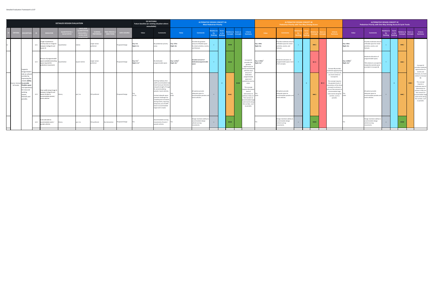|                             |                                                                                                                                                                                      |      |                                                                                                                | <b>DETAILED DESIGN EVALUATION</b>         |                                                                                           |                             |                                     |                    | <b>DO NOTHING</b><br>Future baseline (or existing situation where<br>unavailable) |                                                                                                                                                                                                                                                                                                                                                |                                                    | <b>ALTERNATIVE DESIGN CONCEPT 4A</b>                                                                 | <b>Most Pedestrian Priority</b>          |       |                                                  |                |                                                                                                                                                                                                                                                                                   |                                                   | <b>ALTERNATIVE DESIGN CONCEPT 4B</b><br>Pedestrian Priority with Two-Way Driving Access       |             |     |                         |              |                                                                                                                                                                                                                                                         |                                                    | <b>ALTERNATIVE DESIGN CONCEPT 4C</b><br>Pedestrian Priority with One-Way Driving Access & Cycle Tracks                             |                                                    |                         |                         |                       |                                                                                                                                                                                                                                                  |
|-----------------------------|--------------------------------------------------------------------------------------------------------------------------------------------------------------------------------------|------|----------------------------------------------------------------------------------------------------------------|-------------------------------------------|-------------------------------------------------------------------------------------------|-----------------------------|-------------------------------------|--------------------|-----------------------------------------------------------------------------------|------------------------------------------------------------------------------------------------------------------------------------------------------------------------------------------------------------------------------------------------------------------------------------------------------------------------------------------------|----------------------------------------------------|------------------------------------------------------------------------------------------------------|------------------------------------------|-------|--------------------------------------------------|----------------|-----------------------------------------------------------------------------------------------------------------------------------------------------------------------------------------------------------------------------------------------------------------------------------|---------------------------------------------------|-----------------------------------------------------------------------------------------------|-------------|-----|-------------------------|--------------|---------------------------------------------------------------------------------------------------------------------------------------------------------------------------------------------------------------------------------------------------------|----------------------------------------------------|------------------------------------------------------------------------------------------------------------------------------------|----------------------------------------------------|-------------------------|-------------------------|-----------------------|--------------------------------------------------------------------------------------------------------------------------------------------------------------------------------------------------------------------------------------------------|
| <b>CRITER</b>               | <b>ESCRIPTIO</b>                                                                                                                                                                     |      | <b>INDICATOR</b>                                                                                               | <b>QUANTITATIVE</b><br><b>QUALTIATIVE</b> | JNITS (FO<br><b>UANTITAT</b><br><b>AEASURES</b><br><b>LEVELS (FOI</b><br><b>NIJALITAT</b> | <b>SCORING</b><br>REFERENCE | <b>ME PERIC</b><br><b>DIRECTION</b> | <b>DATA SOURCE</b> | Value                                                                             | Comments                                                                                                                                                                                                                                                                                                                                       | Value                                              | <b>Comments</b>                                                                                      | elative to Score<br>Do<br><b>Nothing</b> | vs Do | elative to Score vs<br>Concepts                  | <b>oncepts</b> | <b>Criteria</b><br><b>Summary</b>                                                                                                                                                                                                                                                 | Value                                             | <b>Comments</b>                                                                               | Do <b>D</b> |     |                         |              | <b>Criteria</b><br>Summary                                                                                                                                                                                                                              | Value                                              | <b>Comments</b>                                                                                                                    | Relative to Score<br>Do <b>D</b><br><b>Nothing</b> | vs Do<br><b>Nothing</b> | elative to<br>Concepts  | core vs<br>Concepts   | <b>Criteria</b><br>Summary                                                                                                                                                                                                                       |
|                             |                                                                                                                                                                                      | L2.1 | ength of pedestrian<br>iority areas on Yonge S<br>etween College St and<br>Queen St                            | Quantitative                              | metres                                                                                    | Larger values<br>preferred  |                                     | roposed Design     | Day: 0 m<br>Night: 0 m                                                            | lo pedestrian priority<br>reas                                                                                                                                                                                                                                                                                                                 | Day: 275m<br>Night: 0m                             | Provides the greatest<br>amount of flexible space<br>for street activities, events<br>and festivals. |                                          |       | $\bullet\bullet\bullet$                          |                |                                                                                                                                                                                                                                                                                   | Day: 190m<br>Night: 0m                            | rovides moderate amou<br>of flexible space for stree<br>activities, events, and<br>festivals. | $+$         |     | $\bullet\bullet\circ$   |              |                                                                                                                                                                                                                                                         | Jay: 190m<br>Night: 0m                             | Provides moderate amou<br>of flexible space for street<br>activities, events, and<br>festivals.                                    | $+$                                                |                         | $\bullet\bullet\circ$   |                       |                                                                                                                                                                                                                                                  |
|                             | Supports<br><b>Yonge Street</b>                                                                                                                                                      | L2.2 | mount of programmable<br>pace available (excluding<br>pace required for<br>edestrian movement)                 | Quantitative                              | square metres                                                                             | Larger values<br>referred   |                                     | Proposed Design    | Day: $0 m2$<br>Night: $0 m2$                                                      | No dedicated<br>orogrammable space.                                                                                                                                                                                                                                                                                                            | Day: 5,145m <sup>2</sup><br>Night: 0m <sup>2</sup> | Greatest amount of<br>dedicated programmable                                                         |                                          |       | $\bullet\bullet\bullet$                          |                | Concept 4A<br>provides the<br>greatest<br>opportunity for<br>events and festiv<br>with the most                                                                                                                                                                                   | Day: 3,760m <sup>2</sup><br>ight: 0m <sup>2</sup> | Moderate allocation of<br>rogrammable space; leas<br>of all concepts.                         | $+$         |     | $\bullet$ 00            |              | Concept 4B provides<br>moderate opportunitie<br>for events and festivals                                                                                                                                                                                | Day: 3,900m <sup>2</sup><br>Night: 0m <sup>2</sup> | Moderate allocation of<br>programmable space;<br>74% relative to concept 4A<br>marginally exceeds space<br>provided in Concept 4B. | $+$                                                |                         | $\bullet\bullet\circ$   |                       | Concept 4C<br>rovides moderate<br>opportunities for<br>events and                                                                                                                                                                                |
| Events, Festiv<br>& Parades | role as cultur<br>corridor by<br>improving the<br>treets ability<br>to provide<br>flexible space<br>and operation<br>for new and<br>existing<br>events.<br>festivals and<br>parades. | L2.3 | Clear width along Yonge St<br>etween College St and<br>Queen St able to<br>commodate parade /<br>vent vehicles | Binary                                    | yes / no                                                                                  | <b>YES</b> preferred        |                                     | roposed Design     | 12.7m                                                                             | Existing roadway clear<br>width accommodates tw<br>ravel lanes per direction<br>along the length of Yonge<br>5t, accommodating<br>parade / event vehicles.<br>imited sidewalk space<br>resents challenges for<br>crowding and circulation<br>luring events, requiring<br>temporary use of traffic<br>anes to accommodate<br>arge event crowds. |                                                    | All options provide<br>adequate space to<br>accommodate parades and<br>event vehicles.               | $=$                                      |       | $\bullet\bullet\bullet$<br>$\bullet\bullet\circ$ |                | amount of<br>dedicated<br>programmable<br>space and<br>edestrian priorit<br>areas.<br>This concept<br>equires the lowes<br>level of<br>intervention to<br>achieve a fully car-<br>free scenario to<br>accommodate larg<br>scale events along<br>the corridor, such<br>as parades. | i fim                                             | All options provide<br>adequate space to<br>ccommodate parades an<br>event vehicles.          | $=$         | $+$ | $\bullet\bullet\circ$   | $\bullet$ 00 | at a level similar to<br>Concept 4C.<br>This concept requires<br>the greatest level of<br>ntervention of the thre<br>concepts to achieve a<br>fully car-free scenario t<br>accommodate large<br>scale events along the<br>corridor, such as<br>parades. |                                                    | All options provide<br>adequate space to<br>accommodate parades and<br>event vehicles.                                             | $\sim$                                             |                         | $\bullet\bullet\circ$   | $\bullet\bullet\circ$ | festivals, at a level<br>imilar to Concept<br>AR<br>This concept<br>requires a<br>noderate level of<br>intervention to<br>chieve a fully car-<br>free scenario to<br>ccommodate large<br>scale events along<br>the corridor, such<br>as parades. |
|                             |                                                                                                                                                                                      | L2.4 | Curb radii able to<br>commodate event /<br>arade vehicles                                                      | Binary                                    | yes / no                                                                                  | <b>YES preferred</b>        | By intersection                     | roposed Design     |                                                                                   | commodates turning<br>ovements of event /<br>parade vehicles                                                                                                                                                                                                                                                                                   |                                                    | Design maintains ability to<br>accommodate design<br>vehicle turning<br>movements.                   | $\equiv$                                 |       | $\bullet\bullet\bullet$                          |                |                                                                                                                                                                                                                                                                                   |                                                   | Design maintains ability t<br>ccommodate design<br>vehicle turning<br>ovements.               | $=$         |     | $\bullet\bullet\bullet$ |              |                                                                                                                                                                                                                                                         |                                                    | Design maintains ability to<br>accommodate design<br>vehicle turning<br>movements.                                                 | $\equiv$                                           |                         | $\bullet\bullet\bullet$ |                       |                                                                                                                                                                                                                                                  |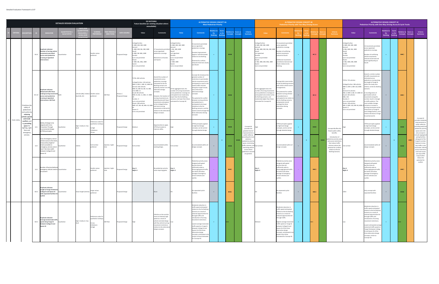|                  |                                                                                                         |       |                                                                                                                                                                                                     | <b>DETAILED DESIGN EVALUATION</b>       |                                                           |                                                                     |                                  |                           | <b>DO NOTHING</b><br>Future baseline (or existing situation where<br>unavailable)                                                                                                                                                                                                                                                                                |                                                                                                                                                                                                                                                                                                                                                                                                    |                                                                                                                                                                                                              | <b>ALTERNATIVE DESIGN CONCEPT 4A</b>                                                                                                                                                                                                                                                                                                                                                                                                                                                    | <b>Most Pedestrian Priority</b>     |       |                                                   |                                                                                                                                                                                                 |                                                                                                                                                                                                                            | <b>Pedestrian Priority with Two-Way Driving Access</b>                                                                                                                                                                                                                                                                                                                       |              | <b>ALTERNATIVE DESIGN CONCEPT 4B</b> |                                      |                                                                                                                                                                                        |                                                                                                                                                                                                                                                                                                                                         | Pedestrian Priority with One-Way Driving Access & Cycle Tracks                                                                                                                                                                                                                                                                                                                                                                                                                               | <b>ALTERNATIVE DESIGN CONCEPT 4C</b> |                                  |                               |                     |                                                                                                                                                                                                                               |
|------------------|---------------------------------------------------------------------------------------------------------|-------|-----------------------------------------------------------------------------------------------------------------------------------------------------------------------------------------------------|-----------------------------------------|-----------------------------------------------------------|---------------------------------------------------------------------|----------------------------------|---------------------------|------------------------------------------------------------------------------------------------------------------------------------------------------------------------------------------------------------------------------------------------------------------------------------------------------------------------------------------------------------------|----------------------------------------------------------------------------------------------------------------------------------------------------------------------------------------------------------------------------------------------------------------------------------------------------------------------------------------------------------------------------------------------------|--------------------------------------------------------------------------------------------------------------------------------------------------------------------------------------------------------------|-----------------------------------------------------------------------------------------------------------------------------------------------------------------------------------------------------------------------------------------------------------------------------------------------------------------------------------------------------------------------------------------------------------------------------------------------------------------------------------------|-------------------------------------|-------|---------------------------------------------------|-------------------------------------------------------------------------------------------------------------------------------------------------------------------------------------------------|----------------------------------------------------------------------------------------------------------------------------------------------------------------------------------------------------------------------------|------------------------------------------------------------------------------------------------------------------------------------------------------------------------------------------------------------------------------------------------------------------------------------------------------------------------------------------------------------------------------|--------------|--------------------------------------|--------------------------------------|----------------------------------------------------------------------------------------------------------------------------------------------------------------------------------------|-----------------------------------------------------------------------------------------------------------------------------------------------------------------------------------------------------------------------------------------------------------------------------------------------------------------------------------------|----------------------------------------------------------------------------------------------------------------------------------------------------------------------------------------------------------------------------------------------------------------------------------------------------------------------------------------------------------------------------------------------------------------------------------------------------------------------------------------------|--------------------------------------|----------------------------------|-------------------------------|---------------------|-------------------------------------------------------------------------------------------------------------------------------------------------------------------------------------------------------------------------------|
|                  |                                                                                                         |       | <b>INDICATOR</b>                                                                                                                                                                                    | <b>UANTITATIV</b><br><b>QUALTIATIVI</b> | LEVELS (FO)                                               | <b>ERENCE</b>                                                       | <b>AE PERI</b><br><b>IRECTIC</b> | <b>DATA SOURCE</b>        | Value                                                                                                                                                                                                                                                                                                                                                            | <b>Comments</b>                                                                                                                                                                                                                                                                                                                                                                                    | Value                                                                                                                                                                                                        | <b>Comments</b>                                                                                                                                                                                                                                                                                                                                                                                                                                                                         | lative to<br>Do .<br><b>Nothing</b> | vs Do | elative to Score vs<br>oncepts<br><b>Concepts</b> | Criteria<br>Summary                                                                                                                                                                             | Value                                                                                                                                                                                                                      | Comment                                                                                                                                                                                                                                                                                                                                                                      | Do:          |                                      |                                      | Criteria<br>Summary                                                                                                                                                                    | Value                                                                                                                                                                                                                                                                                                                                   | <b>Comments</b>                                                                                                                                                                                                                                                                                                                                                                                                                                                                              | elative to<br><b>Do</b><br>Nothing   | Score<br>vs Do<br><b>Nothing</b> | elative to<br><b>Concepts</b> | core vs<br>Concepts | <b>Criteria</b><br>Summary                                                                                                                                                                                                    |
|                  |                                                                                                         | M1.9  | <b>Duplicate indicator:</b><br>lumber of turning vehicle<br>ements permitted<br>cross each pedestrian<br>crossing at signalized<br>ntersections                                                     | uantitative                             | number                                                    | Smaller values<br>preferred                                         |                                  | roposed Design            | College/Carlton<br>4: NBR, EBR, SBR, WBR<br>Gerrard<br>5: NBR, EBR, SBL, SBR, WBR<br>4: NBR, SBL WBL, WBR<br>turns not permitted<br>Shuter<br>4: NBR, SBL, WBL, WBR<br>Queen<br>turns not permitted                                                                                                                                                              | movements perr<br>cross signalized<br>edestrian crossings.<br>strictions at Dundas<br>nd Queen                                                                                                                                                                                                                                                                                                     | ollege/Carlton<br>1: NBR, EBR, SBR, WBR<br>ierrard<br>: SBL, SBR, WBR<br>ould<br>ot signalized<br>ndas<br>urns not permitted<br>uter<br>: NBR, WBR<br>ieen<br>urns not permitted                             | movements permitted<br>across signalized<br>pedestrian crossings.<br>Greatest improvement<br>(approx. half eliminated)<br>relative to Do Nothing.<br>Potential for conflicts<br>reduced at Gerrard, Gould,<br>and Shuter                                                                                                                                                                                                                                                                |                                     |       | $\bullet\bullet\bullet$                           |                                                                                                                                                                                                 | College/Carlton<br>1: NBR, EBR, SBR, WBR<br>ierrard<br>S: NBL, NBR, EBR, SBL, SBR, WBR<br>iould<br>not signalized<br>Jundas<br>turns not permitted<br>uter<br>5: NBL, NBR, EBR, WBL, WBR<br>ueen<br>turns not permitted    | movements permitted<br>ross signalized<br>edestrian crossings.<br>Number of conflicting<br>vehicle movements<br>reduced at Gould.<br>dditional movements<br>rmitted at Gerrard and<br>nuter relative to Do<br>othing.                                                                                                                                                        |              |                                      | $\bullet$ 00                         |                                                                                                                                                                                        | ollege/Carlton<br>: NBR, EBR, SBR, WBR<br>Serrard<br>: NBL, NBR, SBL, WBR<br>iould<br>: WBL<br><b>Jundas</b><br>urns not permitted<br>: NBL, NBR, EBR, WBR<br>ueen<br>turns not permitted                                                                                                                                               | 3 movements permitted<br>across signalized<br>edestrian crossings.<br>Number of conflicting<br>vehicle movements<br>educed at Gerrard and<br>most significantly) at<br>ould.                                                                                                                                                                                                                                                                                                                 | $\pm$                                |                                  | $\bullet\bullet\circ$         |                     |                                                                                                                                                                                                                               |
|                  | Prioritizes the<br>safety of<br>pedestrians<br>and cyclists by<br>reducing<br>vehicle speed<br>and mode | M1.10 | Duplicate indicator:<br>otorized traffic flows<br>aking turning moveme<br>cross each pedestrian<br>crossing at signalized<br><b>ntersections: AM Peak</b>                                           |                                         | vehicles (4B) / relative Smaller values<br>level (4A, 4C) | referred                                                            | AM Peak                          | imsun /<br>roposed Design | TOTAL: 802 vehicles<br>College/Carlton: 120 vehicles<br>NBR: 6, EBR: 2, SBR: 32, WBR: 80<br>Gerrard: 302 vehicles<br>NBR: 45, EBR: 64, SBL: 53, SBR:<br>119, WBR: 21<br>Gould: 80 vehicles<br>NBR: 24, SBL: 11, WBL: 17, WBR:<br>Dundas: 0<br>turns not permitted<br>Shuter: 300 vehicles<br>NBR: 147, SBL: 48, WBL: 63, WBR:<br>Queen: 0<br>turns not permitted | Overall the number of<br>ovements across<br>edestrian crossings<br>timated for the Do<br>thing scenario are<br>atively similar to to the<br>ernative design<br>ncepts.<br>owever, the location of<br>ming movements are<br>distributed with fewer<br>vements anticipated<br>at the College/Carlton<br>and more turning<br>novements at Gerrard St<br>elative to the alternative<br>esign concepts. | t the aggregate level, the<br>umber of turning movements<br>oss pedestrian crossings are<br>ticipated to be moderately<br>wer than the Do Nothing<br>enario, and lower than those<br>timated for Concept 4C. | Concept 4A introduces the<br>greatest number of<br>restrictions to permissible<br>vehicle movements and is<br>anticipated to result in the<br>lowest traffic volumes<br>along the Yonge St study<br>area of the three<br>Iternative design<br>ncepts.<br>e potential for conflict<br>tween turning vehicles<br>nd pedestrians is<br>inticipated to be lower<br>relatative to the Do<br>Nothing scenario, and the<br>lowest overall amongst the<br>three alternative desing<br>concepts. | $+$                                 |       | $\bullet\bullet\bullet$                           |                                                                                                                                                                                                 | At the aggregate level, the<br>number of turning movements<br>across pedestrian crossings are<br>anticipated to be similar to the<br>Do Nothing scenario, and<br>moderately higher than those<br>estimated for Concept 4C. | Concept 4B is most similar<br>to the Do Nothing scenaric<br>with similar vehicle access<br>rrangements.<br>e potential for conflic<br>tween turning vehicles<br>d pedestrians is<br>ticipated to be similar!<br>e Do Nothing scenario<br>d greatest overall<br>mongst the three<br>alternative desing<br>oncepts.                                                            | $=$          |                                      | $\bullet$ 00                         |                                                                                                                                                                                        | OTAL: 725 vehicles<br>ollege/Carlton: 284 vehicles<br>NBR: 0, EBR: 0, SBR: 163, WBR:<br>Serrard: 91 vehicles<br>NBL: 0, NBR: 0, SBL: 47, WBR: 44<br>ould: 104 vehicles<br>BL: 104<br>undas: 0<br>rns not permitted<br>huter: 246 vehicles<br>NBL: 0, NBR: 150, EBR: 96, WBR: 0 include an increase in<br>ueen: 0<br>turns not permitted | Overall, a similar number<br>of traffic movements are<br>estimated across<br>pedestrian crossing along<br>the length of Yonge St<br>within the study area<br>elative, to the Do Nothing<br>scenario.<br>A reconfiguration of<br>ermissible vehicle<br>ovements along the<br>prridor result in change<br>o traffic patterns. The<br>nost notable changes<br>urning movements at the<br>ntersection of Yonge St<br>and College/Carlton, and<br>relative decrease at Yong<br>St and Gerrard St. | $\sigma_{\rm{eff}}$                  |                                  | $\bullet\bullet\circ$         |                     | Concept 4C                                                                                                                                                                                                                    |
| 13 Public Safety | conflicts and<br>by providing<br>space for<br>lighting, sigh<br>lines and<br>emergency                  | L3.1  | bility of design to be<br>ligned with Crime<br>revention Through<br>vironmental Design<br>PTED) principles                                                                                          | ualitative                              | high / medium / low                                       | eference order f<br>alitative ranking<br>High<br>Medium<br>Low      |                                  | roposed Design            | dium                                                                                                                                                                                                                                                                                                                                                             | Opportunities to apply<br>PTED principles to<br>nprove safety.                                                                                                                                                                                                                                                                                                                                     |                                                                                                                                                                                                              | <b>CPTED</b> principles applied<br>to high level design<br>concepts, can be carried<br>hrough detailed design                                                                                                                                                                                                                                                                                                                                                                           |                                     |       | $\bullet\bullet\bullet$                           | Concept 4A<br>provides the<br>greatest level of<br>improvements to                                                                                                                              |                                                                                                                                                                                                                            | <b>PTED</b> principles applied<br>high level design<br>oncepts, can be carried<br>rough detailed design                                                                                                                                                                                                                                                                      |              |                                      | $\bullet\bullet\bullet$              | Concept 4B offers the<br>fewest public safety<br>benefits.                                                                                                                             |                                                                                                                                                                                                                                                                                                                                         | PTED principles applied<br>o high level design<br>oncepts, can be carried<br>rough detailed design                                                                                                                                                                                                                                                                                                                                                                                           | $\pm$                                |                                  | $\bullet\bullet\bullet$       |                     | provides moderat<br>improvements to<br>public safety by<br>providing extensive<br>bedestrian priorit<br>space and is the<br>only concept to                                                                                   |
|                  | services.                                                                                               | L3.2  | Ease of emergency service<br>ehicle access to the stree<br>easured by length of<br>street accessible to<br>mergency services and at<br>least 7.6m clear width<br>between College St and<br>Queen St | Qualitative                             | metres                                                    | Full Corridor<br>preferred                                          | daytime / night-                 | oposed Design             | Full corridor                                                                                                                                                                                                                                                                                                                                                    | Accommodated within<br>existing design.                                                                                                                                                                                                                                                                                                                                                            | Full corridor                                                                                                                                                                                                | Accommodated within all<br>design concepts                                                                                                                                                                                                                                                                                                                                                                                                                                              | $\alpha = 1$                        |       | $\bullet\bullet$<br>$\bullet\bullet\bullet$       | public safety by<br>roviding the mos<br>extensive<br>edestrian priorit<br>space, minimizing<br>traffic volumes, and<br>restricting vehicle<br>access where<br>pedestrian volum<br>are greatest. | ull corridor                                                                                                                                                                                                               | Accommodated within all<br>design concepts                                                                                                                                                                                                                                                                                                                                   | $\alpha = 1$ |                                      | $\bullet$<br>$\bullet\bullet\bullet$ | Introduction of<br>edestrian priority zor<br>and access restriction<br>that reduce traffic<br>volumes reduce the<br>potential for conflict:<br>relative to the Do<br>Nothing Scenario. | ull corridor                                                                                                                                                                                                                                                                                                                            | Accommodated within all<br>design concepts                                                                                                                                                                                                                                                                                                                                                                                                                                                   | $\sim$                               |                                  | $\bullet\bullet\bullet$       | $\bullet$           | include segregated<br>cycling facilities<br>along part of the<br>onge St corridor<br>Exposure to two-<br>way traffic is also<br>inimized. Vehicl<br>ccess restriction<br>and local-access<br>one-way traffic<br>loops further |
|                  |                                                                                                         |       | Number of barriers/bollard<br>L3.3 emergency vehicles need to Quantitative<br>ircumvent                                                                                                             |                                         | number                                                    | Smaller values<br>preferred                                         | daytime / night-                 | oposed Design             | Day: 0<br>Night: 0                                                                                                                                                                                                                                                                                                                                               | No pedestrian priority<br>areas requiring gates.                                                                                                                                                                                                                                                                                                                                                   | Day: 6<br>Night: 0                                                                                                                                                                                           | edestrian priority zone:<br>designed with gated<br>barriers that are<br>sufficiently wide to<br>discourage general traffic,<br>but which still allow<br>passage of emergency<br>service vehicles and<br>cyclists.                                                                                                                                                                                                                                                                       |                                     |       | $\bullet\bullet\circ$                             |                                                                                                                                                                                                 | Day: 6<br>Night: 0                                                                                                                                                                                                         | Pedestrian priority zone<br>designed with gated<br>barriers that are<br>sufficiently wide to<br>liscourage general traffic<br>but which still allow<br>assage of emergency<br>service vehicles and<br>cyclists.                                                                                                                                                              |              |                                      | $\bullet\bullet\circ$                |                                                                                                                                                                                        | Day: 6<br>Night: 0                                                                                                                                                                                                                                                                                                                      | edestrian priority zone<br>lesigned with gated<br>barriers that are<br>ufficiently wide to<br>iscourage general traffic<br>but which still allow<br>assage of emergency<br>ervice vehicles and<br>vclists.                                                                                                                                                                                                                                                                                   |                                      |                                  | $\bullet\bullet\circ$         |                     | reduce the<br>potential for<br>conflict.                                                                                                                                                                                      |
|                  |                                                                                                         |       | Duplicate indicator:<br>Length of Yonge St betwee<br>M2.3 College St and Queen St<br>with separated facilities fo<br>vclists:                                                                       | Quantitative                            | linear length (metres)                                    | arger values<br>preferred                                           |                                  | roposed Design            |                                                                                                                                                                                                                                                                                                                                                                  | lone                                                                                                                                                                                                                                                                                                                                                                                               |                                                                                                                                                                                                              | No separated cyclist<br>facilities                                                                                                                                                                                                                                                                                                                                                                                                                                                      | $\mathbf{r}$                        |       | $\bullet\bullet\circ$                             |                                                                                                                                                                                                 |                                                                                                                                                                                                                            | No separated cyclist<br>cilities                                                                                                                                                                                                                                                                                                                                             | $=$          |                                      | $\bullet\bullet\circ$                |                                                                                                                                                                                        | 35m                                                                                                                                                                                                                                                                                                                                     | Only concept with<br>separated facilities                                                                                                                                                                                                                                                                                                                                                                                                                                                    | $\equiv$ $\sim$                      |                                  | $\bullet\bullet\bullet$       |                     |                                                                                                                                                                                                                               |
|                  |                                                                                                         | M2.5  | Duplicate indicator:<br>Average (motorized) traffi<br>speed along Yonge St<br>between College St and<br>Queen St                                                                                    | Qualitative                             | high / medium / low<br>level                              | reference order f<br>ualitative ranking<br>Low<br>Medium<br>l) High | AM Peak                          | roposed Design            | High                                                                                                                                                                                                                                                                                                                                                             | ehicles on the corridor<br>nove at relatively high<br>peed as a result of<br>ehicle-oriented design<br>vith few vehicle turning<br>ovement restrictions<br>elative to the alternative<br>lesign concepts.                                                                                                                                                                                          |                                                                                                                                                                                                              | Moderate reduction in<br>traffic speed anticipated<br>relative to the Do Nothing<br>Scenario as a result of<br>reduced opportunities for<br>through traffic and<br>introduction of turning<br>movement restrictions.<br>Lowest average motorized<br>traffic speed on Yonge St<br>between College St and<br>Queen St of the three<br>alternative design<br>concepts, anticipates to be<br>similar to those estimated<br>for Concept 4C.                                                  | $+$                                 |       |                                                   |                                                                                                                                                                                                 | Medium                                                                                                                                                                                                                     | Moderate reduction in<br>traffic speed anticipated<br>relative to the Do Nothing<br>Scenario as a result of<br>reduced opportunities fo<br>through traffic.<br>Highest average motorizer<br>traffic speed on Yonge St<br>between College St and<br>Queen St of the three<br>alternative design<br>oncepts, anticipated to b<br>reater than those<br>stimated for Concept 4C. | $+$          |                                      |                                      |                                                                                                                                                                                        |                                                                                                                                                                                                                                                                                                                                         | Moderate reduction in<br>traffic speed anticipated<br>relative to the Do Nothing<br>Scenario as a result of<br>reduced opportunities for<br>through traffic and<br>ntroduction of turning<br>novement restrictions.<br>owest anticipated averag<br>otorized traffic speed or<br>onge St between College<br>it and Queen St of the<br>hree alternative design<br>concepts, similar to<br>oncept 4A.                                                                                           | $+$                                  |                                  |                               |                     |                                                                                                                                                                                                                               |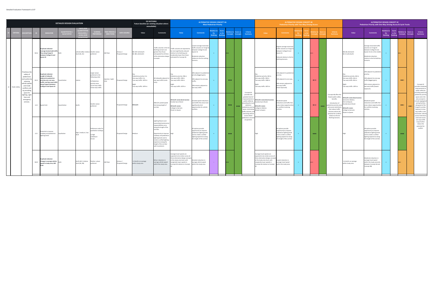|                  |                                                                                                                                                      |      |                                                                                                                                                                                          | <b>DETAILED DESIGN EVALUATION</b> |                                                           |                                                                                                                                      |                  |                             | <b>DO NOTHING</b><br>Future baseline (or existing situation where<br>unavailable)                   |                                                                                                                                                                                                                                                                                                 |                                                                                                                                                                                              | <b>ALTERNATIVE DESIGN CONCEPT 4A</b>                                                                                                                             | <b>Most Pedestrian Priority</b>           |                                         |                                                                                                                     |                         |                                                                                                                                                                                                                     |                                                                                                                                                                                                     | <b>ALTERNATIVE DESIGN CONCEPT 4B</b><br>Pedestrian Priority with Two-Way Driving Access                                                                          |     |                                            |                         |                         |                                                                                                                                                                                                                                  |                                                                                                                                                         | <b>ALTERNATIVE DESIGN CONCEPT 4C</b><br>Pedestrian Priority with One-Way Driving Access & Cycle Tracks                                                                     |                                   |                                 |                              |                       |                                                                                                                                                                                                                                                                                     |
|------------------|------------------------------------------------------------------------------------------------------------------------------------------------------|------|------------------------------------------------------------------------------------------------------------------------------------------------------------------------------------------|-----------------------------------|-----------------------------------------------------------|--------------------------------------------------------------------------------------------------------------------------------------|------------------|-----------------------------|-----------------------------------------------------------------------------------------------------|-------------------------------------------------------------------------------------------------------------------------------------------------------------------------------------------------------------------------------------------------------------------------------------------------|----------------------------------------------------------------------------------------------------------------------------------------------------------------------------------------------|------------------------------------------------------------------------------------------------------------------------------------------------------------------|-------------------------------------------|-----------------------------------------|---------------------------------------------------------------------------------------------------------------------|-------------------------|---------------------------------------------------------------------------------------------------------------------------------------------------------------------------------------------------------------------|-----------------------------------------------------------------------------------------------------------------------------------------------------------------------------------------------------|------------------------------------------------------------------------------------------------------------------------------------------------------------------|-----|--------------------------------------------|-------------------------|-------------------------|----------------------------------------------------------------------------------------------------------------------------------------------------------------------------------------------------------------------------------|---------------------------------------------------------------------------------------------------------------------------------------------------------|----------------------------------------------------------------------------------------------------------------------------------------------------------------------------|-----------------------------------|---------------------------------|------------------------------|-----------------------|-------------------------------------------------------------------------------------------------------------------------------------------------------------------------------------------------------------------------------------------------------------------------------------|
|                  |                                                                                                                                                      |      | <b>INDICATOR</b>                                                                                                                                                                         | <b>QUALTIATIV</b>                 |                                                           |                                                                                                                                      | ME PER           | DATA SOURCE                 | Value                                                                                               | <b>Comments</b>                                                                                                                                                                                                                                                                                 | Value                                                                                                                                                                                        | <b>Comments</b>                                                                                                                                                  | <b>elative</b> to<br>Do<br><b>Nothing</b> | <b>Score</b><br>vs Do<br><b>Nothing</b> | elative to Score vs<br><b>Concepts</b>                                                                              | <b>Concepts</b>         | Criteria<br>Summary                                                                                                                                                                                                 | Value                                                                                                                                                                                               | <b>Comments</b>                                                                                                                                                  |     |                                            |                         |                         | Criteria<br>Summary                                                                                                                                                                                                              | Value                                                                                                                                                   | <b>Comments</b>                                                                                                                                                            | elative t<br>Do<br><b>Nothing</b> | Score<br>vs Do<br><b>Nothin</b> | elative to<br>Concepts       | Score vs<br>Concept   | Criteria<br>Summary                                                                                                                                                                                                                                                                 |
|                  |                                                                                                                                                      | M2.6 | Duplicate indicator:<br><b>Average (motorized) traffi</b><br>flow along Yonge St<br>between College St and<br>Queen St                                                                   |                                   | vehicles (4B) / relative Smaller values<br>level (4A, 4C) | preferred                                                                                                                            | AM Peak          | imsun /<br>Proposed Design  | NB: 587 vehicles/hr<br>SB: 481 vehicles/hr                                                          | affic volumes in the Do<br>thing scenario are<br>ater than those<br>ticipated for all three<br>f the alternative design<br>oncepts.                                                                                                                                                             | raffic volumes are expected to<br>e most significantly reduced<br>ative to Do Nothing and<br>oderately lower than those<br>timated for Concept 4C.                                           | west average motorized<br>affic volumes on Yonge S<br>tween College St and<br>een St.<br>oderate reduction<br>lative to the Do nothing<br>enario.                | $\rightarrow$ .                           |                                         |                                                                                                                     |                         |                                                                                                                                                                                                                     |                                                                                                                                                                                                     | Highest average motorized<br>raffic volumes on Yonge S<br>etween College St and<br>Queen St.<br>Reduced relative to the Do<br>Nothing Scenario.                  |     |                                            |                         |                         |                                                                                                                                                                                                                                  | NB: 68 vehicles/hr<br>SB: 31 vehicles/hr                                                                                                                | Average motorized traffic<br>volumes on Yonge St<br>between College St and<br>Queen St sits in the middle<br>Moderate reduction<br>relative to the Do Nothing<br>Scenario. |                                   |                                 |                              |                       |                                                                                                                                                                                                                                                                                     |
| L3 Public Safety | Prioritizes the<br>safety of<br>pedestrians<br>and cyclists b<br>reducing<br>vehicle speed<br>and mode<br>conflicts and<br>by providing<br>space for | M1.3 | Duplicate indicator:<br>Length of sidewalk<br>adjacent to pedestrian<br>priority area; one-way<br>traffic; and two-way traffi<br>long Yonge St between<br><b>College St and Queen St</b> | uantitative                       | etres                                                     | Larger values<br>preferred in the<br>following order:<br>1) Pedestrian<br>priority areas<br>2) one-way traffic<br>3) two-way traffic | daytime / night- | Proposed Design             | edestrian priority: 0 m<br>e-way traffic: 0 m<br>Two-way traffic: 1874 m<br>Two-way traffic: 1874 m | I sidewalks adjacent to<br>wo-way traffic (curbs                                                                                                                                                                                                                                                | edestrian priority: 596 m<br>One-way traffic: 348 m<br>Two-way traffic: 930 m<br>Two-way traffic: 1874 m                                                                                     | 0% adjacent to pedestriar<br>riority (biggest gain);<br>0% adjacent to one-way<br>affic;<br>0% remains adjacent to<br>ro-way traffic.                            | $+$                                       |                                         | $\bullet\bullet\bullet$                                                                                             |                         | Concept 4A                                                                                                                                                                                                          | Pedestrian priority: 442 m<br>One-way traffic: 348 m<br>Two-way traffic: 1084 m<br>light<br>wo-way traffic: 1874 m                                                                                  | 24% adjacent to pedestriar<br>ority;<br>9% adjacent to one-way;<br>58% remains adjacent to<br>vo-way traffic<br>east improved).                                  |     |                                            | $\bullet$ 00            |                         |                                                                                                                                                                                                                                  | Pedestrian priority: 442 m<br>One-way traffic: 616 m<br>Two-way traffic: 816 m<br>Two-way traffic: 1874 m                                               | 24% adjacent to pedestria<br>riority;<br>33% adjacent to one-way<br>traffic (biggest gain);<br>44% remains adjacent to<br>two-way traffic (lowest<br>exposure).            | $+$                               |                                 | $\bullet\bullet\circ$        |                       | Concept 4C<br>provides moderate<br>mnrovements to<br>public safety by<br>providing extensive                                                                                                                                                                                        |
|                  | lighting, sight<br>lines and<br>emergency<br>services.                                                                                               |      | L3.4 Speed limit                                                                                                                                                                         | Quantitative                      | km/hr                                                     | Smaller values<br>preferred                                                                                                          |                  | Proposed Design             | 40 km/hr                                                                                            | 40km/hr posted speed<br>limit along length of<br>orridor                                                                                                                                                                                                                                        | 0 km/hr zones (local access):<br>ndas Sq to Shuter<br>0 km/hr zones:<br>College to Gerrard;<br>Shuter to Queen                                                                               | reatest speed reductions<br>ind traffic free areas most<br>significantly limit<br>opportunities for vehicle<br>conflicts.                                        | $+$                                       |                                         | $\bullet\bullet\bullet$                                                                                             | $\bullet\bullet\bullet$ | provides the<br>greatest level of<br>improvements to<br>public safety by<br>providing the mo:<br>extensive<br>bedestrian priorit<br>space, minimizing<br>traffic volumes, ar<br>restricting vehicle<br>access where | ) km/hr zones (local access):<br>undas Sq to Shuter<br>0 km/hr zones:<br>College to Walton;<br>uter to Queen                                                                                        | doderate speed<br>eductions and traffic-free<br>areas reduce opportunitie<br>for conflicts involving<br>vehicles.                                                | $+$ |                                            | $\bullet$ 00            | $\bullet\bullet\bullet$ | Concept 4B offers the<br>fewest public safety<br>benefits.<br>Introduction of<br>pedestrian priority zon<br>and access restriction<br>that reduce traffic<br>volumes reduce the<br>potential for conflicts<br>relative to the Do | 20 km/hr zones (local access):<br>Gerrard to Walton;<br>Im to Edward;<br>undas Sq to Shuter<br>30 km/hr zones:<br>ollege to Gerrard;<br>Shuter to Queen | Moderate speed<br>reductions and traffic-free<br>areas reduce opportunitie<br>for conflicts involving<br>vehicles.                                                         |                                   |                                 | $\bullet\bullet\circ$        | $\bullet\bullet\circ$ | pedestrian priority<br>space and is the<br>only concept to<br>$\operatorname{\sf include}\, \operatorname{\sf segregated}$<br>cycling facilities<br>along part of the<br>Yonge St corridor.<br>Exposure to two-<br>way traffic is also<br>minimized. Vehicle<br>access restrictions |
|                  |                                                                                                                                                      |      | Potential to improve<br>L3.5 roadway and pedestrian<br>lighting levels                                                                                                                   | Qualitative                       | high / medium / low                                       | Preference order for<br>qualitative rankings:<br>High<br>2) Medium<br>3) Low                                                         |                  | Proposed Design             | Medium                                                                                              | Lighting fixtures and<br>wnership/maintenance<br>esponsibilities carry<br>long the length of the<br>rridor.<br>Opportunity to improve High<br>oadway and pedestrian<br>ighting levels and to<br>create a unified lighting<br>experience along the<br>length of the corridor<br>with investment. |                                                                                                                                                                                              | All options provide<br>pportunity to improve<br>pedestrian lighting levels<br>and to create a unified<br>lighting experience along<br>the length of the corridor |                                           |                                         | $\bullet\bullet\bullet$                                                                                             |                         | pedestrian volum<br>are greatest.                                                                                                                                                                                   |                                                                                                                                                                                                     | All options provide<br>opportunity to improve<br>edestrian lighting levels<br>and to create a unified<br>lighting experience along<br>the length of the corridor |     |                                            | $\bullet\bullet\bullet$ |                         | Nothing Scenario.                                                                                                                                                                                                                |                                                                                                                                                         | All options provide<br>opportunity to improve<br>pedestrian lighting levels<br>and to create a unified<br>lighting experience along<br>the length of the corridor          |                                   |                                 | $\bullet\bullet\bullet\quad$ |                       | and local-access<br>one-way traffic<br>loops further<br>reduce the<br>potential for<br>conflict.                                                                                                                                                                                    |
|                  |                                                                                                                                                      | M4.9 | <b>Duplicate indicator:</b><br>Change in average vehicle<br>speed in study area; AM                                                                                                      |                                   | km/h (4C) / relative<br>level (4A, 4B)                    | Positive values<br>preferred                                                                                                         | AM Peak          | Aimsun /<br>Proposed Design | 1.0 km/hr on average<br>within study area                                                           | inor reduction in<br>erage vehicle speed<br>ithin the study area.                                                                                                                                                                                                                               | verage travel speeds are<br>xpected to be similar across all<br>ree alternative design concept<br>the study area level, with<br>narginally lower speeds in<br>Concept 4A relative to Concept | eatest reduction in<br>erage vehicle speed<br>within the study area.                                                                                             |                                           |                                         | and the contract of the contract of the contract of the contract of the contract of the contract of the contract of |                         |                                                                                                                                                                                                                     | Average travel speeds are<br>expected to be similar across all<br>hree alternative design concepts<br>at the study area level, with<br>marginally lower speeds in<br>Concept 4A relative to Concept | west reduction in<br>erage travel speed<br>within the study area.                                                                                                |     | and the state of the state of the state of |                         |                         |                                                                                                                                                                                                                                  | -1.6 km/hr on average<br>within study area                                                                                                              | Moderate reduction in<br>average travel speed<br>within the study area (sits<br>between Concept 4A and<br>Concept 4B)                                                      |                                   |                                 |                              |                       |                                                                                                                                                                                                                                                                                     |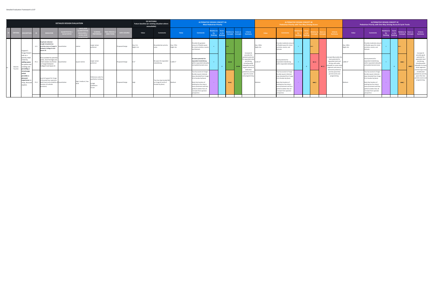|                     |                                                                                                               |                                                                                                                                                            | <b>DETAILED DESIGN EVALUATION</b>       |                                                                                       |                                                          |                                       |                   | <b>DO NOTHING</b><br>Future baseline (or existing situation where<br>unavailable) |                                                                      |                        | <b>ALTERNATIVE DESIGN CONCEPT 4A</b>                                                                                                                                                                                                                               | <b>Most Pedestrian Priority</b> |                 |                                        |         |                                                                                                                                            |                        | <b>ALTERNATIVE DESIGN CONCEPT 4B</b><br><b>Pedestrian Priority with Two-Way Driving Access</b>                                                                                                                                                                     |  |                       |           |                                                                                                                                                                    |                        | <b>ALTERNATIVE DESIGN CONCEPT 4C</b><br>Pedestrian Priority with One-Way Driving Access & Cycle Tracks                                                                                                                                                            |                                     |                         |                               |                      |                                                                                                                                                   |
|---------------------|---------------------------------------------------------------------------------------------------------------|------------------------------------------------------------------------------------------------------------------------------------------------------------|-----------------------------------------|---------------------------------------------------------------------------------------|----------------------------------------------------------|---------------------------------------|-------------------|-----------------------------------------------------------------------------------|----------------------------------------------------------------------|------------------------|--------------------------------------------------------------------------------------------------------------------------------------------------------------------------------------------------------------------------------------------------------------------|---------------------------------|-----------------|----------------------------------------|---------|--------------------------------------------------------------------------------------------------------------------------------------------|------------------------|--------------------------------------------------------------------------------------------------------------------------------------------------------------------------------------------------------------------------------------------------------------------|--|-----------------------|-----------|--------------------------------------------------------------------------------------------------------------------------------------------------------------------|------------------------|-------------------------------------------------------------------------------------------------------------------------------------------------------------------------------------------------------------------------------------------------------------------|-------------------------------------|-------------------------|-------------------------------|----------------------|---------------------------------------------------------------------------------------------------------------------------------------------------|
| <b>CRITERI</b>      | <b>DESCRIPTIC</b>                                                                                             | <b>INDICATOR</b>                                                                                                                                           | <b>UANTITATIVE</b><br><b>UALTIATIVI</b> | UNITS (FOR<br><b>UANTITATI</b><br><b>IFASURES</b><br><b>LEVELS (FO</b><br>ΟΗΔΙΙΤΑΤΙΜΕ | SCORING<br><b>FFFRENCE</b>                               | <b>IME PERIOD</b><br><b>DIRECTION</b> | <b>ATA SOURCE</b> | Value                                                                             | <b>Comments</b>                                                      | Value                  | <b>Comments</b>                                                                                                                                                                                                                                                    | Relative to<br><b>Jothing</b>   | vs Do<br>othing | elative to<br><b>Concepts Concepts</b> | core vs | Criteria<br><b>Summary</b>                                                                                                                 | Value                  | <b>Comments</b>                                                                                                                                                                                                                                                    |  |                       |           | Criteria<br>Summary                                                                                                                                                | Value                  | <b>Comments</b>                                                                                                                                                                                                                                                   | Relative to<br>Do<br><b>Nothing</b> | vs Do<br><b>Nothing</b> | elative to<br><b>Concepts</b> | Score vs<br>Concepts | Criteria<br>Summary                                                                                                                               |
|                     | L2.1<br>Support's<br><b>Yonge Street</b>                                                                      | <b>Duplicate indicator:</b><br>Length of pedestrian<br>priority areas on Yonge St Quantitative<br>between College St and<br>Queen St                       |                                         | metres                                                                                | Larger values<br>referred                                |                                       | Proposed Design   | Day: 0 m<br>Night: 0 m                                                            | No pedestrian priority<br>areas                                      | Day: 275m<br>Night: 0m | Provides the greatest<br>amount of flexible space<br>for street activities, events<br>and festivals.                                                                                                                                                               |                                 |                 | <b>Sec.</b>                            |         | Concept 4A                                                                                                                                 | Day: 190m<br>Night: 0m | Provides moderate amount<br>of flexible space for street<br>activities, events, and<br>festivals.                                                                                                                                                                  |  |                       |           |                                                                                                                                                                    | Day: 190m<br>Night: 0m | Provides moderate amou<br>of flexible space for street<br>activities, events, and<br>festivals.                                                                                                                                                                   |                                     |                         | $\bullet\bullet\circ$         |                      | Concept 4C                                                                                                                                        |
| Retail &<br>Tourism | role as a<br>priority retail<br>street by<br>P1.1<br>adding space<br>for patios ar<br>ending and<br>oviding   | Area available for potential<br>patios, store frontages and<br>street vendors at all times  Quantitative<br>on Yonge St between<br>College St and Queen St |                                         | square metres                                                                         | Larger values<br>referred                                |                                       | Proposed Design   |                                                                                   | No space for expanded<br>retail/dining.                              | 3.180 $m2$             | <b>Greatest potential for</b><br>expanded retail/dining<br>within expanded sidewalks<br>and pedestrianized areas                                                                                                                                                   |                                 | $+$             | $\bullet\bullet\bullet$                |         | provides the<br>greatest potentia<br>for expanded ret<br>and dining,<br>including wider<br>sidewalks and th<br>largest amount<br>dedicated | 255 m <sup>2</sup>     | Good potential for<br>expanded retail/dinin<br>within expanded sidewalks                                                                                                                                                                                           |  | $\bullet$ 00          | $\bullet$ | Concept 4B provides th<br>least potential for<br>expanded retail and<br>dining, with wider<br>idewalks on some stre<br>segments and areas o<br>dedicated pedestria | 2.485 m <sup>2</sup>   | Good potential for<br>expanded retail/dining<br>within expanded sidewalk<br>and pedestrianized areas                                                                                                                                                              |                                     |                         | $\bullet\bullet\circ$         |                      | provides good<br>potential for<br>expanded retail<br>and dining,<br>including wider<br>idewalks on many<br>street segments<br>and the large areas |
|                     | streetscape<br>which<br>provides a<br>pleasant<br>experience<br>P <sub>1.2</sub><br>shop, dine ar<br>explore. | Level of support for Yonge<br>St focussed tour operators<br>(both level and suitability of Quantitative<br>location of curbside<br>provision)              |                                         | high / medium / low                                                                   | Preference order fo<br>qualitative rankings<br>2) Medium |                                       | Proposed Design   | High                                                                              | Tour bus stop located NB<br>on Yonge St north of<br>Dundas Sq (lane) | Aedium                 | Tour bus access to Yonge-<br>Dundas square retained.<br>stop relocated from Yonge<br>St to Dundas Sq (lane).<br>Note that location of<br>existing tour bus stop is<br>more prominent and thu<br>performs better than all<br>concepts from operator<br>perspective. |                                 |                 | $\bullet\bullet\circ$                  |         | edestrian priori<br>space for events<br>and programming                                                                                    | Medium                 | Tour bus access to Yonge-<br>Dundas square retained.<br>stop relocated from Yonge<br>St to Dundas Sq (lane).<br>Note that location of<br>existing tour bus stop is<br>more prominent and thu<br>performs better than all<br>concepts from operator<br>perspective. |  | $\bullet\bullet\circ$ |           | priority space that<br>permit events and<br>programming.                                                                                                           | Medium                 | Tour bus access to Yonge-<br>Dundas square retained.<br>stop relocated from Yong<br>St to Dundas Sq (lane).<br>Note that location of<br>existing tour bus stop is<br>more prominent and thu<br>performs better than all<br>concepts from operator<br>perspective. |                                     |                         | $\bullet\bullet\circ$         |                      | of dedicated<br>pedestrian priority<br>space that also<br>ermits events and<br>programming.                                                       |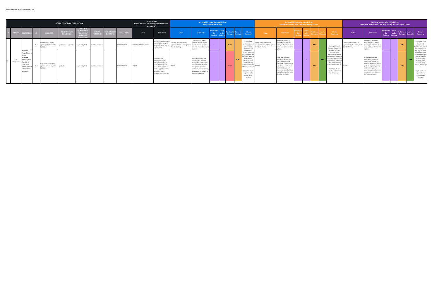|                       |                                                                                                                                        |                  |                                                                               | <b>DETAILED DESIGN EVALUATION</b>            |                                                                                 |                                   |                                        |                    | <b>DO NOTHING</b><br>Future baseline (or existing situation where<br>unavailable) |                                                                                                                                                                                           |                                                                                                                |                                                                                                                                                                                                                        | <b>ALTERNATIVE DESIGN CONCEPT 4A</b><br><b>Most Pedestrian Priority</b> |                       |                              |                                                                                                                                                                                                                                      |                                                                                                             | <b>ALTERNATIVE DESIGN CONCEPT 4B</b><br><b>Pedestrian Priority with Two-Way Driving Access</b>                                                                                                                                                    |  |                       |       |                                                                                                                                                                                                                                            |                                                                                                               | <b>ALTERNATIVE DESIGN CONCEPT 4C</b><br>Pedestrian Priority with One-Way Driving Access & Cycle Tracks                                                                                                                                           |                                                     |                |                                  |         |                                                                                                                                                                                                                     |
|-----------------------|----------------------------------------------------------------------------------------------------------------------------------------|------------------|-------------------------------------------------------------------------------|----------------------------------------------|---------------------------------------------------------------------------------|-----------------------------------|----------------------------------------|--------------------|-----------------------------------------------------------------------------------|-------------------------------------------------------------------------------------------------------------------------------------------------------------------------------------------|----------------------------------------------------------------------------------------------------------------|------------------------------------------------------------------------------------------------------------------------------------------------------------------------------------------------------------------------|-------------------------------------------------------------------------|-----------------------|------------------------------|--------------------------------------------------------------------------------------------------------------------------------------------------------------------------------------------------------------------------------------|-------------------------------------------------------------------------------------------------------------|---------------------------------------------------------------------------------------------------------------------------------------------------------------------------------------------------------------------------------------------------|--|-----------------------|-------|--------------------------------------------------------------------------------------------------------------------------------------------------------------------------------------------------------------------------------------------|---------------------------------------------------------------------------------------------------------------|--------------------------------------------------------------------------------------------------------------------------------------------------------------------------------------------------------------------------------------------------|-----------------------------------------------------|----------------|----------------------------------|---------|---------------------------------------------------------------------------------------------------------------------------------------------------------------------------------------------------------------------|
|                       | <b>CRITERIA DESCRIPTION</b>                                                                                                            |                  | <b>INDICATOR</b>                                                              | <b>QUANTITATIV</b><br><b>UALTIATIV</b>       | <b>UNITS (F</b><br><b>IZAMENTALI</b><br><b>LEVELS (FO</b><br><b>OUALITATIVE</b> | <b>SCORING</b><br><b>EFERENCE</b> | <b>TIME PERIOD</b><br><b>DIRECTION</b> | <b>DATA SOURCE</b> | Value                                                                             | <b>Comments</b>                                                                                                                                                                           | Value                                                                                                          | <b>Comments</b>                                                                                                                                                                                                        | elative to<br>nthina<br>$A + B$                                         | <b>telative to</b>    | core vs<br>Concepts Concepts | Criteria<br><b>Summary</b>                                                                                                                                                                                                           | Value                                                                                                       | Comment                                                                                                                                                                                                                                           |  |                       |       | Criteria<br>Summary                                                                                                                                                                                                                        | Value                                                                                                         | <b>Comments</b>                                                                                                                                                                                                                                  | <b>Relative to</b><br>Do <b>D</b><br><b>Nothing</b> | Score<br>ys Do | Relative to Score vs<br>Concepts |         | <b>Criteria</b><br>Summary                                                                                                                                                                                          |
|                       | nproves                                                                                                                                | P <sub>2.1</sub> | Capital cost of design<br>option (ranked lowest to                            | Quantitative / qualitative Lowest to highest |                                                                                 | owest is preferred                |                                        | Proposed Design    | Approximately \$14 million                                                        | The two watermains that<br>run along the length of<br>Yonge Street will require<br>replacement.                                                                                           | Concepts relatively equal:<br>approximately five times greater quality materials results in<br>than Do Nothing | Complete frontage to<br>frontage rebuild in high<br>minor cost variation across                                                                                                                                        |                                                                         | $\bullet\bullet\circ$ |                              | Concept 4A<br>performs poorest<br>due to higher<br>operations and<br>maintenano                                                                                                                                                      | oncepts relatively equal;<br>proximately five times greater quality materials results in<br>than Do Nothing | Complete frontage to<br>frontage rebuild in high<br>minor cost variation across<br>options.                                                                                                                                                       |  | $\bullet\bullet\circ$ |       | Concept 4B (and<br>Concept 4C) perform<br>best due to lower                                                                                                                                                                                | Concepts relatively equal;<br>pproximately five times greater quality materials results in<br>than Do Nothing | Complete frontage to<br>frontage rebuild in high<br>minor cost variation across<br>options.                                                                                                                                                      |                                                     |                | $\bullet\bullet\circ$            |         | Concept 4C (and<br>Concept 4B)<br>perform best due to<br>lower operations<br>and maintenance-                                                                                                                       |
| Cost<br>Effectiveness | Yonge Street<br>a cost<br><b>ffective</b><br>nanner Inote<br>hat this is<br>onsidered:<br>from the Shor<br>List Selection<br>onwards]. | P2.2             | Operating cost of design<br>options (ranked lowest to Qualitative<br>highest) |                                              | Lowest to highest                                                               | Lowest is preferred               |                                        | Proposed Design    | Lowest                                                                            | Operating and<br>maintenance costs<br>anticipated to remain<br>lower than propose<br>concept designs due to<br>limited opportunities fo<br>amenities, street<br>furniture, plantings, etc | Highest                                                                                                        | Highest operating and<br>maintenance costs are<br>anticipated due to larger<br>pedestrian priority areas<br>and greater space for<br>amenities, street furniture.<br>vegetation, etc relative to<br>the other concepts | <b>Contract</b>                                                         | $\bullet$ 00          | $\bullet\bullet\circ$        | related costs tha<br>are associated wi<br>increased space f<br>programming,<br>planning, cafes,<br>and furnishings<br>relative to Concer<br>4B and Concept 4C.<br>Capital costs are<br>expected to be<br>similar for all<br>options. |                                                                                                             | Lower operating and<br>maintenance costs are<br>anticipated (similar to<br>Concept 4C) due to smaller<br>pedestrian priority areas<br>and limited space for<br>amenities, street furniture.<br>vegetation, etc relative to<br>the other concepts. |  | $\bullet\bullet\circ$ | • • • | operations and<br>maintenance-related<br>costs that are associate<br>with reduced space fo<br>programming, planting<br>cafes, and furnishings<br>relative to Concept 4A<br>Capital costs are<br>expected to be simila<br>for all concepts. | Middle                                                                                                        | Lower operating and<br>maintenance costs are<br>anticipated (similar to<br>Concept 4B) due to smaller<br>pedestrian priority areas<br>and limited space for<br>amenities, street furniture<br>vegetation, etc relative to<br>the other concepts. |                                                     |                | $\bullet\bullet\circ$            | $-0.05$ | related costs that<br>are associated with<br>reduced space for<br>programming,<br>plantings, cafes,<br>and furnishings<br>elative to Concept<br>Capital costs are<br>expected to be<br>similar for all<br>concepts. |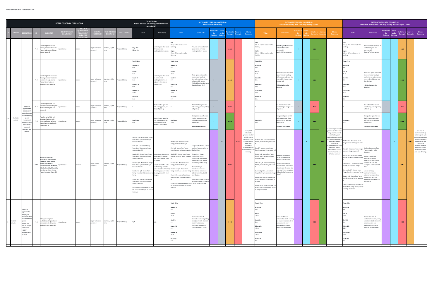|                                                  |                                                                                                                                                                        |      |                                                                                                                                                                                                                          | DETAILED DESIGN EVALUATION              |                    |                                                 |                           |                    | <b>DO NOTHING</b><br>Future baseline (or existing situation where<br>unavailable)                                                                                                                                                                                                                                                                                                                                                                                                                                                                                                                                               |                                                                                                                                                                                                        |                                                                                                                                                                                                                                                                                                                                                                                                                                                                                                                                                                             | <b>ALTERNATIVE DESIGN CONCEPT 4A</b>                                                                                                                                                                                                                                                         | <b>Most Pedestrian Priority</b>   |                           |                                                              |                                                                                                                                                                                             |                                                                                                                                                                                                                                                                                                                                                                                                                                                                                                                                                    | <b>Pedestrian Priority with Two-Way Driving Access</b>                                                                                                                                                                     | <b>ALTERNATIVE DESIGN CONCEPT 4B</b> |       |                                          |                         |                                                                                                                                                                                                                                                                      |                                                                                                                                                                                                                                                                                                                                                                                                                                                                                                                                    | <b>ALTERNATIVE DESIGN CONCEPT 4C</b><br>Pedestrian Priority with One-Way Driving Access & Cycle Tracks                                                                                                                                                                                                        |                                                    |                           |                                        |                       |                                                                                                                                                                                                                                 |
|--------------------------------------------------|------------------------------------------------------------------------------------------------------------------------------------------------------------------------|------|--------------------------------------------------------------------------------------------------------------------------------------------------------------------------------------------------------------------------|-----------------------------------------|--------------------|-------------------------------------------------|---------------------------|--------------------|---------------------------------------------------------------------------------------------------------------------------------------------------------------------------------------------------------------------------------------------------------------------------------------------------------------------------------------------------------------------------------------------------------------------------------------------------------------------------------------------------------------------------------------------------------------------------------------------------------------------------------|--------------------------------------------------------------------------------------------------------------------------------------------------------------------------------------------------------|-----------------------------------------------------------------------------------------------------------------------------------------------------------------------------------------------------------------------------------------------------------------------------------------------------------------------------------------------------------------------------------------------------------------------------------------------------------------------------------------------------------------------------------------------------------------------------|----------------------------------------------------------------------------------------------------------------------------------------------------------------------------------------------------------------------------------------------------------------------------------------------|-----------------------------------|---------------------------|--------------------------------------------------------------|---------------------------------------------------------------------------------------------------------------------------------------------------------------------------------------------|----------------------------------------------------------------------------------------------------------------------------------------------------------------------------------------------------------------------------------------------------------------------------------------------------------------------------------------------------------------------------------------------------------------------------------------------------------------------------------------------------------------------------------------------------|----------------------------------------------------------------------------------------------------------------------------------------------------------------------------------------------------------------------------|--------------------------------------|-------|------------------------------------------|-------------------------|----------------------------------------------------------------------------------------------------------------------------------------------------------------------------------------------------------------------------------------------------------------------|------------------------------------------------------------------------------------------------------------------------------------------------------------------------------------------------------------------------------------------------------------------------------------------------------------------------------------------------------------------------------------------------------------------------------------------------------------------------------------------------------------------------------------|---------------------------------------------------------------------------------------------------------------------------------------------------------------------------------------------------------------------------------------------------------------------------------------------------------------|----------------------------------------------------|---------------------------|----------------------------------------|-----------------------|---------------------------------------------------------------------------------------------------------------------------------------------------------------------------------------------------------------------------------|
|                                                  | <b>SCRIPT</b>                                                                                                                                                          |      | <b>INDICATOR</b>                                                                                                                                                                                                         | <b>JANTITATIV</b><br><b>QUALTIATIVI</b> | <b>LEVELS (FOI</b> | <b>CORIN</b>                                    | ME PERI<br><b>DIRECTI</b> | <b>DATA SOURCE</b> | Value                                                                                                                                                                                                                                                                                                                                                                                                                                                                                                                                                                                                                           | <b>Comments</b>                                                                                                                                                                                        | Value                                                                                                                                                                                                                                                                                                                                                                                                                                                                                                                                                                       | <b>Comments</b>                                                                                                                                                                                                                                                                              | elative t<br>Do<br><b>Nothing</b> | vs Do                     | elative to<br><b>Score vs</b><br>Concepts<br><b>Concept:</b> | Criteria<br>Summary                                                                                                                                                                         | Value                                                                                                                                                                                                                                                                                                                                                                                                                                                                                                                                              | Comment                                                                                                                                                                                                                    | Do                                   | vs Do |                                          |                         | Criteria<br>Summary                                                                                                                                                                                                                                                  | Value                                                                                                                                                                                                                                                                                                                                                                                                                                                                                                                              | <b>Comments</b>                                                                                                                                                                                                                                                                                               | elative to!<br>$\blacksquare$ Do<br><b>Nothing</b> | Score<br>vs Do<br>Nothing | elative to<br><b>Concepts Concepts</b> | Score vs              | <b>Criteria</b><br>Summary                                                                                                                                                                                                      |
|                                                  |                                                                                                                                                                        | P3.1 | Total length of curbside<br>ctivity areas available on<br>onge St between College<br>St and Queen St                                                                                                                     | Quantitative                            | metres             | Larger values are<br>preferred                  | daytime / night-          | roposed Design     | Day: 16m<br>Night: 16m                                                                                                                                                                                                                                                                                                                                                                                                                                                                                                                                                                                                          | imited space dedicated.<br>or commercial<br>bading/delivery access                                                                                                                                     | 0 m; + 64 m relative to Do<br>Nothing<br>Night:<br>5 m; +79 m relative to Do<br>othing                                                                                                                                                                                                                                                                                                                                                                                                                                                                                      | ovides some dedicated<br>space for commercial<br>ading/delivery access.                                                                                                                                                                                                                      |                                   |                           | $\bullet$ 00                                                 |                                                                                                                                                                                             | 305 m; +289 m relative to Do<br>Vothing<br>340 m; +324 m relative to Do<br>Nothine                                                                                                                                                                                                                                                                                                                                                                                                                                                                 | rovides greatest level of<br>dedicated space for<br>nmercial<br>ading/delivery access                                                                                                                                      |                                      |       | $\bullet\bullet\bullet$                  |                         |                                                                                                                                                                                                                                                                      | 154 m; +138 m relative to Do<br>189 m; +173m relative to Do<br>Nothine                                                                                                                                                                                                                                                                                                                                                                                                                                                             | ovides moderate level o<br>ledicated space for<br>ommercial<br>pading/delivery access                                                                                                                                                                                                                         |                                                    |                           | $\bullet\bullet\circ$                  |                       |                                                                                                                                                                                                                                 |
|                                                  |                                                                                                                                                                        | P3.2 | Total length of commercia<br>pading areas available or<br>side streets adjacent to<br>Yonge Street between<br>College St and Queen St                                                                                    | Quantitative                            | metres             | Larger values are<br>preferred                  | daytime / night-<br>time  | Proposed Design    | Total: 50 m<br><b>Walton St</b><br>Elm St<br><b>Gould St</b><br><b>Edward St</b><br>Dundas Sq<br><b>Shuter St</b>                                                                                                                                                                                                                                                                                                                                                                                                                                                                                                               | mited space dedicated<br>o commercial<br>loading/deliveries on<br>djacent side streets<br>Dundas Sq).                                                                                                  | Total: 50 m<br><b>Valton St</b><br>lm St<br><b>Gould St</b><br>dward St<br>undas Sq<br>huter St                                                                                                                                                                                                                                                                                                                                                                                                                                                                             | Total space dedicated to<br>ommercial loading/<br>leliveries maintained on<br>adjacent side streets<br>shifted from Dundas Sq to<br>Dundas Sq and Elm).                                                                                                                                      | $\equiv$                          |                           | $\bullet\bullet\circ$                                        |                                                                                                                                                                                             | Total: 75 m<br><b>Walton St</b><br>Elm St<br>25 <sub>m</sub><br><b>Gould St</b><br>Edward St<br>5 m<br>Jundas So<br>huter S                                                                                                                                                                                                                                                                                                                                                                                                                        | Increased space dedicated<br>to commercial loading/<br>deliveries on adjacent sid<br>streets (Elm, Edward, and<br>Dundas Sq).<br>+50% relative to Do<br>Nothing.                                                           |                                      |       | $\bullet\bullet\bullet$                  |                         |                                                                                                                                                                                                                                                                      | Total: 75 m<br><b>Walton St</b><br>dward St                                                                                                                                                                                                                                                                                                                                                                                                                                                                                        | ncreased space dedicated<br>o commercial loading/<br>deliveries on adjacent side<br>streets (Elm, Edward, and<br>Dundas Sq).<br>+50% relative to Do<br>Nothing.                                                                                                                                               | $+$                                                |                           | $\bullet\bullet\bullet\quad$           |                       |                                                                                                                                                                                                                                 |
|                                                  | Supports<br>appropriate<br>access and                                                                                                                                  | P3.3 | otal length of ride hail<br>reas available on Yonge St<br>etween College St and<br>lueen St                                                                                                                              | Quantitative                            | metres             | arger values are<br>preferred                   | daytime / night-          | Proposed Design    |                                                                                                                                                                                                                                                                                                                                                                                                                                                                                                                                                                                                                                 | lo dedicated space for<br>ride hailing passenger<br>drop-off/pick-up                                                                                                                                   |                                                                                                                                                                                                                                                                                                                                                                                                                                                                                                                                                                             | lo dedicated space for<br>ride hailing passenger drop-<br>off/pick-up                                                                                                                                                                                                                        | $\mathbf{r}$                      |                           | $\bullet$ 00                                                 |                                                                                                                                                                                             |                                                                                                                                                                                                                                                                                                                                                                                                                                                                                                                                                    | o dedicated space for<br>ride hailing passenger drop-<br>off/pick-up                                                                                                                                                       | $\mathbf{r}$                         |       | $\bullet$ 00                             |                         |                                                                                                                                                                                                                                                                      |                                                                                                                                                                                                                                                                                                                                                                                                                                                                                                                                    | No dedicated space for<br>ide hailing passenger drop<br>off/pick-up                                                                                                                                                                                                                                           | $=$                                                |                           | $\bullet$ 00                           |                       |                                                                                                                                                                                                                                 |
| Curbside<br>Activity                             | level of servic<br>or ride hailin<br>goods<br>movement<br>nd municip<br>services to<br>support<br>ousiness an                                                          | P3.4 | Total length of ride hail<br>reas available on side<br>streets adjacent to Yonge<br>Street between College St<br>and Queen St                                                                                            | Quantitative                            | metres             | Larger values are<br>oreferred                  | daytime / night-          | Proposed Design    | Day/Night                                                                                                                                                                                                                                                                                                                                                                                                                                                                                                                                                                                                                       | lo dedicated space for<br>ride hailing passenger<br>drop-off/pick-up on<br>adjacent side streets                                                                                                       | Day/Night<br>i m                                                                                                                                                                                                                                                                                                                                                                                                                                                                                                                                                            | esignated space for ride<br>ailing passenger drop-<br>off/pick-up on adjacent<br>side streets.<br>Same for all concepts.                                                                                                                                                                     | $+$                               |                           | $\bullet\bullet\bullet$                                      |                                                                                                                                                                                             | Day/Night<br>25 <sub>m</sub>                                                                                                                                                                                                                                                                                                                                                                                                                                                                                                                       | esignated space for ride<br>ailing passenger drop-<br>off/pick-up on adjacent<br>side streets.<br>Same for all concepts.                                                                                                   | $+$                                  |       | $\bullet\bullet\bullet$                  |                         | Concept 4B provides th                                                                                                                                                                                                                                               | Day/Night                                                                                                                                                                                                                                                                                                                                                                                                                                                                                                                          | esignated space for ride<br>ailing passenger drop-<br>off/pick-up on adjacent<br>ide streets.<br>Same for all concepts.                                                                                                                                                                                       | $+$                                                |                           | $\bullet\bullet\bullet$                |                       |                                                                                                                                                                                                                                 |
|                                                  | tourism.                                                                                                                                                               | M4.7 | Ouplicate indicator:<br><b>Number of directions to</b><br>and from Yonge St each<br>ninor side street is<br>ccessible from (Walton 9<br>Elm St, Gould St, Edward S<br>Dundas Sq, Eaton Centre<br>Onge Parkade, Shuter St | Quantitative                            | umber              | Larger values<br>preferred                      | daytime / night-          | Proposed Design    | Walton: 4/4 - Access from Yonge<br>from N and S; access to Yonge<br>towards N and S<br>Elm: 4/4 - Access from Yonge<br>from N and S; access to Yonge<br>towards N and S<br>Gould: 4/4 - Access from Yonge<br>from N and S; access to Yonge<br>owards N and S<br>Edward: 4/4 - Access from Yonge<br>rom N and S; access to Yonge<br>owards N and S<br>Dundas Sq: 2/4 - Access from<br>Yonge from N and S; no access to Sq (only accessible from<br>ronge<br>Shuter: 4/4 - Access from Yonge<br>from N and S; access to Yonge<br>towards N and S<br>Eaton Centre Yonge Parkade: 0/<br>No access from Yonge; no access<br>to Yonge | Most minor side streets<br>are accessible both to<br>and from Yonge in both<br>ections.<br>Exceptions are the Eaton<br>ntre Yonge Parkade<br>ot accessible either to<br>om Yonge) and Dundas<br>onge). | Walton: 0/4 - No access from<br>Yonge; no access to Yonge<br>Elm: 2/4 - Access from Yonge<br>from S; access to Yonge towards S Do Nothing.<br>Gould: 2/4 - Access from Yonge Access from Yonge<br>rom N; access to Yonge towards maintained in one<br>lward: 0/4 - No access from<br>onge; no access to Yonge<br>undas Sq: 1/4 - Access from<br>onge from S; no access to Yonge d<br>huter: 2/4 - Access from Yonge and Shuter).<br>from S; access to Yonge towards<br>Eaton Centre Yonge Parkade: 0/4 Centre Yonge Parkade.<br>No access from Yonge; no access<br>to Yonge | Largest reduction in access<br>to/from Yonge relative to<br>irection at most minor<br>ide streets (Elm, Gould,<br>Dundas Sq, and Shuter).<br>cess to Yonge<br>aintained from one<br>lirection at some minor<br>side streets (Elm, Gould,<br>access to/from Yonge<br>Walton, Edward and Eaton |                                   | $\mathbf{r} = \mathbf{r}$ | $\bullet$ 00<br>$\bullet$ 00                                 | Concept 4A<br>includes the<br>greatest level of<br>vehicle access<br>restrictions and<br>smallest gain in<br>dedicated<br>commercial<br>loading/delivery<br>pace relative to Do<br>Nothing. | <b>Nalton: 2/4 - Access from Yonge</b><br>rom N; access to Yonge towards<br>Elm: 2/4 - Access from Yonge<br>from S; access to Yonge towards !<br>ould: 4/4 - Access from Yonge<br>om N and S; access to Yonge<br>owards N and S<br>dward: 2/4 - Access from Yonge<br>rom N; access to Yonge towards<br>undas Sq: 1/4 - Access from<br>Yonge from S; no access to Yonge<br>Shuter: 3/4 - Access from Yonge<br>om S; access to Yonge towards<br>N and S<br>Eaton Centre Yonge Parkade: 2/4<br>Access from Yonge from S; access<br>to Yonge towards S | larginal reduction in<br>ccess to/from Yonge<br>elative to Do Nothing.<br>ccess to/from Yonge<br>intained in one or mo<br>rections at all minor sid<br>eets with the exceptior<br><b>Dundas Sq (no access to</b><br>onge). |                                      |       | $\bullet\bullet\bullet$                  | $\bullet\bullet\bullet$ | greatest level of access<br>for goods movement,<br>ride hailing, and<br>municipal servicing, wit<br>the greatest increase i<br>space dedicated to<br>commercial<br>loading/deliveries, and<br>the lowest level of<br>restrictions to turning<br>off of the corridor. | Walton: 1/4 - No access from<br>Yonge; access to Yonge towards<br>Elm: 1/4 - No access from Yonge;<br>movements on to and<br>access to Yonge towards S<br>Gould: 2/4 - Access from Yonge<br>from N ; access to Yonge towards<br>Edward: 1/4 - Access from Yonge<br>from N; no access to Yonge<br>Dundas Sq: 1/4 - Access from<br>onge from S; no access to Yonge<br>Shuter: 2/4 - Access from Yonge<br>from S; access to Yonge towards<br>Eaton Centre Yonge Parkade: 2/<br>Access from Yonge from S; access<br>to Yonge towards S | teduced access to/from<br>onge relative to Do<br>othing.<br>cess from Yonge<br>aintained in one<br>irection at most mino<br>ide streets with the<br>xception of Walton and<br>ccess to Yonge<br>naintained in one<br>lirection at most minor<br>side streets with the<br>xception of Edward and<br>Dundas Sq. |                                                    |                           | $\bullet\bullet\circ$                  | $\bullet\bullet\circ$ | Concept 4C<br>performs similarly<br>to Concept 4B with<br>respect to provision<br>f dedicated space<br>for deliveries and<br>commercial<br>oading, but with<br>additional vehicle<br>access restrictions<br>onto and off Yonge. |
| Curbside<br>Activity<br><b>Contract Contract</b> | upports<br>appropriate<br>access and<br>level of service<br>for ride hailing<br>goods<br>movement<br>and municipa<br>services to<br>upport<br>business and<br>tourism. | P3.5 | Change in length of<br>curbside parking available<br>on side streets (between<br>College St and Queen St)                                                                                                                | Quantitative                            | metres             | Larger values are daytime / night-<br>preferred | time                      | Proposed Design    | N/A                                                                                                                                                                                                                                                                                                                                                                                                                                                                                                                                                                                                                             |                                                                                                                                                                                                        | Total: -50 m<br><b>Valton St</b><br>Elm St<br>$-25m$<br><b>Gould St</b><br>dward St<br>undas Sq<br>25 <sub>m</sub><br>uter St                                                                                                                                                                                                                                                                                                                                                                                                                                               | Removal of 50m of<br>dedicated curbside parking<br>on adjacent side streets to<br>accommodate new<br>dedicated commercial<br>loading/delivery zones.                                                                                                                                         |                                   |                           | $\bullet\bullet\circ$                                        |                                                                                                                                                                                             | Total: -75 m<br><b>Walton St</b><br>Elm St<br>$-25m$<br><b>Gould St</b><br>0 <sub>m</sub><br><b>Edward St</b><br>$-25m$<br>Dundas Sq<br>25 <sub>m</sub><br>huter St                                                                                                                                                                                                                                                                                                                                                                                | Removal of 75m of<br>dedicated curbside parkin<br>on adjacent side streets to<br>accommodate new<br>dedicated commercial<br>loading/delivery zones.                                                                        |                                      |       | $\bullet$ 00<br><b>Contract Contract</b> |                         |                                                                                                                                                                                                                                                                      | Total: -75 m<br><b>Walton St</b><br>$-25m$<br>ould S<br>dward St<br>.75 m<br>ındas S                                                                                                                                                                                                                                                                                                                                                                                                                                               | Removal of 75m of<br>dedicated curbside parkir<br>on adjacent side streets to<br>accommodate new<br>dedicated commercial<br>loading/delivery zones.                                                                                                                                                           |                                                    |                           | $\bullet$ 00                           |                       |                                                                                                                                                                                                                                 |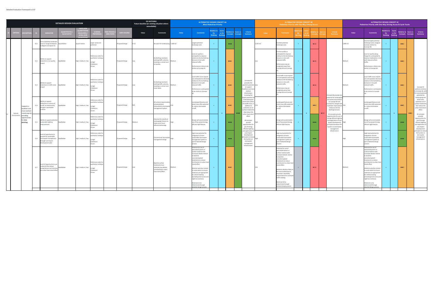|                  |                                                            |             |                                                                                                                  | <b>DETAILED DESIGN EVALUATION</b>       |                     |                                                                           |                        |                    | <b>DO NOTHING</b><br>Future baseline (or existing situation where<br>unavailable) |                                                                                                              |               |                                                                                                                                                                                                                                                                                                                                                                                                                        | <b>ALTERNATIVE DESIGN CONCEPT 4A</b><br><b>Most Pedestrian Priority</b> |                        |                                             |                                                                                                                                                                                       |         | <b>Pedestrian Priority with Two-Way Driving Access</b>                                                                                                                                                                                                                                                                                                                                               | <b>ALTERNATIVE DESIGN CONCEPT 4B</b> |         |                         |           |                                                                                                                                                                                                |         | <b>ALTERNATIVE DESIGN CONCEPT 4C</b><br>Pedestrian Priority with One-Way Driving Access & Cycle Tracks                                                                                                                                                                                                                                                                                                                   |                               |                 |                               |                       |                                                                                                                                                |
|------------------|------------------------------------------------------------|-------------|------------------------------------------------------------------------------------------------------------------|-----------------------------------------|---------------------|---------------------------------------------------------------------------|------------------------|--------------------|-----------------------------------------------------------------------------------|--------------------------------------------------------------------------------------------------------------|---------------|------------------------------------------------------------------------------------------------------------------------------------------------------------------------------------------------------------------------------------------------------------------------------------------------------------------------------------------------------------------------------------------------------------------------|-------------------------------------------------------------------------|------------------------|---------------------------------------------|---------------------------------------------------------------------------------------------------------------------------------------------------------------------------------------|---------|------------------------------------------------------------------------------------------------------------------------------------------------------------------------------------------------------------------------------------------------------------------------------------------------------------------------------------------------------------------------------------------------------|--------------------------------------|---------|-------------------------|-----------|------------------------------------------------------------------------------------------------------------------------------------------------------------------------------------------------|---------|--------------------------------------------------------------------------------------------------------------------------------------------------------------------------------------------------------------------------------------------------------------------------------------------------------------------------------------------------------------------------------------------------------------------------|-------------------------------|-----------------|-------------------------------|-----------------------|------------------------------------------------------------------------------------------------------------------------------------------------|
|                  |                                                            |             | <b>INDICATOR</b>                                                                                                 | <b>UANTITATIV</b><br><b>QUALTIATIVI</b> | LEVELS (FI          |                                                                           | <b><i>AE PERIC</i></b> | <b>DATA SOURCE</b> | Value                                                                             | <b>Comments</b>                                                                                              | Value         | <b>Comments</b>                                                                                                                                                                                                                                                                                                                                                                                                        | ative to<br>Do<br><b>Nothing</b>                                        | vs Do<br><b>Nothin</b> | lative to<br>core vs<br>oncepts<br>Concepts | <b>Criteria</b><br>Summary                                                                                                                                                            | Value   | <b>Comments</b>                                                                                                                                                                                                                                                                                                                                                                                      | Do                                   |         |                         |           | Criteria<br>Summary                                                                                                                                                                            | Value   | <b>Comments</b>                                                                                                                                                                                                                                                                                                                                                                                                          | Do <b>D</b><br><b>Nothing</b> | vs Do<br>Nothin | ative to<br>Concepts Concepts | tore vs               | Criteria<br>Summary                                                                                                                            |
|                  |                                                            | S1.1        | ze of potential landscape<br>ne on Yonge St between<br>ollege St and Queen St                                    | Quantitative                            | square metres       | arger values are<br>ferred                                                |                        | oposed Design      |                                                                                   | lo space for landscaping.                                                                                    | 3,180 m2      | Largest potential<br>andscape zone.                                                                                                                                                                                                                                                                                                                                                                                    |                                                                         |                        | $\bullet\bullet\bullet$                     |                                                                                                                                                                                       | ,255 m2 | mallest potential<br>ndscape zone.                                                                                                                                                                                                                                                                                                                                                                   | $+$                                  |         | $\bullet$ 00            |           |                                                                                                                                                                                                | ,485 m2 | Second largest potential<br>andscape zone; marginal<br>ncrease relative to<br>oncept 4B.                                                                                                                                                                                                                                                                                                                                 |                               |                 | $\bullet\bullet\circ$         |                       |                                                                                                                                                |
|                  |                                                            | <b>S1.2</b> | bility to support<br>reductions in air quality<br>pact                                                           | Qualitative                             | high / medium / low | reference order f<br>ualitative ranking<br>) High<br>2) Medium<br>l) Low  |                        | roposed Design     |                                                                                   | O Nothing maintains<br>existing traffic volumes,<br>esulting in similar local<br>ir quality.                 | <b>Aedium</b> | Local air quality is<br>anticipated to improve<br>relative to the Do Nothing<br>Scenario in line with<br>educed traffic.<br>Performance is likely to be<br>similar to Concept 4C.                                                                                                                                                                                                                                      |                                                                         |                        | $\bullet\bullet\circ$                       |                                                                                                                                                                                       |         | Local air quality is<br>nticipated to improve<br>elative to the Do Nothing<br>cenario in line with<br>educed traffic.<br>Performance may be<br>marginally lower than<br>Concept 4A and Concept                                                                                                                                                                                                       | $+$                                  |         | $\bullet$ 00            |           |                                                                                                                                                                                                | ledium  | Local air quality along<br>Yonge St is anticipated to<br>improve moderately in lir<br>with reduced vehicle<br>traffic.<br>Performance is likely to be<br>similar to Concept 4A.                                                                                                                                                                                                                                          | $+$                           |                 | $\bullet\bullet\circ$         |                       |                                                                                                                                                |
|                  |                                                            | <b>S1.3</b> | Ability to support<br>reductions in traffic noise<br>npact                                                       | Qualitative                             | high / medium / low | reference order t<br>qualitative ranking<br>1) High<br>) Medium<br>l) Low |                        | Proposed Design    |                                                                                   | Do Nothing maintains<br>xisting traffic volumes,<br>resulting in similar local<br>noise levels.              | <b>Aedium</b> | Local traffic noise impacts<br>are anticipated to decreas<br>relative to the Do Nothing<br>cenario in line with<br>reduced traffic.<br>Performance is anticipated<br>to be similar to Concept                                                                                                                                                                                                                          |                                                                         |                        | $\bullet\bullet\circ$                       | Concept 4A<br>provides the<br>greatest potential<br>to support<br>healthier and mo<br>resilient<br>streetscapes,<br>including the                                                     |         | Local traffic noise impacts<br>are anticipated to decrease<br>relative to the Do Nothing<br>Scenario in line with<br>educed traffic.<br>erformance may be<br>arginally worse than<br>Concept 4A and Concept                                                                                                                                                                                          | $+$                                  |         | $\bullet$ 00            |           | Concept 4B provides le                                                                                                                                                                         | edium   | Local traffic noise impacts<br>are anticipated to decrea<br>relative to the Do Nothing<br>Scenario in line with<br>reduced traffic.<br>Performance is anticipated<br>to be similar to Concept                                                                                                                                                                                                                            | $+$                           |                 | $\bullet\bullet\circ$         |                       | Concept 4C<br>berforms similarly<br>o Concept 4A, with<br>the second greatest<br>potential for                                                 |
| Natural          | supports a<br>ealthier and<br>ore resilient<br>reetscape b | \$1.4       | bility to support<br>ductions in volume of<br>runoff, as measured by<br>hange in permeable<br>urfaces            | Qualitative                             | high / medium / low | eference order f<br>alitative ranking<br>) High<br>Medium<br>Low          |                        | roposed Design     | N/A                                                                               | <b>Il surfaces impermeab</b><br>all precipitation<br>hannelled to stormwate<br>nanagement system.            |               | Landscaped features and<br>street trees offer potential<br>to reduce stormwater<br>runoff.                                                                                                                                                                                                                                                                                                                             |                                                                         | $+$ $-$                | $\bullet\bullet\circ$<br>$\bullet$          | largest potential fo<br>landscaping and<br>street trees within<br>the buffer zone, in<br>addition to<br>potential use of<br>surface treatment<br>that reduce the<br>ırban heat island |         | Landscaped features and<br>treet trees offer potential<br>reduce stormwater<br>unoff.                                                                                                                                                                                                                                                                                                                | $+$                                  | $+$ $-$ | $\bullet\bullet\circ$   | $\bullet$ | potential for landscapin<br>and street trees relative<br>to Concept 4A and<br>Concept 4C, though wit<br>moderate improvemen<br>relative to the Do<br>Nothing Scenario.<br>All concepts provide |         | Landscaped features and<br>street trees offer potential<br>to reduce stormwater<br>runoff.                                                                                                                                                                                                                                                                                                                               |                               | $+$             | $\bullet\bullet\circ$         | $\bullet\bullet\circ$ | landscaping and<br>street trees,<br>potential use of<br>surface treatments<br>that reduce the<br>urban heat island<br>effect.<br>All concepts  |
| <b>nvironmen</b> | roviding<br>oportunitie:<br>or tree<br>planting.           | <b>S1.5</b> | bility to support potentia<br>sustainable lighting<br>provements                                                 | Qualitative                             | high / medium / low | Preference order f<br>qualitative ranking<br>High<br>!) Medium<br>l) Low  |                        | roposed Design     | Medium                                                                            | Potential for retrofit of<br>existing light fixtures to<br>make use of more<br>efficient technology          |               | Design will accommodate<br>use of low-power/energy<br>efficient light fixtures.                                                                                                                                                                                                                                                                                                                                        |                                                                         |                        | $\bullet\bullet\bullet$                     | effect.<br>All concepts<br>provide<br>opportunities fo<br>use of energy<br>efficient lighting<br>and application of                                                                   |         | Design will accommodate<br>use of low-power/energy<br>fficient light fixtures.                                                                                                                                                                                                                                                                                                                       | $+$                                  |         | $\bullet\bullet\bullet$ |           | opportunities for use o<br>energy efficient lightin<br>and application of Low<br>Impact Development<br>principles to reduce th<br>burden on stormwate<br>management<br>infrastructure.         |         | Design will accommodate<br>use of low-power/energy<br>efficient light fixtures.                                                                                                                                                                                                                                                                                                                                          | $+$                           |                 | $\bullet\bullet\bullet\quad$  |                       | provide<br>opportunities for<br>use of energy<br>efficient lighting<br>and application of<br>Low Impact<br>Development<br>principles to reduce |
|                  |                                                            | <b>S1.6</b> | evel of opportunity to<br>rovide for sustainable<br>ormwater management<br>hrough Low Impact<br>evelopment (LID) | Qualitative                             | high / medium / low | eference order f<br>ualitative ranking<br>1) High<br>Medium<br>Low        |                        | roposed Design     |                                                                                   | Conventional stormwate<br>management design                                                                  |               | High-level potential for<br>integration of more<br>sustainable stormwater<br>management system as<br>part of detailed design<br>ocess                                                                                                                                                                                                                                                                                  |                                                                         |                        | $\bullet\bullet\bullet$                     | Low Impact<br>Development<br>principles to reduc<br>the burden on<br>stormwater<br>management<br>infrastructure.                                                                      |         | High-level potential for<br>integration of more<br>sustainable stormwater<br>anagement system as<br>part of detailed design<br>cess                                                                                                                                                                                                                                                                  |                                      |         | $\bullet\bullet\bullet$ |           |                                                                                                                                                                                                |         | High-level potential for<br>integration of more<br>sustainable stormwater<br>management system as<br>part of detailed design<br>rocess                                                                                                                                                                                                                                                                                   |                               |                 | $\bullet\bullet\bullet\quad$  |                       | the burden on<br>stormwater<br>management<br>infrastructure.                                                                                   |
|                  |                                                            | <b>S1.7</b> | Level of opportunity to use<br>aterials that reduce<br>mperatures and minimi<br>the urban heat island effec      | Qualitative                             | high / medium / low | Preference order f<br>qualitative ranking<br>1) High<br>Medium<br>Low     |                        | Proposed Design    | I ow                                                                              | Baseline surface<br>treatments have<br>relatively low albedo,<br>contributing to urban<br>heat island effect | ledium        | tential for use of<br>becialized pavers or<br>surface material with<br>increased albedo relative<br>to baseline<br>concrete/asphalt<br>treatments to reduce<br>ontribution to urban heat<br>island effect.<br>Material selection limited<br>to some extent to ensure<br>naterials are appropriate<br>for vehicle loading<br>(including local access and<br>night bus sections)<br>Materials to be<br>etermined through |                                                                         |                        | $\bullet\bullet\circ$                       |                                                                                                                                                                                       |         | tential for use of<br>ecialized pavers or<br>urface material with<br>creased albedo relative<br>baseline<br>oncrete/asphalt<br>reatments to reduce<br>ontribution to urban hea<br>sland effect.<br>Material selection likely to<br>e more limited due to<br>tructural / durability<br>equirements for increased<br>traffic loading.<br>Materials to be<br>termined through<br>etailed design process | $=$                                  |         | $\bullet$ 00            |           |                                                                                                                                                                                                | Medium  | otential for use of<br>specialized pavers or<br>surface material with<br>ncreased albedo relative<br>to baseline<br>concrete/asphalt<br>treatments to reduce<br>contribution to urban hea<br>island effect.<br>Material selection limited<br>to some extent to ensure<br>materials are appropriate<br>for vehicle loading<br>(including local access and<br>night bus sections)<br>Materials to be<br>determined through |                               |                 | $\bullet\bullet\circ$         |                       |                                                                                                                                                |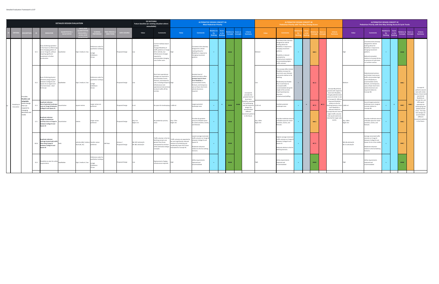|                             |                                                               |             |                                                                                                                                                                                            | <b>DETAILED DESIGN EVALUATION</b> |                                                           |                                                                               |                             |                             | <b>DO NOTHING</b><br>Future baseline (or existing situation where<br>unavailable) |                                                                                                                                                                                                                               |                                                                                                                                                    | <b>ALTERNATIVE DESIGN CONCEPT 4A</b>                                                                                                                                                                               | <b>Most Pedestrian Priority</b>                    |                       |                                                 |                                                                                             |                        | <b>ALTERNATIVE DESIGN CONCEPT 4B</b><br>Pedestrian Priority with Two-Way Driving Access                                                                                                                                                                                                                                      |                      |          |                         |              |                                                                                                                                                            |                                          | <b>ALTERNATIVE DESIGN CONCEPT 4C</b><br>Pedestrian Priority with One-Way Driving Access & Cycle Tracks                                                                                                                                                        |                                                     |                |                                        |                       |                                                                                                             |
|-----------------------------|---------------------------------------------------------------|-------------|--------------------------------------------------------------------------------------------------------------------------------------------------------------------------------------------|-----------------------------------|-----------------------------------------------------------|-------------------------------------------------------------------------------|-----------------------------|-----------------------------|-----------------------------------------------------------------------------------|-------------------------------------------------------------------------------------------------------------------------------------------------------------------------------------------------------------------------------|----------------------------------------------------------------------------------------------------------------------------------------------------|--------------------------------------------------------------------------------------------------------------------------------------------------------------------------------------------------------------------|----------------------------------------------------|-----------------------|-------------------------------------------------|---------------------------------------------------------------------------------------------|------------------------|------------------------------------------------------------------------------------------------------------------------------------------------------------------------------------------------------------------------------------------------------------------------------------------------------------------------------|----------------------|----------|-------------------------|--------------|------------------------------------------------------------------------------------------------------------------------------------------------------------|------------------------------------------|---------------------------------------------------------------------------------------------------------------------------------------------------------------------------------------------------------------------------------------------------------------|-----------------------------------------------------|----------------|----------------------------------------|-----------------------|-------------------------------------------------------------------------------------------------------------|
|                             |                                                               |             | <b>INDICATOR</b>                                                                                                                                                                           | <b>QUALTIATIVE</b>                | LEVELS (FOI                                               | EFERENCE                                                                      | AE PERI<br><b>DIRECTION</b> | <b>ATA SOURCE</b>           | Value                                                                             | <b>Comments</b>                                                                                                                                                                                                               | Value                                                                                                                                              | <b>Comments</b>                                                                                                                                                                                                    | lative to<br>Do <b>D</b><br><b>Nothing</b> Nothing | <b>Score</b><br>vs Do | elative to Score vs<br><b>Concepts Concepts</b> | <b>Criteria</b><br>Summary                                                                  | Value                  | <b>Comments</b>                                                                                                                                                                                                                                                                                                              | Do<br><b>lothing</b> | vs Do    |                         | ore :        | <b>Criteria</b><br>Summary                                                                                                                                 | Value                                    | <b>Comments</b>                                                                                                                                                                                                                                               | elative to<br>Do <b>D</b><br><b>Nothing Nothing</b> | Score<br>vs Do | elative to<br><b>Concepts Concepts</b> | tore vs               | <b>Criteria</b><br>Summary                                                                                  |
|                             |                                                               |             | Ease of altering operation<br>in the future to reflect long<br>term changing pattern of<br>S2.1 use on Yonge St, without<br>requiring significant<br>investment in further<br>construction | Qualitative                       | high / medium / low                                       | Preference order fo<br>qualitative rankings<br>1) High<br>2) Medium<br>3) Low |                             | Proposed Design             | Low                                                                               | Current roadway layout<br>ermits<br>changes/flexibility of<br>traffic patterns on Yonge<br>St for vehicles, but<br>infrastructure changes<br>required to<br>ccommodate changing<br>use of other users.                        |                                                                                                                                                    | Consistent 6.6m clearway<br>designed for vehicle<br>loading allows for<br>flexibility in response to<br>changing movement<br>patterns.                                                                             | $+$                                                |                       | $\bullet\bullet\bullet$                         |                                                                                             | Medium                 | onsistent 6.6m clearway<br>designed for vehicle<br>loading allows for<br>flexibility in response to<br>changing movement<br>patterns.<br>Flexibility is reduced<br>somewhat by<br>infrastructure needed to<br>accommodating higher<br>traffic volumes                                                                        | $+$                  |          | $\bullet\bullet\circ$   |              |                                                                                                                                                            |                                          | Consistent 6.6m clearway<br>designed for vehicle<br>loading allows for<br>flexibility in response to<br>changing movement<br>patterns.<br>Reduced somewhat<br>relative to Concept 4A due<br>to presence of cycle lanes<br>on northern section                 | $+$                                                 |                | $\bullet\bullet\bullet$                |                       |                                                                                                             |
|                             | rovides<br>flexible and                                       | <b>S2.2</b> | Ease of altering physical<br>elements along Yonge St<br>between College St and<br>Queen St on regular and<br>short term basis - short<br>terms ops                                         | Qualitative                       | high / medium / low                                       | Preference order fo<br>qualitative rankings:<br>) High<br>2) Medium<br>I Low  |                             | Proposed Design             | <b>OW</b>                                                                         | Short term operational<br>changes are required to<br>commodate events,<br>estivals, and temporary<br>uses, including temporary High<br>infrastructure and<br>perational interventio<br>to divert traffic off the<br>corridor. |                                                                                                                                                    | Greatest level of<br>pedestrianization offers<br>greatest level of short-<br>term flexibility to<br>accommodate events,<br>festivals, and temporary<br>uses as fewer short-term<br>vehicle diversions<br>required. | $+$                                                |                       | $\bullet\bullet\bullet$                         | Concept 4A<br>provides the<br>greatest level of<br>short-term                               |                        | This concept offers limited<br>flexibility increases for<br>short term uses, festivals,<br>and events relative to Do<br>Nothing.<br>Moderately less flexible<br>than A and B due to<br>increased traffic<br>accommodated along the<br>length of the corridor<br>requiring temporary<br>diversion<br>infrastructure/staffing. | $\equiv$             |          | $\bullet$ 00            |              | Concept 4B performs<br>poorest with respect to<br>short term flexibility.<br>Though pedestrianized<br>areas are similar in size<br>to Concept 4C, offering | Medium                                   | Pedestrianized sections<br>and limited, local-access<br>traffic only provides high<br>level of flexibility to<br>accommodate events,<br>festivals, and temporary<br>uses as fewer short-term<br>vehicle diversions are<br>required relative to<br>Concept 4B. | $+$                                                 |                | $\bullet\bullet\circ$                  |                       | Concept 4C<br>performs second<br>best with similar<br>levels of short-term<br>operational<br>flexibility to |
| Flexibility &<br>Innovation | adaptable<br>treet desigr<br>hat can<br>espond to<br>changing | S1.1        | plicate indicator:<br>Size of potential landscape<br>one on Yonge St between<br>ollege St and Queen St                                                                                     | Quantitative                      | square metres                                             | Larger values are<br>eferred                                                  |                             | roposed Design              | 0m2                                                                               | lo space for landscaping. 3,180 m2                                                                                                                                                                                            |                                                                                                                                                    | Largest potential<br>landscape zone.                                                                                                                                                                               | $+$                                                | $+$                   | • • •<br>$\bullet\bullet\bullet$                | flexibility, potentia<br>for landscaping,<br>and the long-term<br>design can<br>accommodate | 255 m <sub>2</sub>     | Smallest potential<br>landscape zone.                                                                                                                                                                                                                                                                                        | $+$                  | $\equiv$ | $\bullet$ 00            | $\bullet$ 00 | improved flexibility<br>relative to the Do<br>Nothing Scenario, short-2,485 m2<br>term flexibility is<br>reduced relative to                               |                                          | Second largest potential<br>landscape zone; marginal<br>increase relative to<br>Concept 4B.                                                                                                                                                                   | $+$                                                 | $+$            | $\bullet\bullet\circ$                  | $\bullet\bullet\circ$ | Concept 4A, and<br>offers good<br>potential for<br>andscaping and<br>pedestrianized                         |
|                             | demands an<br>needs.                                          |             | Duplicate indicator:<br>ength of pedestrian<br>L2.1 priority areas on Yonge St<br>etween College St and<br>Queen St                                                                        | Quantitative                      | metres                                                    | Larger values<br>preferred                                                    |                             | roposed Design              | Day: 0 m<br>Night: 0 m                                                            | No pedestrian priority<br>reas                                                                                                                                                                                                | Day: 275m<br>Night: 0m                                                                                                                             | Provides the greatest<br>mount of flexible space<br>for street activities, events,<br>and festivals.                                                                                                               | $+$ .                                              |                       | $\bullet\bullet\bullet$                         | different<br>novement patter<br>in the future.                                              | Day: 190m<br>Vight: Om | rovides moderate amoun<br>f flexible space for street<br>ctivities, events, and<br>stivals.                                                                                                                                                                                                                                  |                      |          | $\bullet\bullet\circ$   |              | Concept 4A and C due t<br>higher traffic volumes<br>that would need to be<br>diverted for larger scale<br>events.                                          | Day: 190m<br>Night: 0m                   | Provides moderate amoui<br>of flexible space for street<br>activities, events, and<br>festivals.                                                                                                                                                              | $+$                                                 |                | $\bullet\bullet\circ$                  |                       | areas. The long-<br>term design can<br>accommodate<br>different<br>movement patterns<br>in the future.      |
|                             |                                                               |             | Duplicate indicator:<br>Average (motorized) traffic<br>M2.6 flow along Yonge St<br>between College St and<br>Queen St                                                                      |                                   | vehicles (4B) / relative Smaller values<br>level (4A, 4C) | preferred                                                                     | AM Peak                     | Aimsun /<br>Proposed Design | NB: 587 vehicles/hr<br>SB: 481 vehicles/hr                                        | raffic volumes in the Do<br>othing scenario are<br>reater than those<br>ticipated for all three<br>of the alternative design<br>oncepts.                                                                                      | raffic volumes are expected to<br>e most significantly reduced<br>lative to Do Nothing and<br>derately lower than those<br>timated for Concept 4C. | owest average motorized<br>traffic volumes on Yonge St<br>between College St and<br>Queen St.<br>oderate reduction<br>elative to the Do nothing<br>Scenario.                                                       | $\rightarrow$ $\rightarrow$                        |                       | $\bullet\bullet\bullet$                         |                                                                                             |                        | Highest average motorized<br>traffic volumes on Yonge S<br>between College St and<br>Queen St.<br>Reduced relative to the Do<br>Nothing Scenario.                                                                                                                                                                            | $+$                  |          | $\bullet$ 00            |              |                                                                                                                                                            | NB: 68 vehicles/hr<br>SB: 31 vehicles/hr | Average motorized traffic<br>volumes on Yonge St<br>between College St and<br>Queen St sits in the middle.<br>Moderate reduction<br>relative to the Do Nothing<br>Scenario.                                                                                   | $+$ .                                               |                | $\bullet\bullet\circ$                  |                       |                                                                                                             |
|                             |                                                               | S2.3        | Flexibility to cater for utility<br>Qualitative<br>requirements                                                                                                                            |                                   | high / medium / low                                       | Preference order fo<br>qualitative rankings<br>High<br>2) Medium<br>3) Low    |                             | Proposed Design             | Low                                                                               | Replacement of aging<br>nfrastructure required                                                                                                                                                                                |                                                                                                                                                    | Utility requirements<br>captured and<br>accommodated                                                                                                                                                               | $\rightarrow$ $\rightarrow$                        |                       | $\bullet\bullet\bullet$                         |                                                                                             | ligh                   | Utility requirements<br>captured and<br>ccommodated                                                                                                                                                                                                                                                                          | $\rightarrow$        |          | $\bullet\bullet\bullet$ |              |                                                                                                                                                            |                                          | Utility requirements<br>captured and<br>ccommodated                                                                                                                                                                                                           | $\pm$ 10 $\pm$                                      |                | $\bullet\bullet\bullet\quad$           |                       |                                                                                                             |